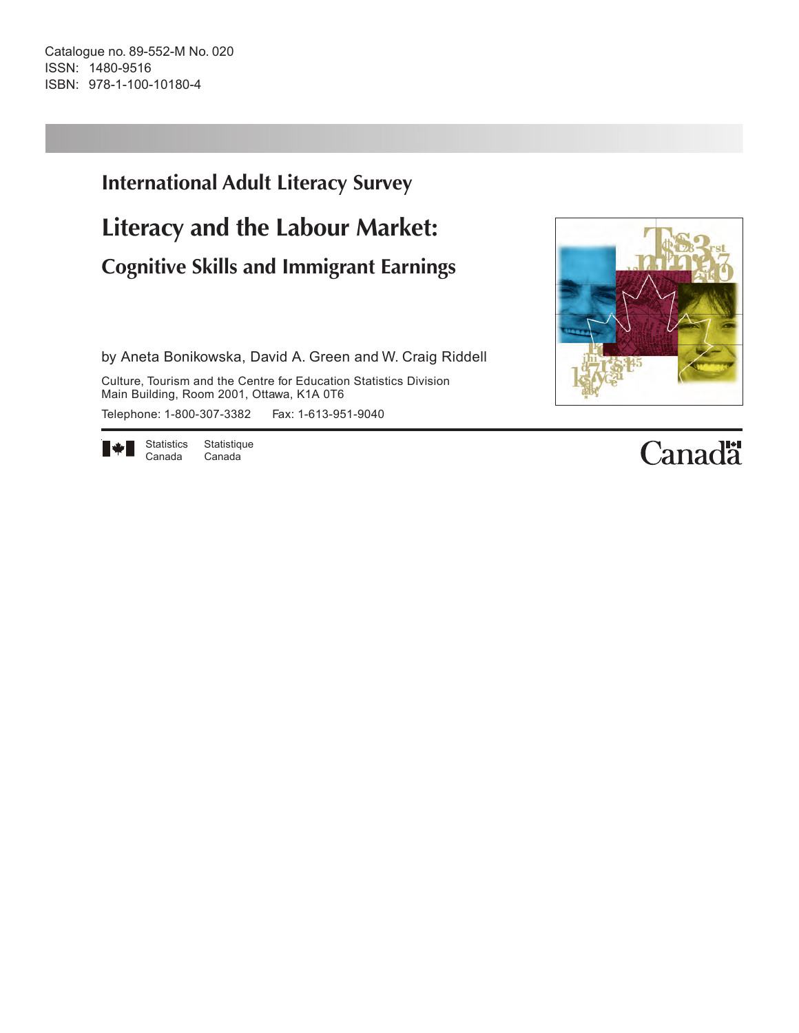Catalogue no. 89-552-M No. 020 ISSN: 1480-9516 ISBN: 978-1-100-10180-4

# **International Adult Literacy Survey Literacy and the Labour Market: Cognitive Skills and Immigrant Earnings**

by Aneta Bonikowska, David A. Green and W. Craig Riddell

Culture, Tourism and the Centre for Education Statistics Division Main Building, Room 2001, Ottawa, K1A 0T6 Telephone: 1-800-307-3382 Fax: 1-613-951-9040

▌◈▌

Statistics Statistique Canada Canada



# **Canadä**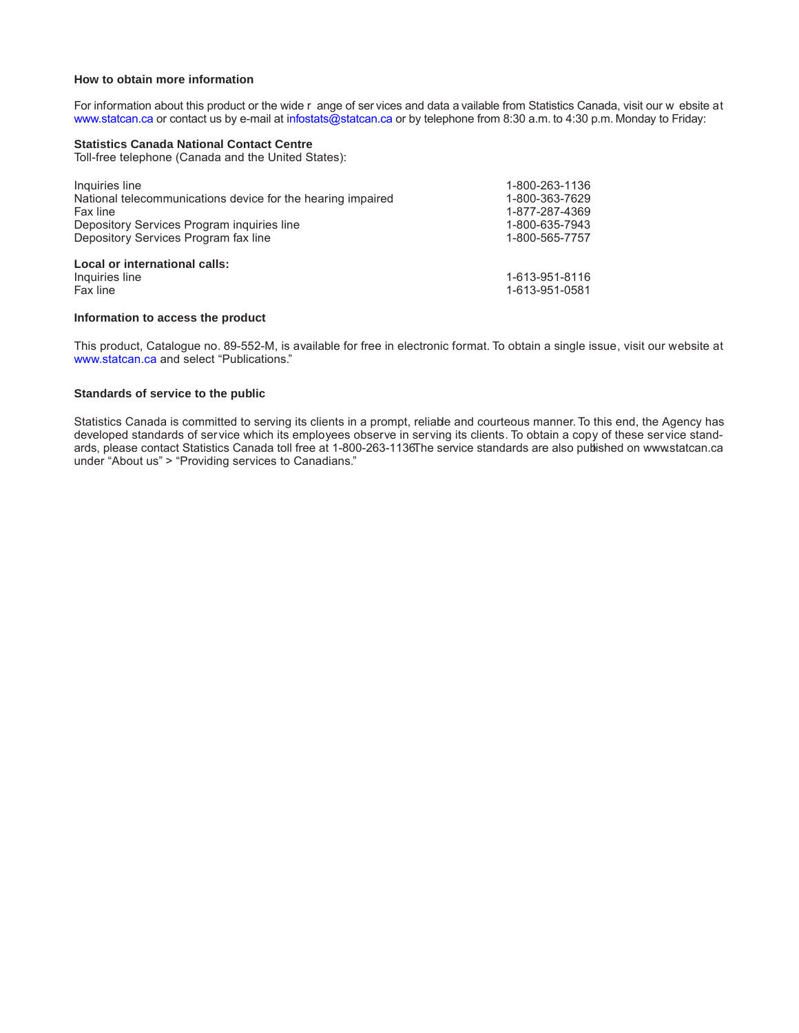### **How to obtain more information**

For information about this product or the wide r ange of ser vices and data a vailable from Statistics Canada, visit our w ebsite at www.statcan.ca or contact us by e-mail at infostats@statcan.ca or by telephone from 8:30 a.m. to 4:30 p.m. Monday to Friday:

### **Statistics Canada National Contact Centre**

Toll-free telephone (Canada and the United States):

| Inquiries line                                              | 1-800-263-1136 |
|-------------------------------------------------------------|----------------|
| National telecommunications device for the hearing impaired | 1-800-363-7629 |
| Fax line                                                    | 1-877-287-4369 |
| Depository Services Program inquiries line                  | 1-800-635-7943 |
| Depository Services Program fax line                        | 1-800-565-7757 |
| Local or international calls:                               |                |
| Inquiries line                                              | 1-613-951-8116 |
| Fax line                                                    | 1-613-951-0581 |

### **Information to access the product**

This product, Catalogue no. 89-552-M, is available for free in electronic format. To obtain a single issue, visit our website at www.statcan.ca and select "Publications."

### **Standards of service to the public**

Statistics Canada is committed to serving its clients in a prompt, reliable and courteous manner. To this end, the Agency has developed standards of service which its employees observe in serving its clients. To obtain a copy of these service standards, please contact Statistics Canada toll free at 1-800-263-1136The service standards are also published on www.statcan.ca under "About us" > "Providing services to Canadians."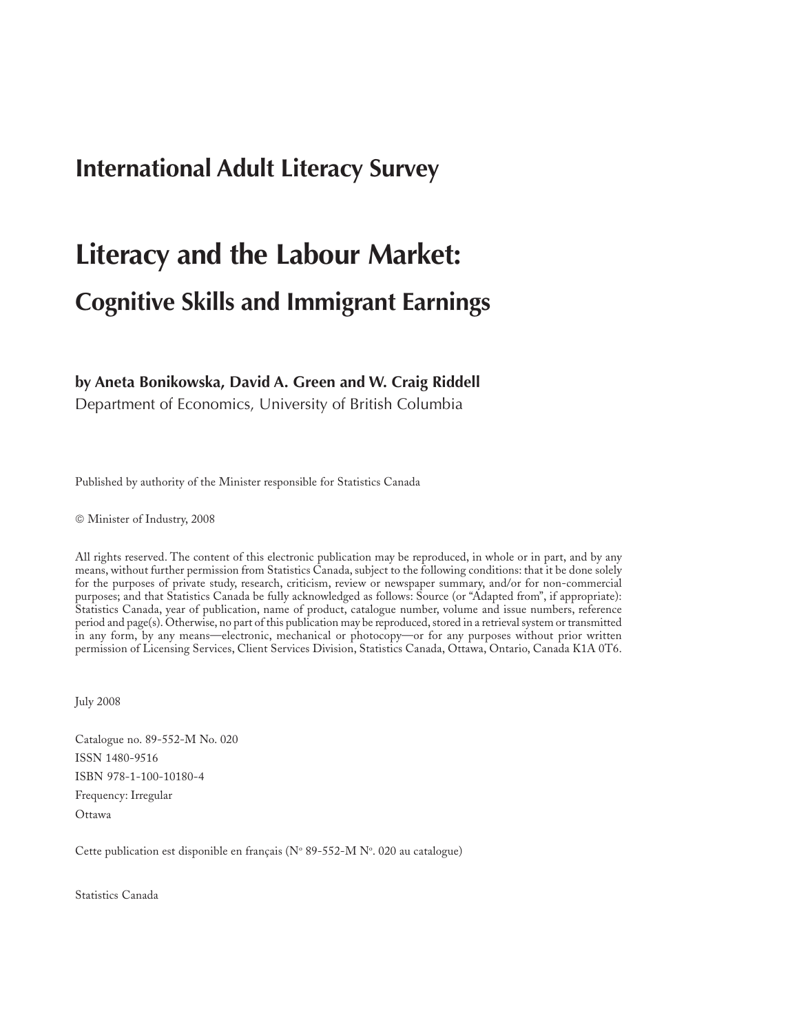# **International Adult Literacy Survey**

# **Literacy and the Labour Market: Cognitive Skills and Immigrant Earnings**

### **by Aneta Bonikowska, David A. Green and W. Craig Riddell**

Department of Economics, University of British Columbia

Published by authority of the Minister responsible for Statistics Canada

© Minister of Industry, 2008

All rights reserved. The content of this electronic publication may be reproduced, in whole or in part, and by any means, without further permission from Statistics Canada, subject to the following conditions: that it be done solely for the purposes of private study, research, criticism, review or newspaper summary, and/or for non-commercial purposes; and that Statistics Canada be fully acknowledged as follows: Source (or "Adapted from", if appropriate): Statistics Canada, year of publication, name of product, catalogue number, volume and issue numbers, reference period and page(s). Otherwise, no part of this publication may be reproduced, stored in a retrieval system or transmitted in any form, by any means—electronic, mechanical or photocopy—or for any purposes without prior written permission of Licensing Services, Client Services Division, Statistics Canada, Ottawa, Ontario, Canada K1A 0T6.

July 2008

Catalogue no. 89-552-M No. 020 ISSN 1480-9516 ISBN 978-1-100-10180-4 Frequency: Irregular Ottawa

Cette publication est disponible en français ( $\rm N^{\circ}$  89-552-M  $\rm N^{\circ}$ . 020 au catalogue)

Statistics Canada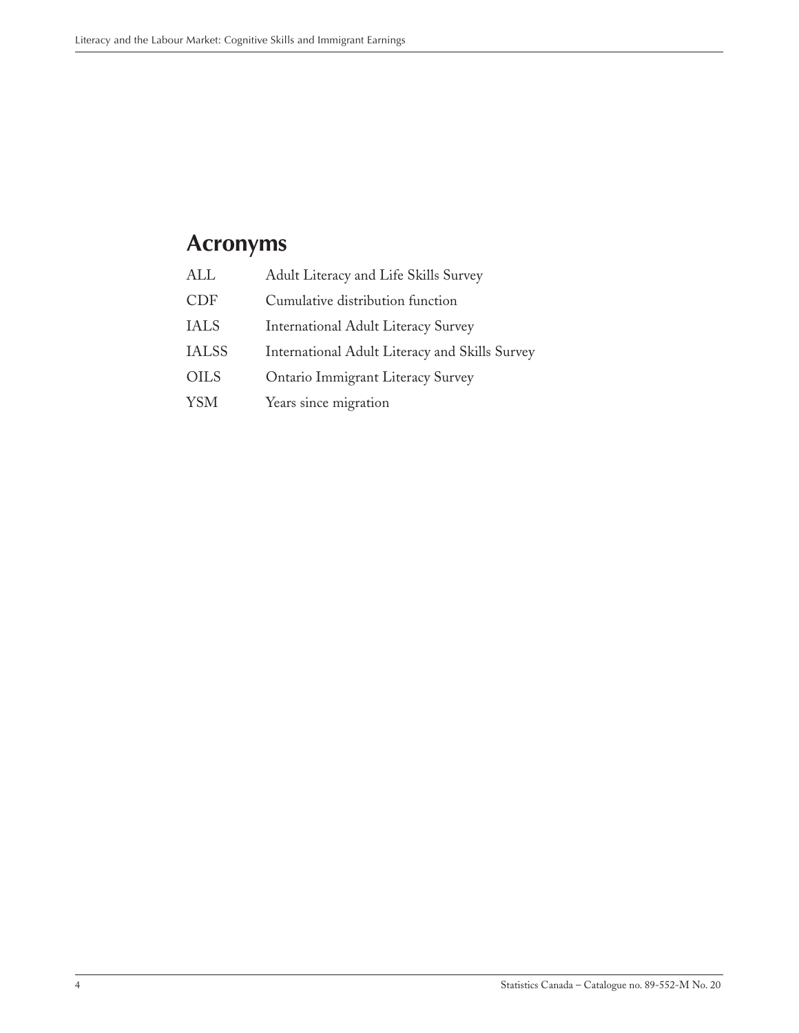# <span id="page-3-0"></span>**Acronyms**

| ALL          | Adult Literacy and Life Skills Survey          |
|--------------|------------------------------------------------|
| <b>CDF</b>   | Cumulative distribution function               |
| <b>IALS</b>  | <b>International Adult Literacy Survey</b>     |
| <b>IALSS</b> | International Adult Literacy and Skills Survey |
| <b>OILS</b>  | Ontario Immigrant Literacy Survey              |
| <b>YSM</b>   | Years since migration                          |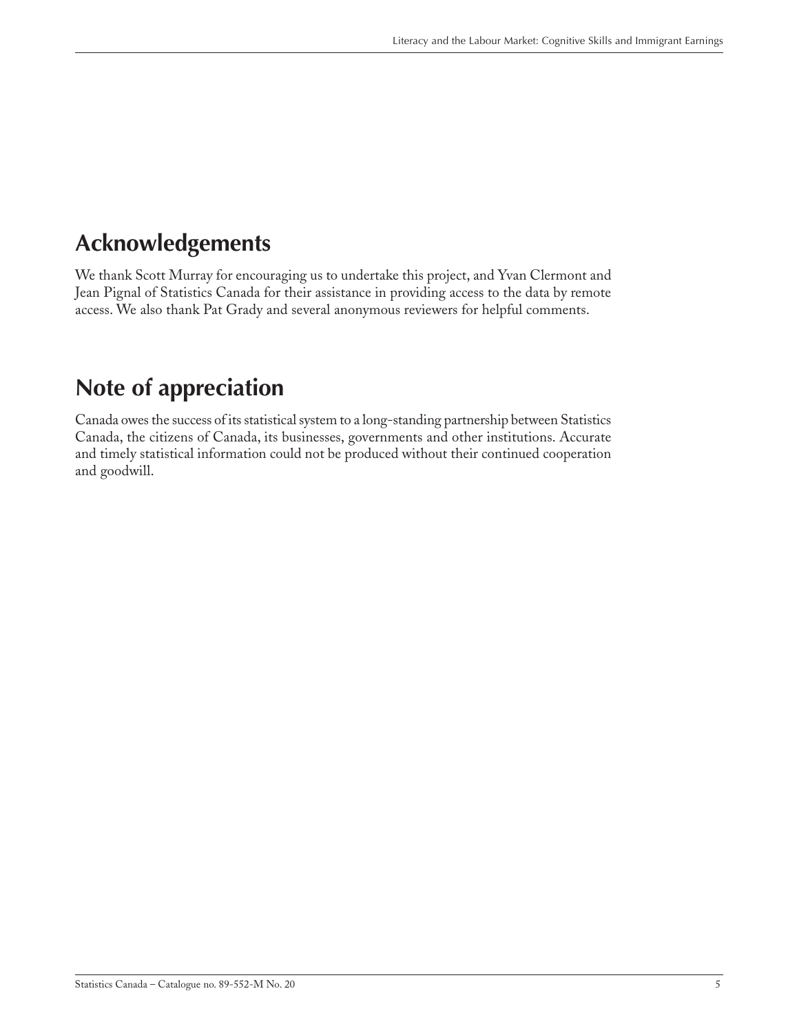# <span id="page-4-0"></span>**Acknowledgements**

We thank Scott Murray for encouraging us to undertake this project, and Yvan Clermont and Jean Pignal of Statistics Canada for their assistance in providing access to the data by remote access. We also thank Pat Grady and several anonymous reviewers for helpful comments.

# **Note of appreciation**

Canada owes the success of its statistical system to a long-standing partnership between Statistics Canada, the citizens of Canada, its businesses, governments and other institutions. Accurate and timely statistical information could not be produced without their continued cooperation and goodwill.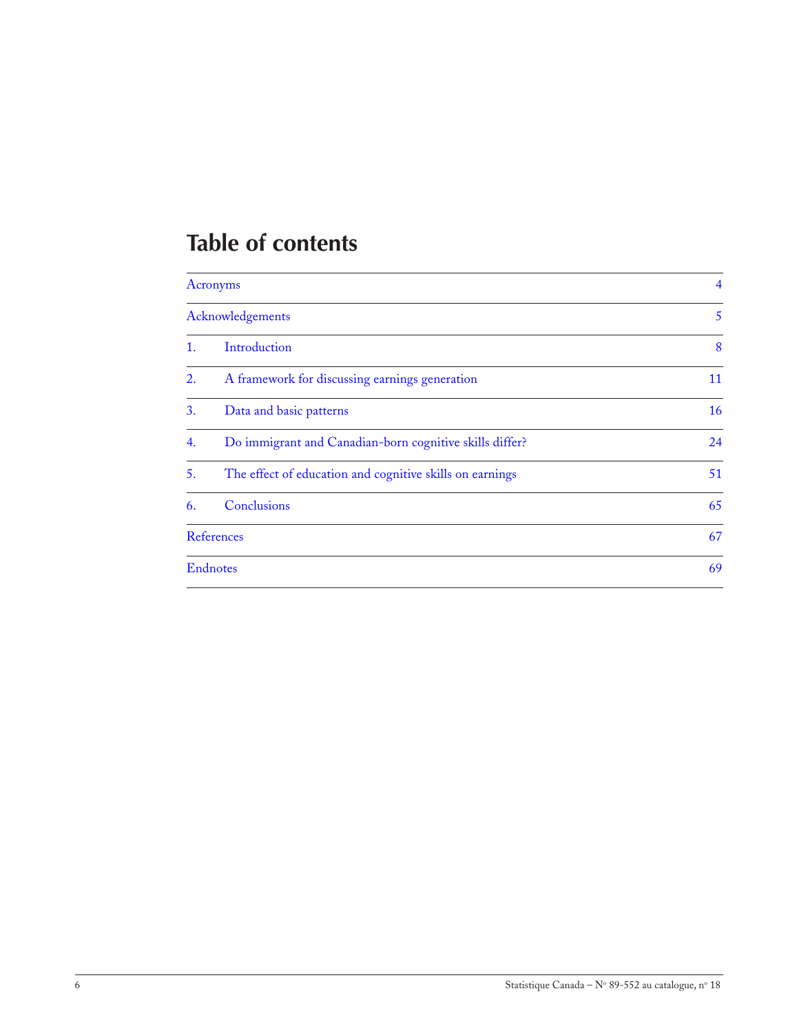# **Table of contents**

|    | <b>Acronyms</b>                                          |    |  |  |
|----|----------------------------------------------------------|----|--|--|
|    | Acknowledgements                                         | 5  |  |  |
| 1. | Introduction                                             | 8  |  |  |
| 2. | A framework for discussing earnings generation           | 11 |  |  |
| 3. | Data and basic patterns                                  | 16 |  |  |
| 4. | Do immigrant and Canadian-born cognitive skills differ?  | 24 |  |  |
| 5. | The effect of education and cognitive skills on earnings | 51 |  |  |
| 6. | Conclusions                                              | 65 |  |  |
|    | <b>References</b>                                        | 67 |  |  |
|    | <b>Endnotes</b>                                          | 69 |  |  |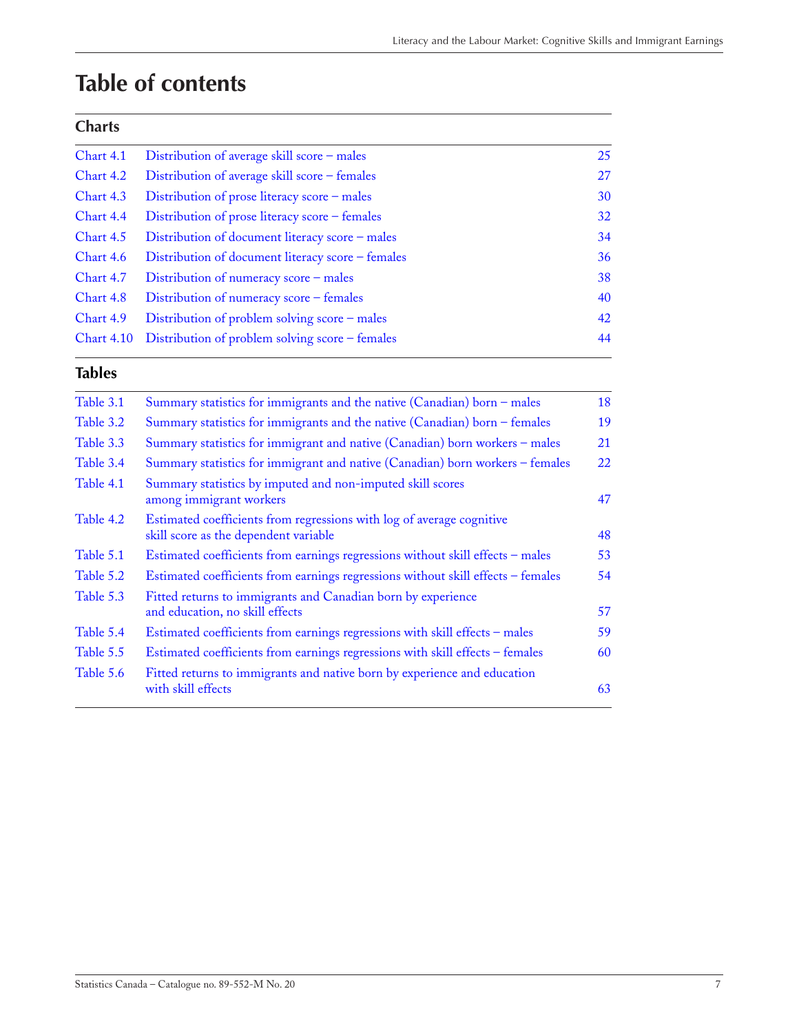# **Table of contents**

### **Charts**

| Chart 4.1         | Distribution of average skill score - males       | 25 |
|-------------------|---------------------------------------------------|----|
| Chart 4.2         | Distribution of average skill score - females     | 27 |
| Chart 4.3         | Distribution of prose literacy score - males      | 30 |
| Chart 4.4         | Distribution of prose literacy score - females    | 32 |
| Chart 4.5         | Distribution of document literacy score - males   | 34 |
| Chart 4.6         | Distribution of document literacy score – females | 36 |
| Chart 4.7         | Distribution of numeracy score – males            | 38 |
| Chart 4.8         | Distribution of numeracy score – females          | 40 |
| Chart 4.9         | Distribution of problem solving score – males     | 42 |
| <b>Chart 4.10</b> | Distribution of problem solving score – females   | 44 |
|                   |                                                   |    |

### **Tables**

| Table 3.1 | Summary statistics for immigrants and the native (Canadian) born - males                                       | 18 |
|-----------|----------------------------------------------------------------------------------------------------------------|----|
| Table 3.2 | Summary statistics for immigrants and the native (Canadian) born - females                                     | 19 |
| Table 3.3 | Summary statistics for immigrant and native (Canadian) born workers - males                                    | 21 |
| Table 3.4 | Summary statistics for immigrant and native (Canadian) born workers - females                                  | 22 |
| Table 4.1 | Summary statistics by imputed and non-imputed skill scores<br>among immigrant workers                          | 47 |
| Table 4.2 | Estimated coefficients from regressions with log of average cognitive<br>skill score as the dependent variable | 48 |
| Table 5.1 | Estimated coefficients from earnings regressions without skill effects - males                                 | 53 |
| Table 5.2 | Estimated coefficients from earnings regressions without skill effects - females                               | 54 |
| Table 5.3 | Fitted returns to immigrants and Canadian born by experience                                                   |    |
|           | and education, no skill effects                                                                                | 57 |
| Table 5.4 | Estimated coefficients from earnings regressions with skill effects - males                                    | 59 |
| Table 5.5 | Estimated coefficients from earnings regressions with skill effects - females                                  | 60 |
| Table 5.6 | Fitted returns to immigrants and native born by experience and education<br>with skill effects                 | 63 |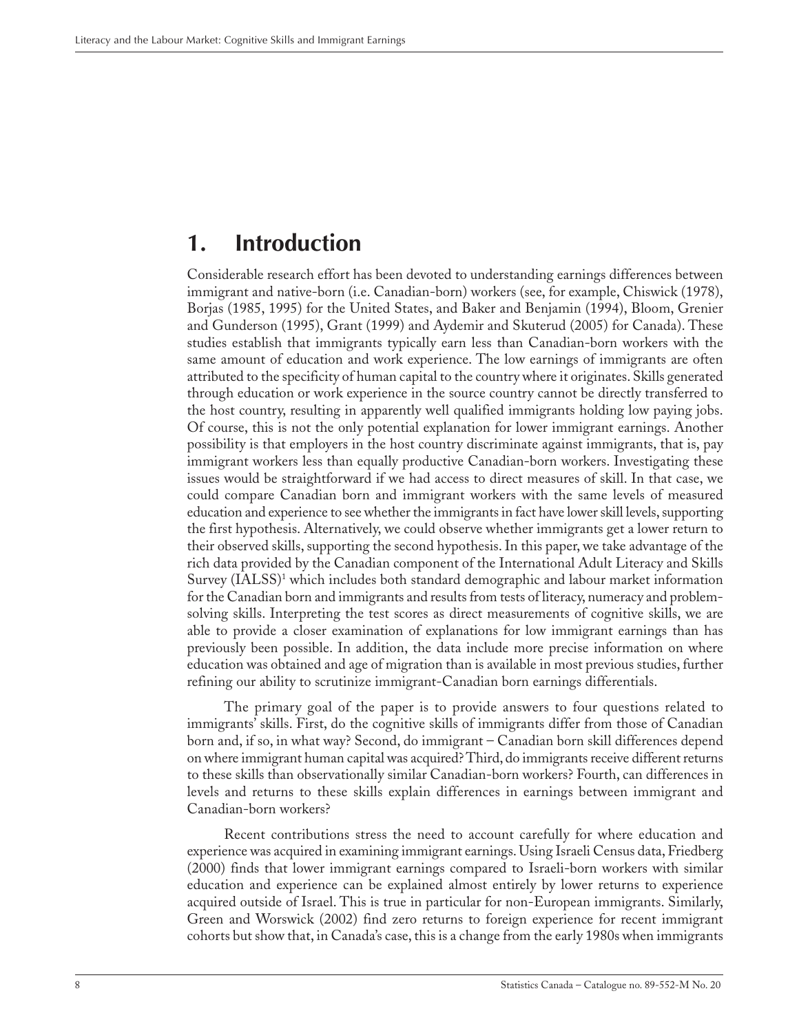# <span id="page-7-0"></span>**1. Introduction**

Considerable research effort has been devoted to understanding earnings differences between immigrant and native-born (i.e. Canadian-born) workers (see, for example, Chiswick (1978), Borjas (1985, 1995) for the United States, and Baker and Benjamin (1994), Bloom, Grenier and Gunderson (1995), Grant (1999) and Aydemir and Skuterud (2005) for Canada). These studies establish that immigrants typically earn less than Canadian-born workers with the same amount of education and work experience. The low earnings of immigrants are often attributed to the specificity of human capital to the country where it originates. Skills generated through education or work experience in the source country cannot be directly transferred to the host country, resulting in apparently well qualified immigrants holding low paying jobs. Of course, this is not the only potential explanation for lower immigrant earnings. Another possibility is that employers in the host country discriminate against immigrants, that is, pay immigrant workers less than equally productive Canadian-born workers. Investigating these issues would be straightforward if we had access to direct measures of skill. In that case, we could compare Canadian born and immigrant workers with the same levels of measured education and experience to see whether the immigrants in fact have lower skill levels, supporting the first hypothesis. Alternatively, we could observe whether immigrants get a lower return to their observed skills, supporting the second hypothesis. In this paper, we take advantage of the rich data provided by the Canadian component of the International Adult Literacy and Skills Survey (IALSS)1 which includes both standard demographic and labour market information for the Canadian born and immigrants and results from tests of literacy, numeracy and problemsolving skills. Interpreting the test scores as direct measurements of cognitive skills, we are able to provide a closer examination of explanations for low immigrant earnings than has previously been possible. In addition, the data include more precise information on where education was obtained and age of migration than is available in most previous studies, further refining our ability to scrutinize immigrant-Canadian born earnings differentials.

The primary goal of the paper is to provide answers to four questions related to immigrants' skills. First, do the cognitive skills of immigrants differ from those of Canadian born and, if so, in what way? Second, do immigrant – Canadian born skill differences depend on where immigrant human capital was acquired? Third, do immigrants receive different returns to these skills than observationally similar Canadian-born workers? Fourth, can differences in levels and returns to these skills explain differences in earnings between immigrant and Canadian-born workers?

Recent contributions stress the need to account carefully for where education and experience was acquired in examining immigrant earnings. Using Israeli Census data, Friedberg (2000) finds that lower immigrant earnings compared to Israeli-born workers with similar education and experience can be explained almost entirely by lower returns to experience acquired outside of Israel. This is true in particular for non-European immigrants. Similarly, Green and Worswick (2002) find zero returns to foreign experience for recent immigrant cohorts but show that, in Canada's case, this is a change from the early 1980s when immigrants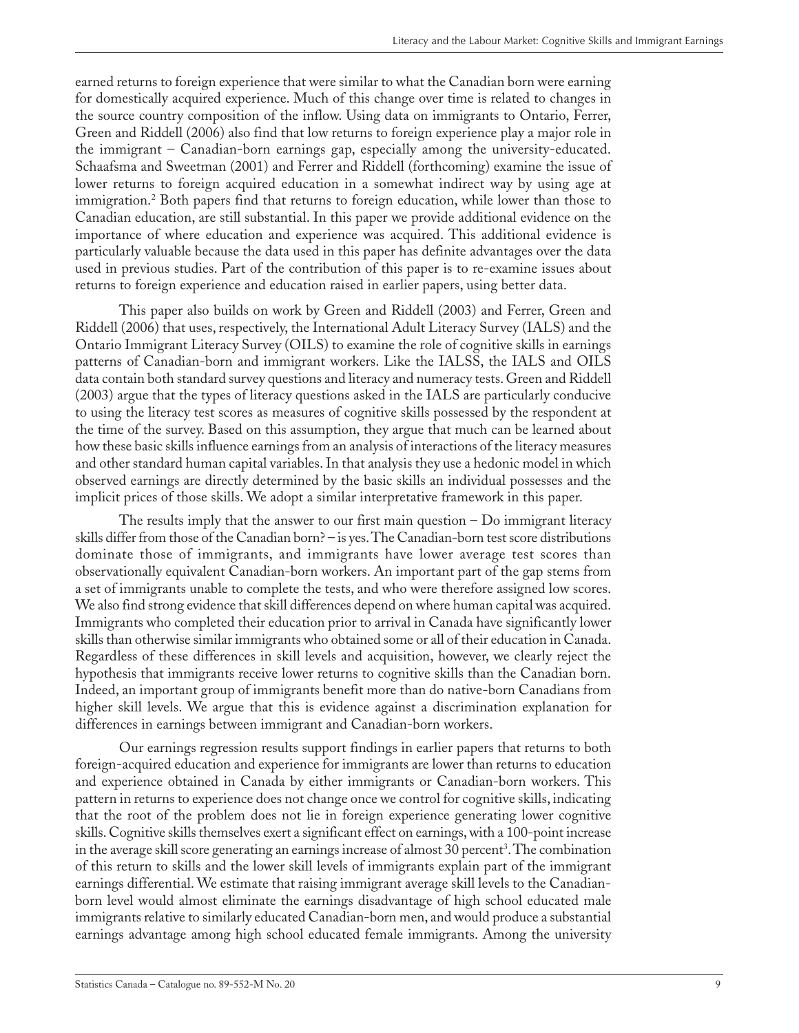earned returns to foreign experience that were similar to what the Canadian born were earning for domestically acquired experience. Much of this change over time is related to changes in the source country composition of the inflow. Using data on immigrants to Ontario, Ferrer, Green and Riddell (2006) also find that low returns to foreign experience play a major role in the immigrant – Canadian-born earnings gap, especially among the university-educated. Schaafsma and Sweetman (2001) and Ferrer and Riddell (forthcoming) examine the issue of lower returns to foreign acquired education in a somewhat indirect way by using age at immigration.2 Both papers find that returns to foreign education, while lower than those to Canadian education, are still substantial. In this paper we provide additional evidence on the importance of where education and experience was acquired. This additional evidence is particularly valuable because the data used in this paper has definite advantages over the data used in previous studies. Part of the contribution of this paper is to re-examine issues about returns to foreign experience and education raised in earlier papers, using better data.

This paper also builds on work by Green and Riddell (2003) and Ferrer, Green and Riddell (2006) that uses, respectively, the International Adult Literacy Survey (IALS) and the Ontario Immigrant Literacy Survey (OILS) to examine the role of cognitive skills in earnings patterns of Canadian-born and immigrant workers. Like the IALSS, the IALS and OILS data contain both standard survey questions and literacy and numeracy tests. Green and Riddell (2003) argue that the types of literacy questions asked in the IALS are particularly conducive to using the literacy test scores as measures of cognitive skills possessed by the respondent at the time of the survey. Based on this assumption, they argue that much can be learned about how these basic skills influence earnings from an analysis of interactions of the literacy measures and other standard human capital variables. In that analysis they use a hedonic model in which observed earnings are directly determined by the basic skills an individual possesses and the implicit prices of those skills. We adopt a similar interpretative framework in this paper.

The results imply that the answer to our first main question – Do immigrant literacy skills differ from those of the Canadian born? – is yes. The Canadian-born test score distributions dominate those of immigrants, and immigrants have lower average test scores than observationally equivalent Canadian-born workers. An important part of the gap stems from a set of immigrants unable to complete the tests, and who were therefore assigned low scores. We also find strong evidence that skill differences depend on where human capital was acquired. Immigrants who completed their education prior to arrival in Canada have significantly lower skills than otherwise similar immigrants who obtained some or all of their education in Canada. Regardless of these differences in skill levels and acquisition, however, we clearly reject the hypothesis that immigrants receive lower returns to cognitive skills than the Canadian born. Indeed, an important group of immigrants benefit more than do native-born Canadians from higher skill levels. We argue that this is evidence against a discrimination explanation for differences in earnings between immigrant and Canadian-born workers.

Our earnings regression results support findings in earlier papers that returns to both foreign-acquired education and experience for immigrants are lower than returns to education and experience obtained in Canada by either immigrants or Canadian-born workers. This pattern in returns to experience does not change once we control for cognitive skills, indicating that the root of the problem does not lie in foreign experience generating lower cognitive skills. Cognitive skills themselves exert a significant effect on earnings, with a 100-point increase in the average skill score generating an earnings increase of almost 30 percent<sup>3</sup>. The combination of this return to skills and the lower skill levels of immigrants explain part of the immigrant earnings differential. We estimate that raising immigrant average skill levels to the Canadianborn level would almost eliminate the earnings disadvantage of high school educated male immigrants relative to similarly educated Canadian-born men, and would produce a substantial earnings advantage among high school educated female immigrants. Among the university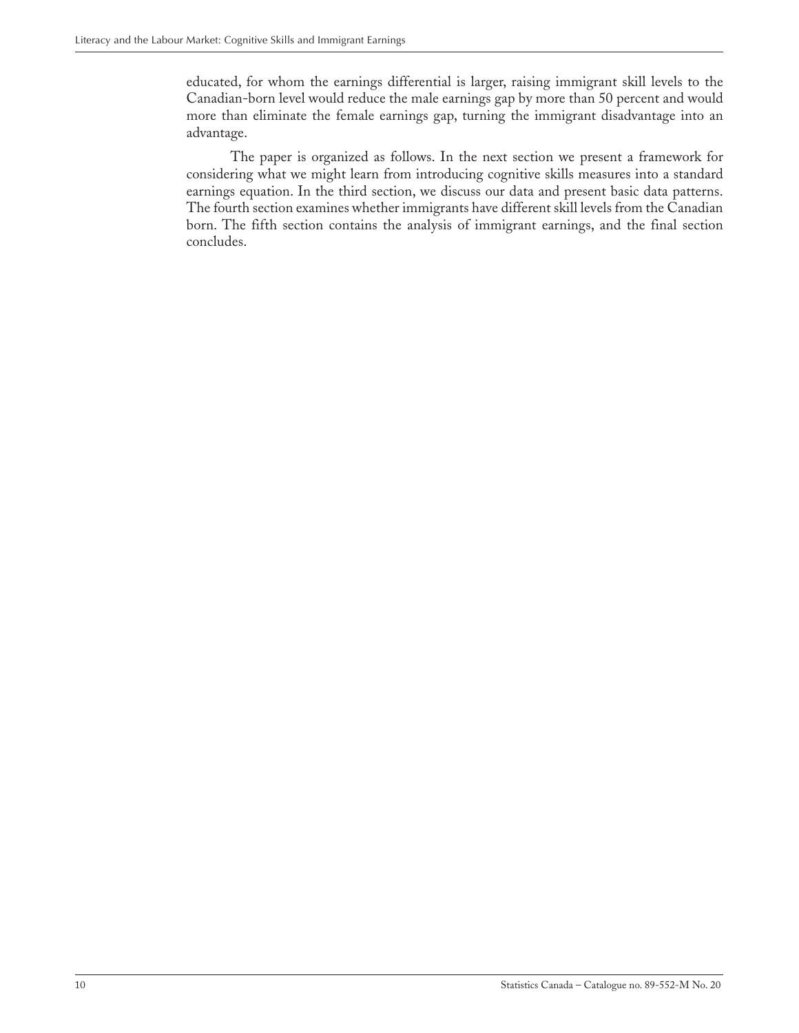educated, for whom the earnings differential is larger, raising immigrant skill levels to the Canadian-born level would reduce the male earnings gap by more than 50 percent and would more than eliminate the female earnings gap, turning the immigrant disadvantage into an advantage.

The paper is organized as follows. In the next section we present a framework for considering what we might learn from introducing cognitive skills measures into a standard earnings equation. In the third section, we discuss our data and present basic data patterns. The fourth section examines whether immigrants have different skill levels from the Canadian born. The fifth section contains the analysis of immigrant earnings, and the final section concludes.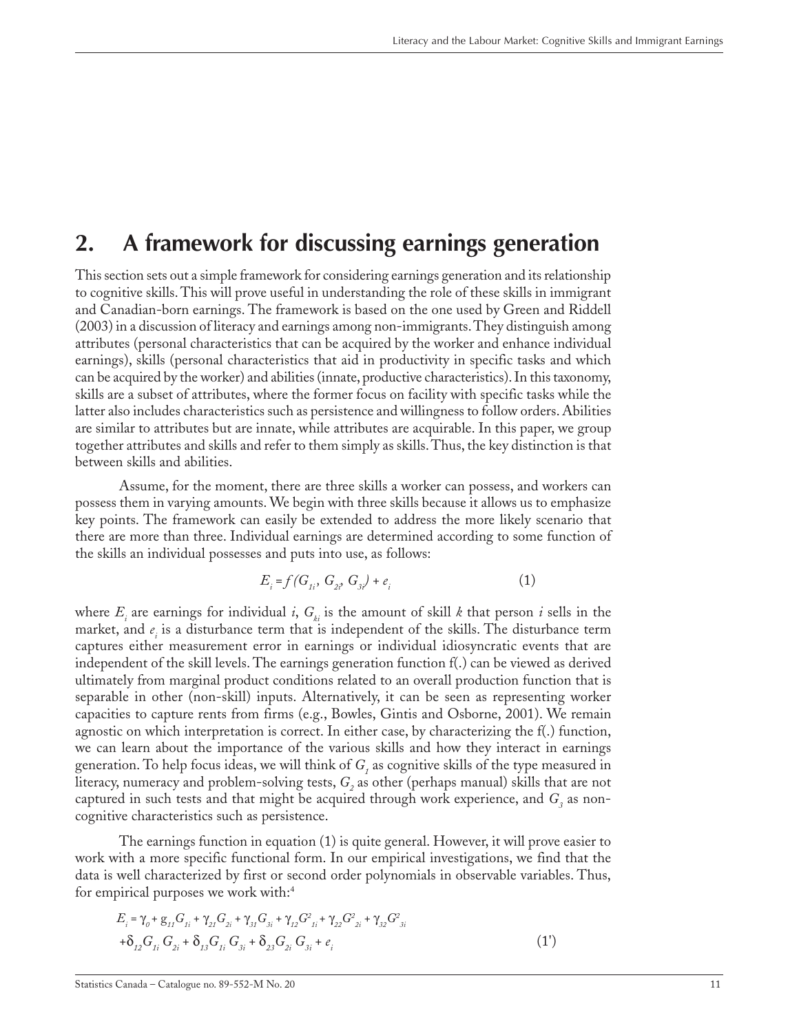## <span id="page-10-0"></span>**2. A framework for discussing earnings generation**

This section sets out a simple framework for considering earnings generation and its relationship to cognitive skills. This will prove useful in understanding the role of these skills in immigrant and Canadian-born earnings. The framework is based on the one used by Green and Riddell (2003) in a discussion of literacy and earnings among non-immigrants. They distinguish among attributes (personal characteristics that can be acquired by the worker and enhance individual earnings), skills (personal characteristics that aid in productivity in specific tasks and which can be acquired by the worker) and abilities (innate, productive characteristics). In this taxonomy, skills are a subset of attributes, where the former focus on facility with specific tasks while the latter also includes characteristics such as persistence and willingness to follow orders. Abilities are similar to attributes but are innate, while attributes are acquirable. In this paper, we group together attributes and skills and refer to them simply as skills. Thus, the key distinction is that between skills and abilities.

Assume, for the moment, there are three skills a worker can possess, and workers can possess them in varying amounts. We begin with three skills because it allows us to emphasize key points. The framework can easily be extended to address the more likely scenario that there are more than three. Individual earnings are determined according to some function of the skills an individual possesses and puts into use, as follows:

$$
E_i = f(G_{1i}, G_{2i}, G_{3i}) + e_i
$$
 (1)

where  $E_i$  are earnings for individual *i*,  $G_{ki}$  is the amount of skill *k* that person *i* sells in the market, and  $e_i$  is a disturbance term that is independent of the skills. The disturbance term captures either measurement error in earnings or individual idiosyncratic events that are independent of the skill levels. The earnings generation function f(.) can be viewed as derived ultimately from marginal product conditions related to an overall production function that is separable in other (non-skill) inputs. Alternatively, it can be seen as representing worker capacities to capture rents from firms (e.g., Bowles, Gintis and Osborne, 2001). We remain agnostic on which interpretation is correct. In either case, by characterizing the f(.) function, we can learn about the importance of the various skills and how they interact in earnings generation. To help focus ideas, we will think of  $G_{_I}$  as cognitive skills of the type measured in literacy, numeracy and problem-solving tests, G<sub>2</sub> as other (perhaps manual) skills that are not captured in such tests and that might be acquired through work experience, and  $G_{\scriptscriptstyle\mathcal{S}}$  as noncognitive characteristics such as persistence.

The earnings function in equation (1) is quite general. However, it will prove easier to work with a more specific functional form. In our empirical investigations, we find that the data is well characterized by first or second order polynomials in observable variables. Thus, for empirical purposes we work with:<sup>4</sup>

$$
E_i = \gamma_0 + g_{11} G_{1i} + \gamma_{21} G_{2i} + \gamma_{31} G_{3i} + \gamma_{12} G_{1i}^2 + \gamma_{22} G_{2i}^2 + \gamma_{32} G_{3i}^2
$$
  
+
$$
\delta_{12} G_{1i} G_{2i} + \delta_{13} G_{1i} G_{3i} + \delta_{23} G_{2i} G_{3i} + e_i
$$
 (1')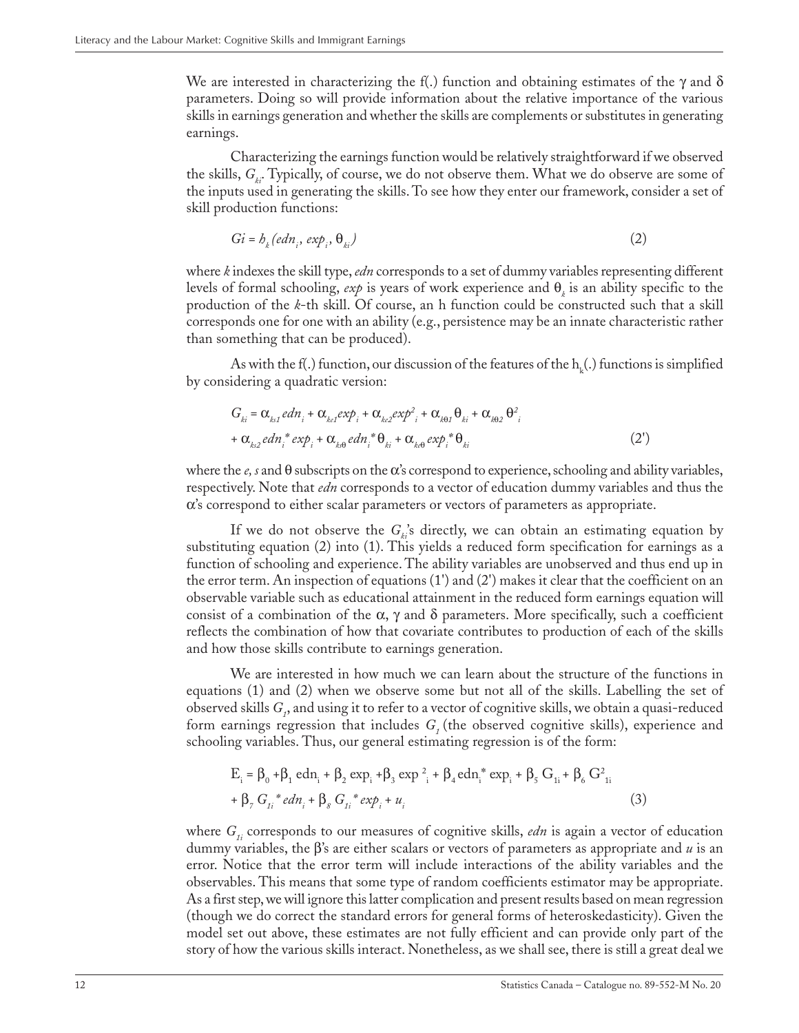We are interested in characterizing the f(.) function and obtaining estimates of the  $\gamma$  and  $\delta$ parameters. Doing so will provide information about the relative importance of the various skills in earnings generation and whether the skills are complements or substitutes in generating earnings.

Characterizing the earnings function would be relatively straightforward if we observed the skills, *G<sub>ki</sub>*. Typically, of course, we do not observe them. What we do observe are some of the inputs used in generating the skills. To see how they enter our framework, consider a set of skill production functions:

$$
Gi = b_k (edn_i, exp_i, \theta_{ki})
$$
 (2)

where *k* indexes the skill type, *edn* corresponds to a set of dummy variables representing different levels of formal schooling,  $exp$  is years of work experience and  $\theta_i$  is an ability specific to the production of the *k*-th skill. Of course, an h function could be constructed such that a skill corresponds one for one with an ability (e.g., persistence may be an innate characteristic rather than something that can be produced).

As with the f(.) function, our discussion of the features of the  $\mathrm{h}_{_\mathrm{k}}(.)$  functions is simplified by considering a quadratic version:

$$
G_{ki} = \alpha_{k1} e d n_i + \alpha_{k2} e d n_i + \alpha_{k3} e d n_i + \alpha_{k4} e d n_i + \alpha_{k5} e d n_i + \alpha_{k6} e d n_i
$$
  
+ 
$$
\alpha_{k3} e d n_i e d n_i e d n_i e d n_i e d n_i e d n_i e d n_i e d n_i
$$
 (2')

where the *e, s* and θ subscripts on the α's correspond to experience, schooling and ability variables, respectively. Note that *edn* corresponds to a vector of education dummy variables and thus the α's correspond to either scalar parameters or vectors of parameters as appropriate.

If we do not observe the  $G_k$ 's directly, we can obtain an estimating equation by substituting equation (2) into (1). This yields a reduced form specification for earnings as a function of schooling and experience. The ability variables are unobserved and thus end up in the error term. An inspection of equations (1') and (2') makes it clear that the coefficient on an observable variable such as educational attainment in the reduced form earnings equation will consist of a combination of the  $\alpha$ ,  $\gamma$  and  $\delta$  parameters. More specifically, such a coefficient reflects the combination of how that covariate contributes to production of each of the skills and how those skills contribute to earnings generation.

We are interested in how much we can learn about the structure of the functions in equations (1) and (2) when we observe some but not all of the skills. Labelling the set of observed skills  $G_p$  and using it to refer to a vector of cognitive skills, we obtain a quasi-reduced form earnings regression that includes G<sub>1</sub> (the observed cognitive skills), experience and schooling variables. Thus, our general estimating regression is of the form:

$$
E_i = \beta_0 + \beta_1 \text{ edn}_i + \beta_2 \exp_i + \beta_3 \exp_i^2 + \beta_4 \text{ edn}_i^* \exp_i + \beta_5 G_{1i} + \beta_6 G_{1i}^2
$$
  
+ 
$$
\beta_7 G_{1i}^* e d n_i + \beta_8 G_{1i}^* e x p_i + u_i
$$
 (3)

where  $G_i$  corresponds to our measures of cognitive skills, *edn* is again a vector of education dummy variables, the β's are either scalars or vectors of parameters as appropriate and *u* is an error. Notice that the error term will include interactions of the ability variables and the observables. This means that some type of random coefficients estimator may be appropriate. As a first step, we will ignore this latter complication and present results based on mean regression (though we do correct the standard errors for general forms of heteroskedasticity). Given the model set out above, these estimates are not fully efficient and can provide only part of the story of how the various skills interact. Nonetheless, as we shall see, there is still a great deal we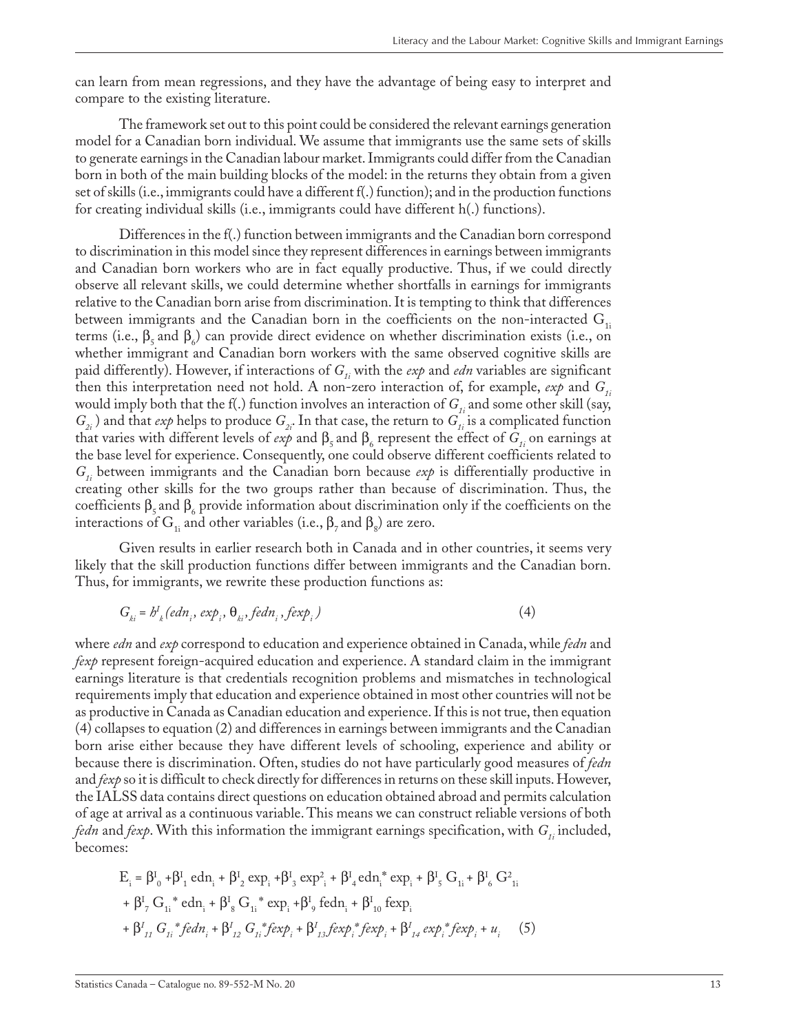can learn from mean regressions, and they have the advantage of being easy to interpret and compare to the existing literature.

The framework set out to this point could be considered the relevant earnings generation model for a Canadian born individual. We assume that immigrants use the same sets of skills to generate earnings in the Canadian labour market. Immigrants could differ from the Canadian born in both of the main building blocks of the model: in the returns they obtain from a given set of skills (i.e., immigrants could have a different f(.) function); and in the production functions for creating individual skills (i.e., immigrants could have different h(.) functions).

Differences in the f(.) function between immigrants and the Canadian born correspond to discrimination in this model since they represent differences in earnings between immigrants and Canadian born workers who are in fact equally productive. Thus, if we could directly observe all relevant skills, we could determine whether shortfalls in earnings for immigrants relative to the Canadian born arise from discrimination. It is tempting to think that differences between immigrants and the Canadian born in the coefficients on the non-interacted  $G_{1i}$ terms (i.e.,  $\beta_5$  and  $\beta_6$ ) can provide direct evidence on whether discrimination exists (i.e., on whether immigrant and Canadian born workers with the same observed cognitive skills are paid differently). However, if interactions of  $G_i$  with the *exp* and *edn* variables are significant then this interpretation need not hold. A non-zero interaction of, for example,  $\exp$  and  $G_i$ would imply both that the f(.) function involves an interaction of  $G_{1i}$  and some other skill (say,  $G_{2i}$ ) and that *exp* helps to produce  $G_{2i}$ . In that case, the return to  $G_{1i}$  is a complicated function that varies with different levels of *exp* and  $\beta_5$  and  $\beta_6$  represent the effect of  $G_{1i}$  on earnings at the base level for experience. Consequently, one could observe different coefficients related to *G1i* between immigrants and the Canadian born because *exp* is differentially productive in creating other skills for the two groups rather than because of discrimination. Thus, the coefficients  $\beta_5$  and  $\beta_6$  provide information about discrimination only if the coefficients on the interactions of  $\mathrm{G}_{_{1\mathrm{i}}}$  and other variables (i.e.,  $\mathrm{\beta}_{_{7}}$  and  $\mathrm{\beta}_{_{8}}$ ) are zero.

Given results in earlier research both in Canada and in other countries, it seems very likely that the skill production functions differ between immigrants and the Canadian born. Thus, for immigrants, we rewrite these production functions as:

$$
G_{ki} = b^I_{\ k} (edn_i, exp_i, \theta_{ki}, fedn_i, fexp_i)
$$
 (4)

where *edn* and *exp* correspond to education and experience obtained in Canada, while *fedn* and *fexp* represent foreign-acquired education and experience. A standard claim in the immigrant earnings literature is that credentials recognition problems and mismatches in technological requirements imply that education and experience obtained in most other countries will not be as productive in Canada as Canadian education and experience. If this is not true, then equation (4) collapses to equation (2) and differences in earnings between immigrants and the Canadian born arise either because they have different levels of schooling, experience and ability or because there is discrimination. Often, studies do not have particularly good measures of *fedn* and *fexp* so it is difficult to check directly for differences in returns on these skill inputs. However, the IALSS data contains direct questions on education obtained abroad and permits calculation of age at arrival as a continuous variable. This means we can construct reliable versions of both *fedn* and *fexp*. With this information the immigrant earnings specification, with  $G_{ij}$  included, becomes:

$$
E_{i} = \beta_{0}^{I} + \beta_{1}^{I} \text{ edn}_{i} + \beta_{2}^{I} \text{ exp}_{i} + \beta_{3}^{I} \text{ exp}_{i}^{2} + \beta_{4}^{I} \text{ edn}_{i}^{*} \text{ exp}_{i} + \beta_{5}^{I} \text{ G}_{1i} + \beta_{6}^{I} \text{ G}_{1i}^{2} + \beta_{7}^{I} \text{ G}_{1i}^{*} \text{ edn}_{i} + \beta_{8}^{I} \text{ G}_{1i}^{*} \text{ exp}_{i} + \beta_{9}^{I} \text{ fedn}_{i} + \beta_{10}^{I} \text{ fexp}_{i} + \beta_{11}^{I} \text{ G}_{1i}^{*} \text{fedn}_{i} + \beta_{12}^{I} \text{ G}_{1i}^{*} \text{ fexp}_{i} + \beta_{13}^{I} \text{ fexp}_{i}^{*} \text{ fexp}_{i} + \beta_{14}^{I} \text{ exp}_{i}^{*} \text{ fexp}_{i} + u_{i} \qquad (5)
$$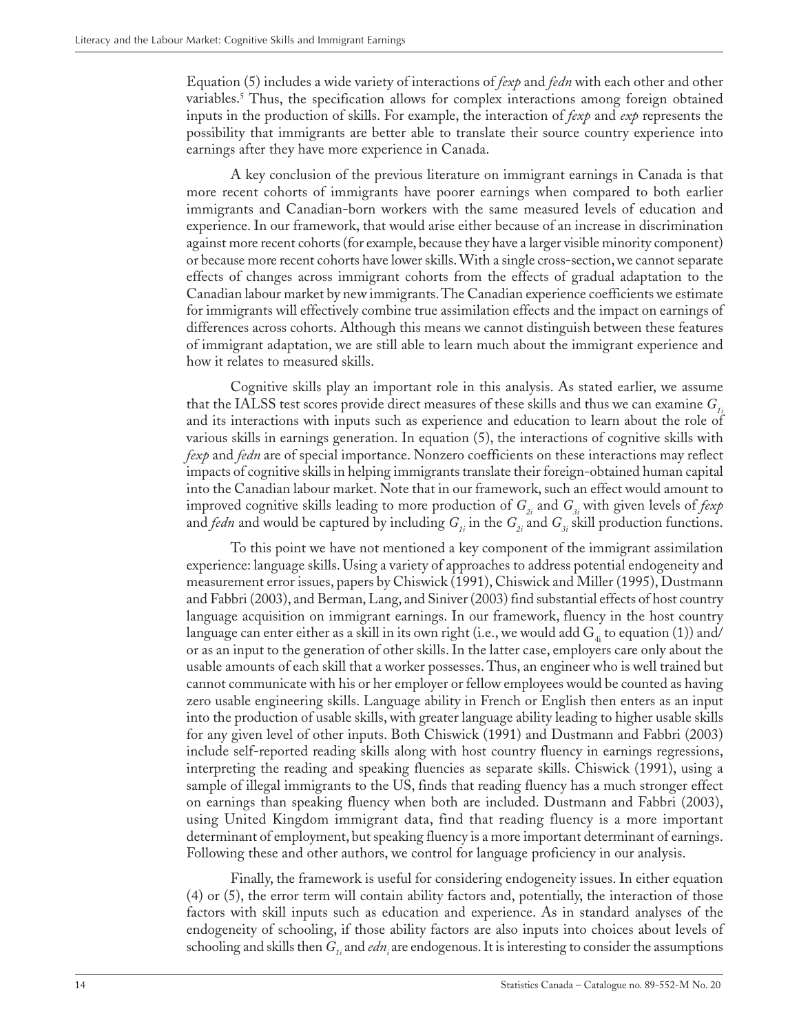Equation (5) includes a wide variety of interactions of *fexp* and *fedn* with each other and other variables.5 Thus, the specification allows for complex interactions among foreign obtained inputs in the production of skills. For example, the interaction of *fexp* and *exp* represents the possibility that immigrants are better able to translate their source country experience into earnings after they have more experience in Canada.

A key conclusion of the previous literature on immigrant earnings in Canada is that more recent cohorts of immigrants have poorer earnings when compared to both earlier immigrants and Canadian-born workers with the same measured levels of education and experience. In our framework, that would arise either because of an increase in discrimination against more recent cohorts (for example, because they have a larger visible minority component) or because more recent cohorts have lower skills. With a single cross-section, we cannot separate effects of changes across immigrant cohorts from the effects of gradual adaptation to the Canadian labour market by new immigrants. The Canadian experience coefficients we estimate for immigrants will effectively combine true assimilation effects and the impact on earnings of differences across cohorts. Although this means we cannot distinguish between these features of immigrant adaptation, we are still able to learn much about the immigrant experience and how it relates to measured skills.

Cognitive skills play an important role in this analysis. As stated earlier, we assume that the IALSS test scores provide direct measures of these skills and thus we can examine  $G_{ij}$ and its interactions with inputs such as experience and education to learn about the role of various skills in earnings generation. In equation (5), the interactions of cognitive skills with *fexp* and *fedn* are of special importance. Nonzero coefficients on these interactions may reflect impacts of cognitive skills in helping immigrants translate their foreign-obtained human capital into the Canadian labour market. Note that in our framework, such an effect would amount to improved cognitive skills leading to more production of  $G_{2i}$  and  $G_{3i}$  with given levels of *fexp* and *fedn* and would be captured by including  $G_i$  in the  $G_i$  and  $G_i$  skill production functions.

To this point we have not mentioned a key component of the immigrant assimilation experience: language skills. Using a variety of approaches to address potential endogeneity and measurement error issues, papers by Chiswick (1991), Chiswick and Miller (1995), Dustmann and Fabbri (2003), and Berman, Lang, and Siniver (2003) find substantial effects of host country language acquisition on immigrant earnings. In our framework, fluency in the host country language can enter either as a skill in its own right (i.e., we would add  $G_4$ ; to equation (1)) and/ or as an input to the generation of other skills. In the latter case, employers care only about the usable amounts of each skill that a worker possesses. Thus, an engineer who is well trained but cannot communicate with his or her employer or fellow employees would be counted as having zero usable engineering skills. Language ability in French or English then enters as an input into the production of usable skills, with greater language ability leading to higher usable skills for any given level of other inputs. Both Chiswick (1991) and Dustmann and Fabbri (2003) include self-reported reading skills along with host country fluency in earnings regressions, interpreting the reading and speaking fluencies as separate skills. Chiswick (1991), using a sample of illegal immigrants to the US, finds that reading fluency has a much stronger effect on earnings than speaking fluency when both are included. Dustmann and Fabbri (2003), using United Kingdom immigrant data, find that reading fluency is a more important determinant of employment, but speaking fluency is a more important determinant of earnings. Following these and other authors, we control for language proficiency in our analysis.

Finally, the framework is useful for considering endogeneity issues. In either equation (4) or (5), the error term will contain ability factors and, potentially, the interaction of those factors with skill inputs such as education and experience. As in standard analyses of the endogeneity of schooling, if those ability factors are also inputs into choices about levels of schooling and skills then  $G_i$  and *edn*, are endogenous. It is interesting to consider the assumptions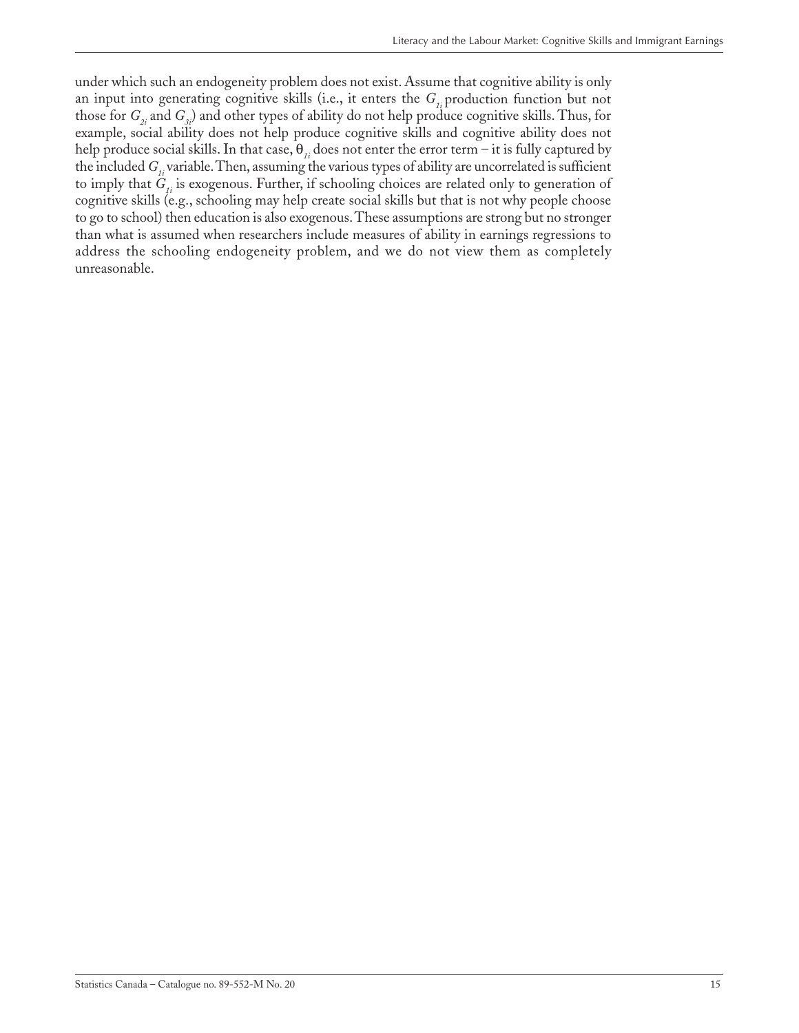under which such an endogeneity problem does not exist. Assume that cognitive ability is only an input into generating cognitive skills (i.e., it enters the  $G_{i}$  production function but not those for *G<sub>2i</sub>* and *G<sub>3i</sub>*) and other types of ability do not help produce cognitive skills. Thus, for example, social ability does not help produce cognitive skills and cognitive ability does not help produce social skills. In that case, θ*1i* does not enter the error term – it is fully captured by the included *G<sub>1</sub>*, variable. Then, assuming the various types of ability are uncorrelated is sufficient to imply that  $G_i$  is exogenous. Further, if schooling choices are related only to generation of cognitive skills (e.g., schooling may help create social skills but that is not why people choose to go to school) then education is also exogenous. These assumptions are strong but no stronger than what is assumed when researchers include measures of ability in earnings regressions to address the schooling endogeneity problem, and we do not view them as completely unreasonable.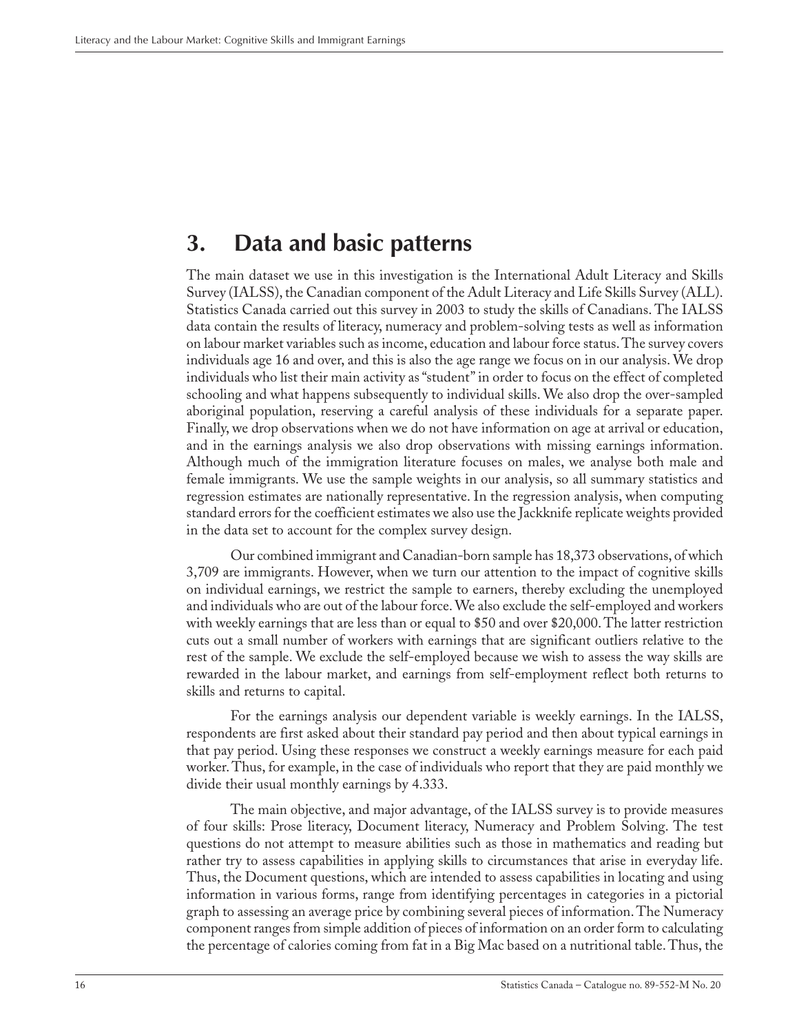# <span id="page-15-0"></span>**3. Data and basic patterns**

The main dataset we use in this investigation is the International Adult Literacy and Skills Survey (IALSS), the Canadian component of the Adult Literacy and Life Skills Survey (ALL). Statistics Canada carried out this survey in 2003 to study the skills of Canadians. The IALSS data contain the results of literacy, numeracy and problem-solving tests as well as information on labour market variables such as income, education and labour force status. The survey covers individuals age 16 and over, and this is also the age range we focus on in our analysis. We drop individuals who list their main activity as "student" in order to focus on the effect of completed schooling and what happens subsequently to individual skills. We also drop the over-sampled aboriginal population, reserving a careful analysis of these individuals for a separate paper. Finally, we drop observations when we do not have information on age at arrival or education, and in the earnings analysis we also drop observations with missing earnings information. Although much of the immigration literature focuses on males, we analyse both male and female immigrants. We use the sample weights in our analysis, so all summary statistics and regression estimates are nationally representative. In the regression analysis, when computing standard errors for the coefficient estimates we also use the Jackknife replicate weights provided in the data set to account for the complex survey design.

Our combined immigrant and Canadian-born sample has 18,373 observations, of which 3,709 are immigrants. However, when we turn our attention to the impact of cognitive skills on individual earnings, we restrict the sample to earners, thereby excluding the unemployed and individuals who are out of the labour force. We also exclude the self-employed and workers with weekly earnings that are less than or equal to \$50 and over \$20,000. The latter restriction cuts out a small number of workers with earnings that are significant outliers relative to the rest of the sample. We exclude the self-employed because we wish to assess the way skills are rewarded in the labour market, and earnings from self-employment reflect both returns to skills and returns to capital.

For the earnings analysis our dependent variable is weekly earnings. In the IALSS, respondents are first asked about their standard pay period and then about typical earnings in that pay period. Using these responses we construct a weekly earnings measure for each paid worker. Thus, for example, in the case of individuals who report that they are paid monthly we divide their usual monthly earnings by 4.333.

The main objective, and major advantage, of the IALSS survey is to provide measures of four skills: Prose literacy, Document literacy, Numeracy and Problem Solving. The test questions do not attempt to measure abilities such as those in mathematics and reading but rather try to assess capabilities in applying skills to circumstances that arise in everyday life. Thus, the Document questions, which are intended to assess capabilities in locating and using information in various forms, range from identifying percentages in categories in a pictorial graph to assessing an average price by combining several pieces of information. The Numeracy component ranges from simple addition of pieces of information on an order form to calculating the percentage of calories coming from fat in a Big Mac based on a nutritional table. Thus, the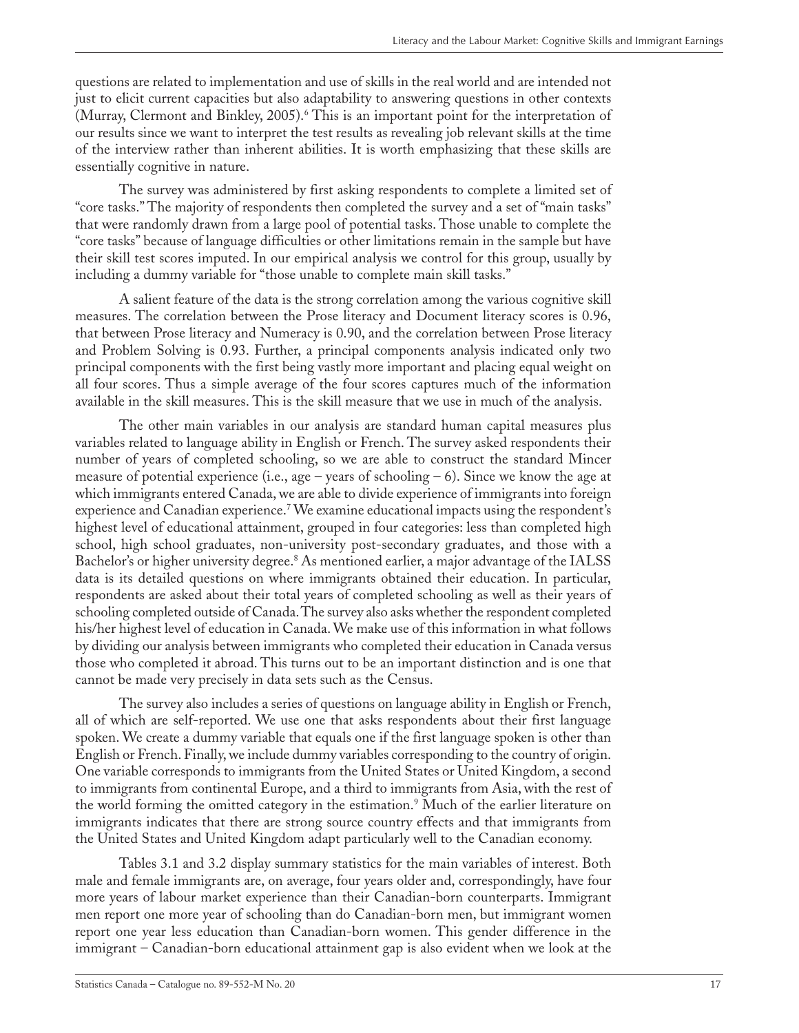questions are related to implementation and use of skills in the real world and are intended not just to elicit current capacities but also adaptability to answering questions in other contexts (Murray, Clermont and Binkley, 2005).<sup>6</sup> This is an important point for the interpretation of our results since we want to interpret the test results as revealing job relevant skills at the time of the interview rather than inherent abilities. It is worth emphasizing that these skills are essentially cognitive in nature.

The survey was administered by first asking respondents to complete a limited set of "core tasks." The majority of respondents then completed the survey and a set of "main tasks" that were randomly drawn from a large pool of potential tasks. Those unable to complete the "core tasks" because of language difficulties or other limitations remain in the sample but have their skill test scores imputed. In our empirical analysis we control for this group, usually by including a dummy variable for "those unable to complete main skill tasks."

A salient feature of the data is the strong correlation among the various cognitive skill measures. The correlation between the Prose literacy and Document literacy scores is 0.96, that between Prose literacy and Numeracy is 0.90, and the correlation between Prose literacy and Problem Solving is 0.93. Further, a principal components analysis indicated only two principal components with the first being vastly more important and placing equal weight on all four scores. Thus a simple average of the four scores captures much of the information available in the skill measures. This is the skill measure that we use in much of the analysis.

The other main variables in our analysis are standard human capital measures plus variables related to language ability in English or French. The survey asked respondents their number of years of completed schooling, so we are able to construct the standard Mincer measure of potential experience (i.e., age – years of schooling – 6). Since we know the age at which immigrants entered Canada, we are able to divide experience of immigrants into foreign experience and Canadian experience.7 We examine educational impacts using the respondent's highest level of educational attainment, grouped in four categories: less than completed high school, high school graduates, non-university post-secondary graduates, and those with a Bachelor's or higher university degree.<sup>8</sup> As mentioned earlier, a major advantage of the IALSS data is its detailed questions on where immigrants obtained their education. In particular, respondents are asked about their total years of completed schooling as well as their years of schooling completed outside of Canada. The survey also asks whether the respondent completed his/her highest level of education in Canada. We make use of this information in what follows by dividing our analysis between immigrants who completed their education in Canada versus those who completed it abroad. This turns out to be an important distinction and is one that cannot be made very precisely in data sets such as the Census.

The survey also includes a series of questions on language ability in English or French, all of which are self-reported. We use one that asks respondents about their first language spoken. We create a dummy variable that equals one if the first language spoken is other than English or French. Finally, we include dummy variables corresponding to the country of origin. One variable corresponds to immigrants from the United States or United Kingdom, a second to immigrants from continental Europe, and a third to immigrants from Asia, with the rest of the world forming the omitted category in the estimation.<sup>9</sup> Much of the earlier literature on immigrants indicates that there are strong source country effects and that immigrants from the United States and United Kingdom adapt particularly well to the Canadian economy.

Tables 3.1 and 3.2 display summary statistics for the main variables of interest. Both male and female immigrants are, on average, four years older and, correspondingly, have four more years of labour market experience than their Canadian-born counterparts. Immigrant men report one more year of schooling than do Canadian-born men, but immigrant women report one year less education than Canadian-born women. This gender difference in the immigrant – Canadian-born educational attainment gap is also evident when we look at the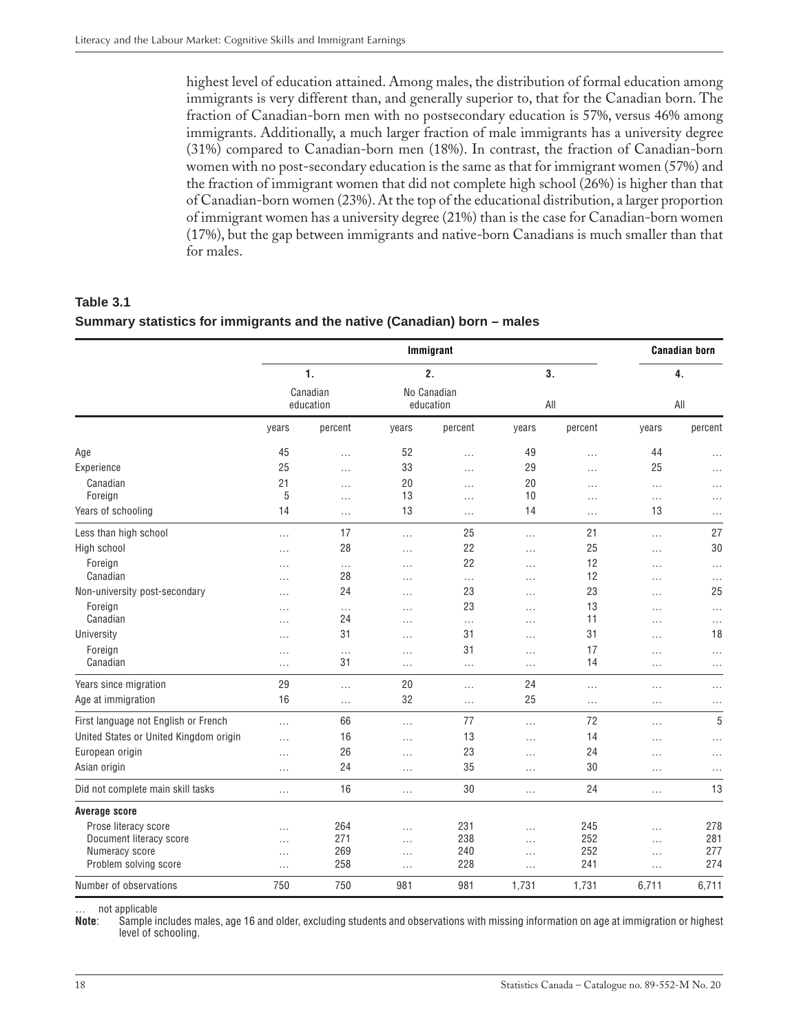<span id="page-17-0"></span>highest level of education attained. Among males, the distribution of formal education among immigrants is very different than, and generally superior to, that for the Canadian born. The fraction of Canadian-born men with no postsecondary education is 57%, versus 46% among immigrants. Additionally, a much larger fraction of male immigrants has a university degree (31%) compared to Canadian-born men (18%). In contrast, the fraction of Canadian-born women with no post-secondary education is the same as that for immigrant women (57%) and the fraction of immigrant women that did not complete high school (26%) is higher than that of Canadian-born women (23%). At the top of the educational distribution, a larger proportion of immigrant women has a university degree (21%) than is the case for Canadian-born women (17%), but the gap between immigrants and native-born Canadians is much smaller than that for males.

**Table 3.1 Summary statistics for immigrants and the native (Canadian) born – males**

|                                        |                |                       |          | Immigrant                |          |          |          | <b>Canadian born</b> |  |
|----------------------------------------|----------------|-----------------------|----------|--------------------------|----------|----------|----------|----------------------|--|
|                                        | $\mathbf{1}$ . |                       |          | 2.                       |          | 3.       |          | 4.                   |  |
|                                        |                | Canadian<br>education |          | No Canadian<br>education |          | All      |          | All                  |  |
|                                        | years          | percent               | years    | percent                  | years    | percent  | years    | percent              |  |
| Age                                    | 45             | .                     | 52       | $\ldots$                 | 49       | .        | 44       | $\ldots$             |  |
| Experience                             | 25             | $\cdots$              | 33       | $\cdots$                 | 29       | .        | 25       | $\cdots$             |  |
| Canadian                               | 21             | $\cdots$              | 20       | $\cdots$                 | 20       | .        | $\cdots$ | $\cdots$             |  |
| Foreign                                | 5              | $\cdots$              | 13       | $\cdots$                 | 10       | $\cdots$ | $\cdots$ | $\cdots$             |  |
| Years of schooling                     | 14             | $\cdots$              | 13       | $\cdots$                 | 14       | .        | 13       | $\cdots$             |  |
| Less than high school                  | $\cdots$       | 17                    | $\ldots$ | 25                       | $\cdots$ | 21       | $\cdots$ | 27                   |  |
| High school                            | $\cdots$       | 28                    | $\cdots$ | 22                       | .        | 25       | .        | 30                   |  |
| Foreign                                | $\cdots$       | $\cdots$              | $\cdots$ | 22                       | .        | 12       | .        | $\cdots$             |  |
| Canadian                               | $\cdots$       | 28                    | $\cdots$ | $\cdots$                 | .        | 12       | .        | $\cdots$             |  |
| Non-university post-secondary          | .              | 24                    | $\cdots$ | 23                       | .        | 23       | .        | 25                   |  |
| Foreign                                | $\cdots$       | $\cdots$              | $\ldots$ | 23                       | .        | 13       | .        | $\cdots$             |  |
| Canadian                               | $\cdots$       | 24                    | $\cdots$ | $\cdots$                 | .        | 11       | .        | $\ldots$             |  |
| University                             | $\cdots$       | 31                    | $\cdots$ | 31                       | $\cdots$ | 31       | .        | 18                   |  |
| Foreign                                | $\cdots$       | $\cdots$              | $\cdots$ | 31                       | $\cdots$ | 17       | .        | $\cdots$             |  |
| Canadian                               | .              | 31                    | $\cdots$ | $\cdots$                 | $\cdots$ | 14       | .        | $\cdots$             |  |
| Years since migration                  | 29             | $\cdots$              | 20       | $\cdots$                 | 24       | $\cdots$ | $\cdots$ | .                    |  |
| Age at immigration                     | 16             | $\cdots$              | 32       | $\cdots$                 | 25       | $\cdots$ | .        | $\cdots$             |  |
| First language not English or French   | $\cdots$       | 66                    | $\cdots$ | 77                       | $\cdots$ | 72       | .        | 5                    |  |
| United States or United Kingdom origin | $\cdots$       | 16                    | $\cdots$ | 13                       | .        | 14       | .        | $\cdots$             |  |
| European origin                        | $\cdots$       | 26                    | $\cdots$ | 23                       | $\cdots$ | 24       | .        | $\cdots$             |  |
| Asian origin                           | .              | 24                    | $\cdots$ | 35                       | .        | 30       | .        | $\cdots$             |  |
| Did not complete main skill tasks      | $\cdots$       | 16                    | $\cdots$ | 30                       | $\cdots$ | 24       | $\cdots$ | 13                   |  |
| <b>Average score</b>                   |                |                       |          |                          |          |          |          |                      |  |
| Prose literacy score                   | .              | 264                   | $\cdots$ | 231                      | .        | 245      | .        | 278                  |  |
| Document literacy score                | $\cdots$       | 271                   | $\cdots$ | 238                      | $\cdots$ | 252      | .        | 281                  |  |
| Numeracy score                         | $\cdots$       | 269                   | $\cdots$ | 240                      | $\cdots$ | 252      | $\cdots$ | 277                  |  |
| Problem solving score                  | $\cdots$       | 258                   | $\cdots$ | 228                      | $\cdots$ | 241      | $\cdots$ | 274                  |  |
| Number of observations                 | 750            | 750                   | 981      | 981                      | 1,731    | 1,731    | 6,711    | 6,711                |  |

… not applicable

**Note**: Sample includes males, age 16 and older, excluding students and observations with missing information on age at immigration or highest level of schooling.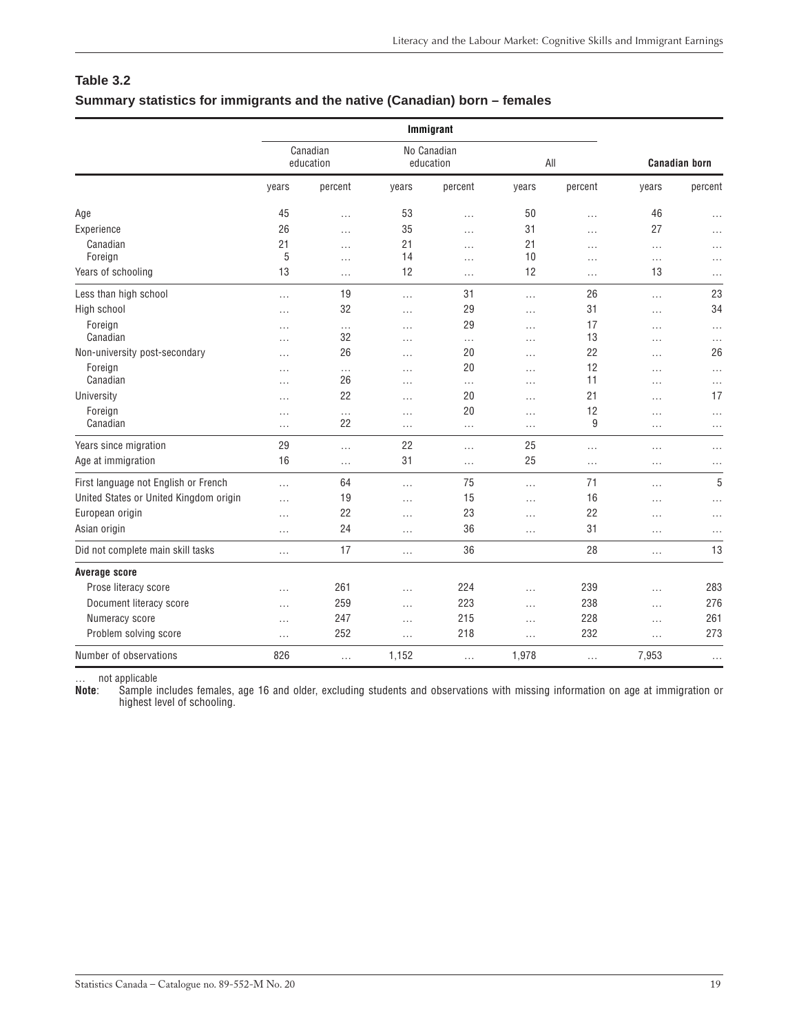### <span id="page-18-0"></span>**Table 3.2 Summary statistics for immigrants and the native (Canadian) born – females**

|                                        |                       |          |          | Immigrant                |          |          |          |                      |
|----------------------------------------|-----------------------|----------|----------|--------------------------|----------|----------|----------|----------------------|
|                                        | Canadian<br>education |          |          | No Canadian<br>education |          | All      |          | <b>Canadian born</b> |
|                                        | years                 | percent  | years    | percent                  | years    | percent  | years    | percent              |
| Age                                    | 45                    | $\cdots$ | 53       | $\cdots$                 | 50       | $\cdots$ | 46       | $\cdots$             |
| Experience                             | 26                    | $\cdots$ | 35       | .                        | 31       | $\cdots$ | 27       | $\cdots$             |
| Canadian                               | 21                    | .        | 21       | $\cdots$                 | 21       | .        | $\cdots$ | $\cdots$             |
| Foreign                                | 5                     | $\cdots$ | 14       | $\cdots$                 | 10       | .        | $\cdots$ | $\cdots$             |
| Years of schooling                     | 13                    | $\cdots$ | 12       | $\cdots$                 | 12       | $\cdots$ | 13       | $\cdots$             |
| Less than high school                  | $\cdots$              | 19       | $\cdots$ | 31                       | $\ldots$ | 26       | $\cdots$ | 23                   |
| High school                            | $\cdots$              | 32       | .        | 29                       | $\cdots$ | 31       | .        | 34                   |
| Foreign                                | $\cdots$              | $\ldots$ | $\cdots$ | 29                       | $\cdots$ | 17       | $\cdots$ | $\cdots$             |
| Canadian                               | $\cdots$              | 32       | .        | $\cdots$                 | $\cdots$ | 13       | $\cdots$ | $\cdots$             |
| Non-university post-secondary          | $\cdots$              | 26       | .        | 20                       | $\cdots$ | 22       | $\cdots$ | 26                   |
| Foreign                                | $\cdots$              | $\cdots$ | .        | 20                       | .        | 12       | .        | $\cdots$             |
| Canadian                               | .                     | 26       | .        | $\cdots$                 | .        | 11       | .        | $\cdots$             |
| University                             | $\cdots$              | 22       | $\cdots$ | 20                       | $\cdots$ | 21       | $\cdots$ | 17                   |
| Foreign                                | $\cdots$              | $\cdots$ | .        | 20                       | $\cdots$ | 12       | $\cdots$ | $\cdots$             |
| Canadian                               | $\cdots$              | 22       | $\cdots$ | $\cdots$                 | $\cdots$ | 9        | $\cdots$ | $\cdots$             |
| Years since migration                  | 29                    | $\cdots$ | 22       | $\cdots$                 | 25       | $\cdots$ | $\cdots$ | $\cdots$             |
| Age at immigration                     | 16                    | $\cdots$ | 31       | $\cdots$                 | 25       | .        | $\cdots$ | $\cdots$             |
| First language not English or French   | $\cdots$              | 64       | .        | 75                       | $\cdots$ | 71       | $\cdots$ | 5                    |
| United States or United Kingdom origin | $\cdots$              | 19       | $\cdots$ | 15                       | $\cdots$ | 16       | .        | $\cdots$             |
| European origin                        | $\cdots$              | 22       | $\cdots$ | 23                       | $\cdots$ | 22       | $\cdots$ | $\cdots$             |
| Asian origin                           | $\cdots$              | 24       | $\cdots$ | 36                       | $\cdots$ | 31       | $\cdots$ | $\cdots$             |
| Did not complete main skill tasks      | $\cdots$              | 17       | $\cdots$ | 36                       |          | 28       | $\cdots$ | 13                   |
| <b>Average score</b>                   |                       |          |          |                          |          |          |          |                      |
| Prose literacy score                   | $\cdots$              | 261      | .        | 224                      | $\cdots$ | 239      | $\cdots$ | 283                  |
| Document literacy score                | $\cdots$              | 259      | $\cdots$ | 223                      | $\cdots$ | 238      | $\cdots$ | 276                  |
| Numeracy score                         | $\cdots$              | 247      | $\cdots$ | 215                      | $\cdots$ | 228      | $\cdots$ | 261                  |
| Problem solving score                  | $\cdots$              | 252      | .        | 218                      | .        | 232      | .        | 273                  |
| Number of observations                 | 826                   | $\cdots$ | 1,152    | $\cdots$                 | 1,978    | $\cdots$ | 7,953    | $\cdots$             |

… not applicable

**Note**: Sample includes females, age 16 and older, excluding students and observations with missing information on age at immigration or highest level of schooling.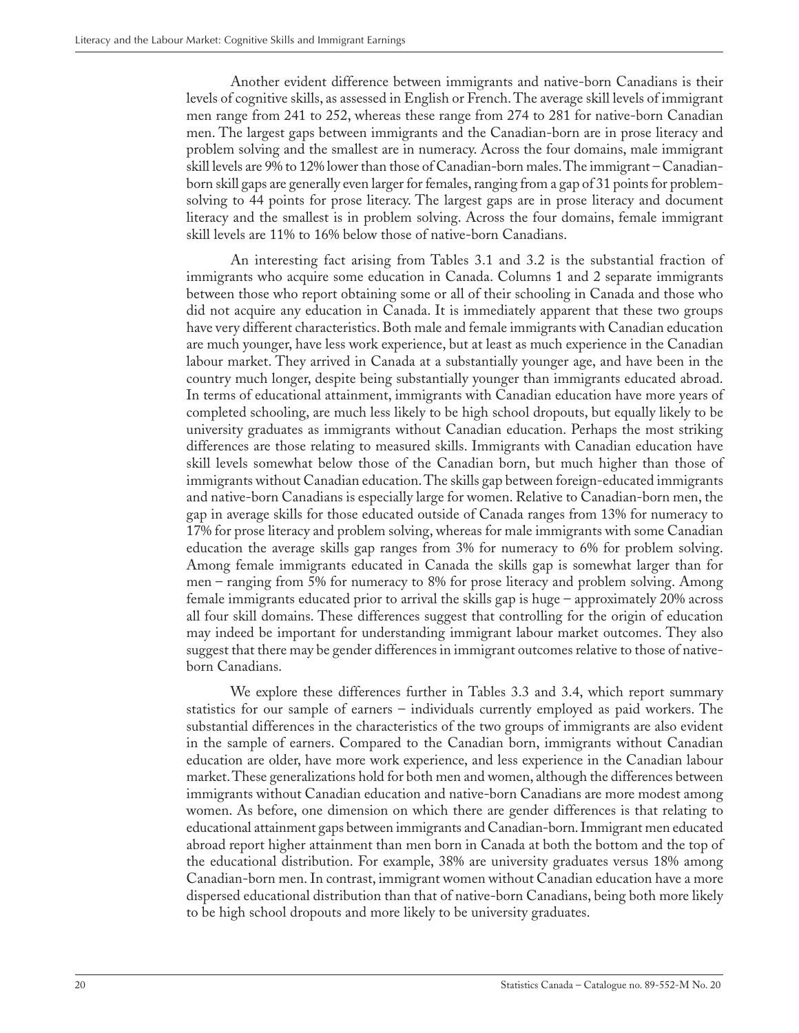Another evident difference between immigrants and native-born Canadians is their levels of cognitive skills, as assessed in English or French. The average skill levels of immigrant men range from 241 to 252, whereas these range from 274 to 281 for native-born Canadian men. The largest gaps between immigrants and the Canadian-born are in prose literacy and problem solving and the smallest are in numeracy. Across the four domains, male immigrant skill levels are 9% to 12% lower than those of Canadian-born males. The immigrant – Canadianborn skill gaps are generally even larger for females, ranging from a gap of 31 points for problemsolving to 44 points for prose literacy. The largest gaps are in prose literacy and document literacy and the smallest is in problem solving. Across the four domains, female immigrant skill levels are 11% to 16% below those of native-born Canadians.

An interesting fact arising from Tables 3.1 and 3.2 is the substantial fraction of immigrants who acquire some education in Canada. Columns 1 and 2 separate immigrants between those who report obtaining some or all of their schooling in Canada and those who did not acquire any education in Canada. It is immediately apparent that these two groups have very different characteristics. Both male and female immigrants with Canadian education are much younger, have less work experience, but at least as much experience in the Canadian labour market. They arrived in Canada at a substantially younger age, and have been in the country much longer, despite being substantially younger than immigrants educated abroad. In terms of educational attainment, immigrants with Canadian education have more years of completed schooling, are much less likely to be high school dropouts, but equally likely to be university graduates as immigrants without Canadian education. Perhaps the most striking differences are those relating to measured skills. Immigrants with Canadian education have skill levels somewhat below those of the Canadian born, but much higher than those of immigrants without Canadian education. The skills gap between foreign-educated immigrants and native-born Canadians is especially large for women. Relative to Canadian-born men, the gap in average skills for those educated outside of Canada ranges from 13% for numeracy to 17% for prose literacy and problem solving, whereas for male immigrants with some Canadian education the average skills gap ranges from 3% for numeracy to 6% for problem solving. Among female immigrants educated in Canada the skills gap is somewhat larger than for men – ranging from 5% for numeracy to 8% for prose literacy and problem solving. Among female immigrants educated prior to arrival the skills gap is huge – approximately 20% across all four skill domains. These differences suggest that controlling for the origin of education may indeed be important for understanding immigrant labour market outcomes. They also suggest that there may be gender differences in immigrant outcomes relative to those of nativeborn Canadians.

We explore these differences further in Tables 3.3 and 3.4, which report summary statistics for our sample of earners – individuals currently employed as paid workers. The substantial differences in the characteristics of the two groups of immigrants are also evident in the sample of earners. Compared to the Canadian born, immigrants without Canadian education are older, have more work experience, and less experience in the Canadian labour market. These generalizations hold for both men and women, although the differences between immigrants without Canadian education and native-born Canadians are more modest among women. As before, one dimension on which there are gender differences is that relating to educational attainment gaps between immigrants and Canadian-born. Immigrant men educated abroad report higher attainment than men born in Canada at both the bottom and the top of the educational distribution. For example, 38% are university graduates versus 18% among Canadian-born men. In contrast, immigrant women without Canadian education have a more dispersed educational distribution than that of native-born Canadians, being both more likely to be high school dropouts and more likely to be university graduates.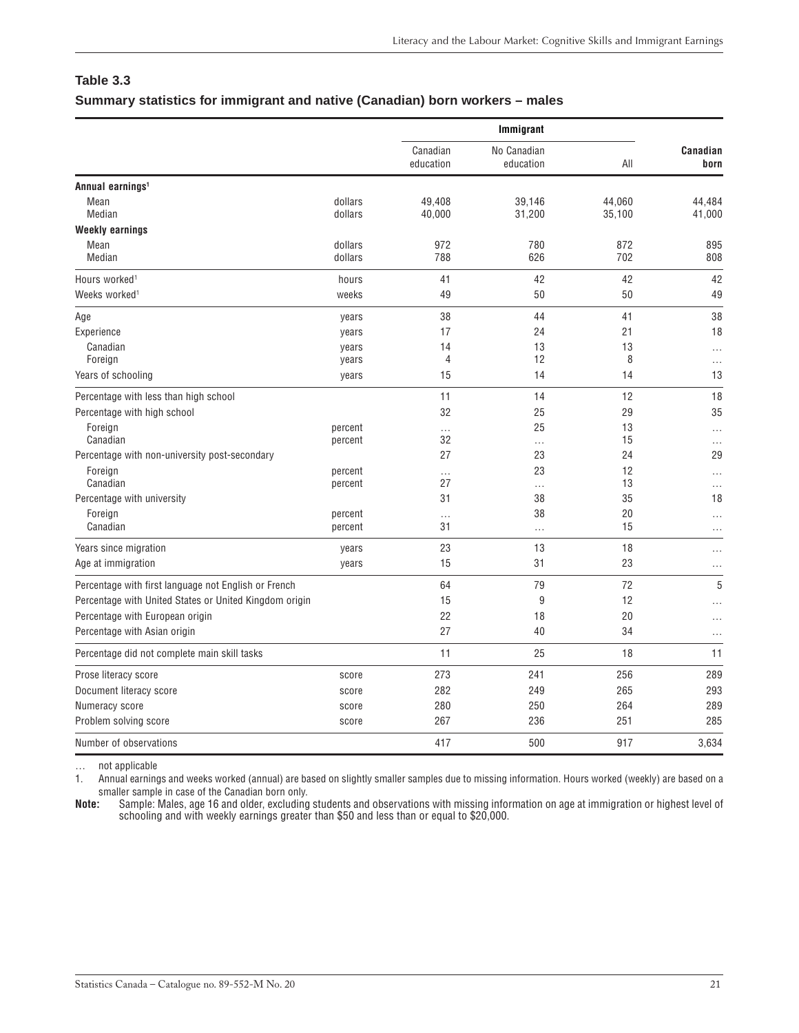# <span id="page-20-0"></span>**Table 3.3**

|                                                        |         |                       | Immigrant                |        |                                                                                                                                                                                                                                                   |
|--------------------------------------------------------|---------|-----------------------|--------------------------|--------|---------------------------------------------------------------------------------------------------------------------------------------------------------------------------------------------------------------------------------------------------|
|                                                        |         | Canadian<br>education | No Canadian<br>education | All    | Canadian<br>born<br>44,484<br>41,000<br>895<br>808<br>42<br>49<br>38<br>18<br>$\cdots$<br>$\cdots$<br>13<br>18<br>35<br>$\cdots$<br>$\cdots$<br>29<br>$\cdots$<br>$\cdots$<br>18<br>$\cdots$<br>$\cdots$<br>$\cdots$<br>$\cdots$<br>5<br>$\cdots$ |
| Annual earnings <sup>1</sup>                           |         |                       |                          |        |                                                                                                                                                                                                                                                   |
| Mean                                                   | dollars | 49,408                | 39,146                   | 44,060 |                                                                                                                                                                                                                                                   |
| Median                                                 | dollars | 40,000                | 31,200                   | 35,100 |                                                                                                                                                                                                                                                   |
| <b>Weekly earnings</b>                                 |         |                       |                          |        |                                                                                                                                                                                                                                                   |
| Mean                                                   | dollars | 972                   | 780                      | 872    |                                                                                                                                                                                                                                                   |
| Median                                                 | dollars | 788                   | 626                      | 702    |                                                                                                                                                                                                                                                   |
| Hours worked <sup>1</sup>                              | hours   | 41                    | 42                       | 42     |                                                                                                                                                                                                                                                   |
| Weeks worked <sup>1</sup>                              | weeks   | 49                    | 50                       | 50     |                                                                                                                                                                                                                                                   |
| Age                                                    | years   | 38                    | 44                       | 41     |                                                                                                                                                                                                                                                   |
| Experience                                             | years   | 17                    | 24                       | 21     |                                                                                                                                                                                                                                                   |
| Canadian                                               | years   | 14                    | 13                       | 13     |                                                                                                                                                                                                                                                   |
| Foreign                                                | years   | 4                     | 12                       | 8      |                                                                                                                                                                                                                                                   |
| Years of schooling                                     | years   | 15                    | 14                       | 14     |                                                                                                                                                                                                                                                   |
| Percentage with less than high school                  |         | 11                    | 14                       | 12     |                                                                                                                                                                                                                                                   |
| Percentage with high school                            |         | 32                    | 25                       | 29     |                                                                                                                                                                                                                                                   |
| Foreign                                                | percent | $\cdots$              | 25                       | 13     |                                                                                                                                                                                                                                                   |
| Canadian                                               | percent | 32                    | $\cdots$                 | 15     |                                                                                                                                                                                                                                                   |
| Percentage with non-university post-secondary          |         | 27                    | 23                       | 24     |                                                                                                                                                                                                                                                   |
| Foreign                                                | percent | $\cdots$              | 23                       | 12     |                                                                                                                                                                                                                                                   |
| Canadian                                               | percent | 27                    | .                        | 13     |                                                                                                                                                                                                                                                   |
| Percentage with university                             |         | 31                    | 38                       | 35     |                                                                                                                                                                                                                                                   |
| Foreign                                                | percent | $\cdots$              | 38                       | 20     |                                                                                                                                                                                                                                                   |
| Canadian                                               | percent | 31                    | $\cdots$                 | 15     |                                                                                                                                                                                                                                                   |
| Years since migration                                  | years   | 23                    | 13                       | 18     |                                                                                                                                                                                                                                                   |
| Age at immigration                                     | years   | 15                    | 31                       | 23     |                                                                                                                                                                                                                                                   |
| Percentage with first language not English or French   |         | 64                    | 79                       | 72     |                                                                                                                                                                                                                                                   |
| Percentage with United States or United Kingdom origin |         | 15                    | 9                        | 12     |                                                                                                                                                                                                                                                   |
| Percentage with European origin                        |         | 22                    | 18                       | 20     |                                                                                                                                                                                                                                                   |
| Percentage with Asian origin                           |         | 27                    | 40                       | 34     | .                                                                                                                                                                                                                                                 |
| Percentage did not complete main skill tasks           |         | 11                    | 25                       | 18     | 11                                                                                                                                                                                                                                                |

1. Annual earnings and weeks worked (annual) are based on slightly smaller samples due to missing information. Hours worked (weekly) are based on a

… not applicable

smaller sample in case of the Canadian born only.<br>**Note:** Sample: Males, age 16 and older, excluding **Note:** Sample: Males, age 16 and older, excluding students and observations with missing information on age at immigration or highest level of schooling and with weekly earnings greater than \$50 and less than or equal to \$20,000.

Prose literacy score 389 289 289 273 241 256 289 Document literacy score score 282 249 265 293 Numeracy score score 280 250 264 289 Problem solving score 385 285 286 267 236 251 285 Number of observations and the set of observations of the set of observations of the set of observations of the set of the set of the set of the set of the set of the set of the set of the set of the set of the set of the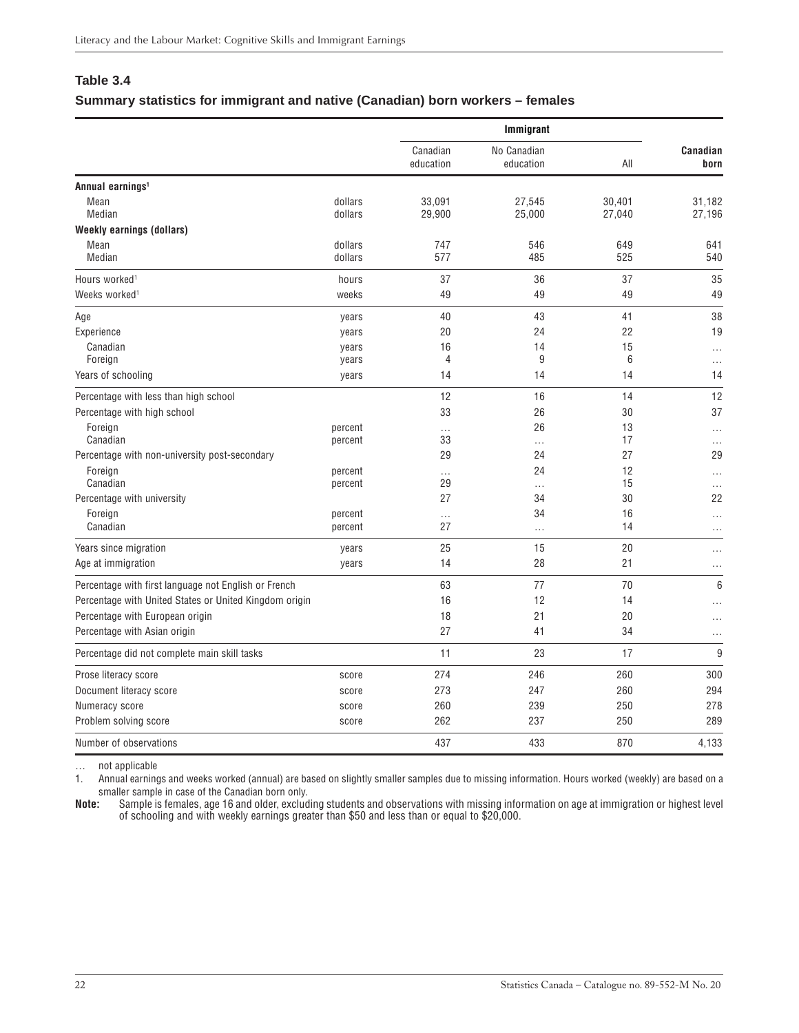### <span id="page-21-0"></span>**Table 3.4**

### **Summary statistics for immigrant and native (Canadian) born workers – females**

|                                                        |                    |                       | Immigrant                |                  |                      |  |  |
|--------------------------------------------------------|--------------------|-----------------------|--------------------------|------------------|----------------------|--|--|
|                                                        |                    | Canadian<br>education | No Canadian<br>education | All              | Canadian<br>born     |  |  |
| Annual earnings <sup>1</sup>                           |                    |                       |                          |                  |                      |  |  |
| Mean<br>Median                                         | dollars<br>dollars | 33,091<br>29,900      | 27,545<br>25,000         | 30.401<br>27,040 | 31,182<br>27,196     |  |  |
| <b>Weekly earnings (dollars)</b>                       |                    |                       |                          |                  |                      |  |  |
| Mean<br>Median                                         | dollars<br>dollars | 747<br>577            | 546<br>485               | 649<br>525       | 641<br>540           |  |  |
| Hours worked <sup>1</sup>                              | hours              | 37                    | 36                       | 37               | 35                   |  |  |
| Weeks worked <sup>1</sup>                              | weeks              | 49                    | 49                       | 49               | 49                   |  |  |
| Age                                                    | years              | 40                    | 43                       | 41               | 38                   |  |  |
| Experience                                             | years              | 20                    | 24                       | 22               | 19                   |  |  |
| Canadian                                               | years              | 16                    | 14                       | 15               | .                    |  |  |
| Foreign                                                | years              | 4                     | 9                        | 6                | $\cdots$             |  |  |
| Years of schooling                                     | years              | 14                    | 14                       | 14               | 14                   |  |  |
| Percentage with less than high school                  |                    | 12                    | 16                       | 14               | 12                   |  |  |
| Percentage with high school                            |                    | 33                    | 26                       | 30               | 37                   |  |  |
| Foreign                                                | percent            | .                     | 26                       | 13               | $\cdots$             |  |  |
| Canadian                                               | percent            | 33                    | .                        | 17               | $\cdots$             |  |  |
| Percentage with non-university post-secondary          |                    | 29                    | 24                       | 27               | 29                   |  |  |
| Foreign<br>Canadian                                    | percent<br>percent | .<br>29               | 24                       | 12<br>15         | $\cdots$             |  |  |
| Percentage with university                             |                    | 27                    | .<br>34                  | 30               | $\cdots$<br>22       |  |  |
| Foreign                                                | percent            |                       | 34                       | 16               |                      |  |  |
| Canadian                                               | percent            | .<br>27               | $\cdots$                 | 14               | $\ldots$<br>$\cdots$ |  |  |
| Years since migration                                  | years              | 25                    | 15                       | 20               | $\cdots$             |  |  |
| Age at immigration                                     | years              | 14                    | 28                       | 21               | $\cdots$             |  |  |
| Percentage with first language not English or French   |                    | 63                    | 77                       | 70               | 6                    |  |  |
| Percentage with United States or United Kingdom origin |                    | 16                    | 12                       | 14               | .                    |  |  |
| Percentage with European origin                        |                    | 18                    | 21                       | 20               | $\cdots$             |  |  |
| Percentage with Asian origin                           |                    | 27                    | 41                       | 34               | $\cdots$             |  |  |
| Percentage did not complete main skill tasks           |                    | 11                    | 23                       | 17               | 9                    |  |  |
| Prose literacy score                                   | score              | 274                   | 246                      | 260              | 300                  |  |  |
| Document literacy score                                | score              | 273                   | 247                      | 260              | 294                  |  |  |
| Numeracy score                                         | score              | 260                   | 239                      | 250              | 278                  |  |  |
| Problem solving score                                  | score              | 262                   | 237                      | 250              | 289                  |  |  |
| Number of observations                                 |                    | 437                   | 433                      | 870              | 4,133                |  |  |

… not applicable

1. Annual earnings and weeks worked (annual) are based on slightly smaller samples due to missing information. Hours worked (weekly) are based on a smaller sample in case of the Canadian born only.<br>**Note:** Sample is females, age 16 and older, exclude

**Note:** Sample is females, age 16 and older, excluding students and observations with missing information on age at immigration or highest level of schooling and with weekly earnings greater than \$50 and less than or equal to \$20,000.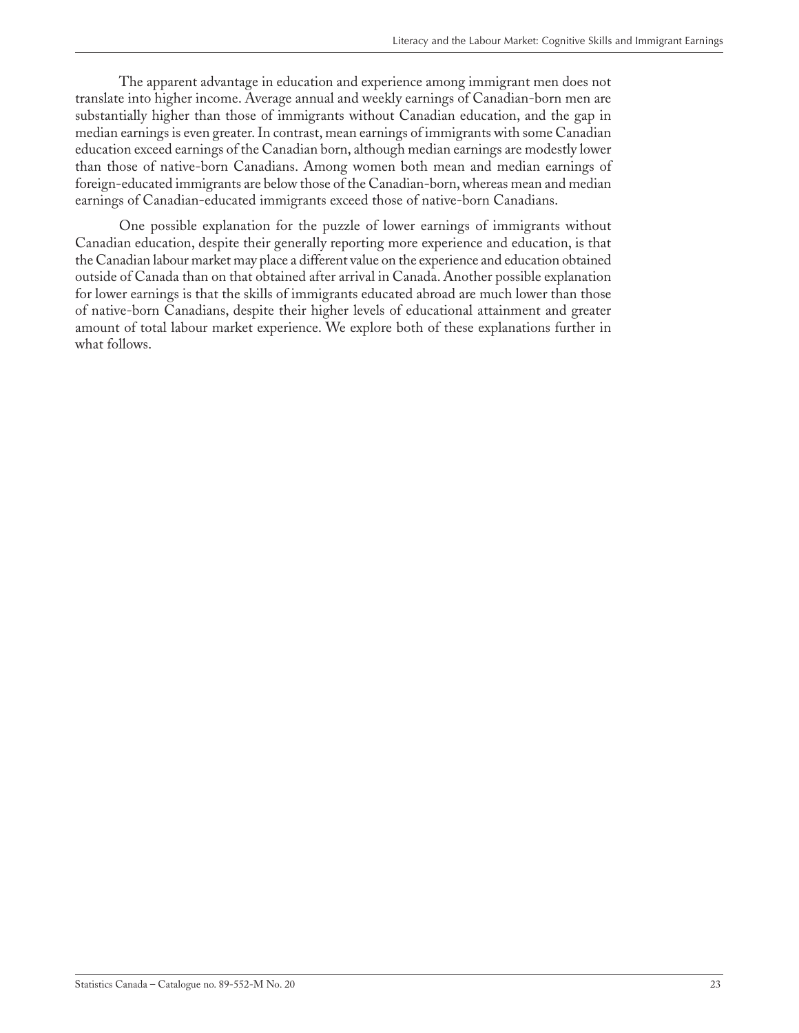The apparent advantage in education and experience among immigrant men does not translate into higher income. Average annual and weekly earnings of Canadian-born men are substantially higher than those of immigrants without Canadian education, and the gap in median earnings is even greater. In contrast, mean earnings of immigrants with some Canadian education exceed earnings of the Canadian born, although median earnings are modestly lower than those of native-born Canadians. Among women both mean and median earnings of foreign-educated immigrants are below those of the Canadian-born, whereas mean and median earnings of Canadian-educated immigrants exceed those of native-born Canadians.

One possible explanation for the puzzle of lower earnings of immigrants without Canadian education, despite their generally reporting more experience and education, is that the Canadian labour market may place a different value on the experience and education obtained outside of Canada than on that obtained after arrival in Canada. Another possible explanation for lower earnings is that the skills of immigrants educated abroad are much lower than those of native-born Canadians, despite their higher levels of educational attainment and greater amount of total labour market experience. We explore both of these explanations further in what follows.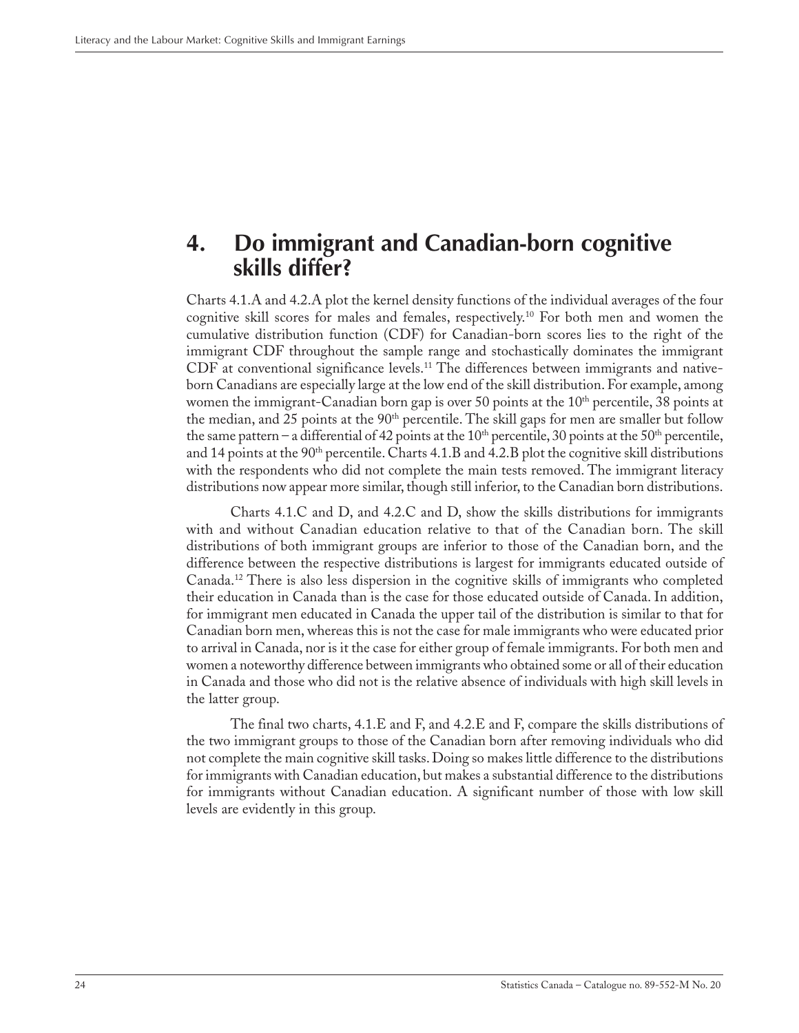## <span id="page-23-0"></span>**4. Do immigrant and Canadian-born cognitive skills differ?**

Charts 4.1.A and 4.2.A plot the kernel density functions of the individual averages of the four cognitive skill scores for males and females, respectively.10 For both men and women the cumulative distribution function (CDF) for Canadian-born scores lies to the right of the immigrant CDF throughout the sample range and stochastically dominates the immigrant CDF at conventional significance levels.11 The differences between immigrants and nativeborn Canadians are especially large at the low end of the skill distribution. For example, among women the immigrant-Canadian born gap is over 50 points at the  $10<sup>th</sup>$  percentile, 38 points at the median, and 25 points at the 90<sup>th</sup> percentile. The skill gaps for men are smaller but follow the same pattern – a differential of 42 points at the 10<sup>th</sup> percentile, 30 points at the 50<sup>th</sup> percentile, and 14 points at the  $90<sup>th</sup>$  percentile. Charts 4.1.B and 4.2.B plot the cognitive skill distributions with the respondents who did not complete the main tests removed. The immigrant literacy distributions now appear more similar, though still inferior, to the Canadian born distributions.

Charts 4.1.C and D, and 4.2.C and D, show the skills distributions for immigrants with and without Canadian education relative to that of the Canadian born. The skill distributions of both immigrant groups are inferior to those of the Canadian born, and the difference between the respective distributions is largest for immigrants educated outside of Canada.12 There is also less dispersion in the cognitive skills of immigrants who completed their education in Canada than is the case for those educated outside of Canada. In addition, for immigrant men educated in Canada the upper tail of the distribution is similar to that for Canadian born men, whereas this is not the case for male immigrants who were educated prior to arrival in Canada, nor is it the case for either group of female immigrants. For both men and women a noteworthy difference between immigrants who obtained some or all of their education in Canada and those who did not is the relative absence of individuals with high skill levels in the latter group.

The final two charts, 4.1.E and F, and 4.2.E and F, compare the skills distributions of the two immigrant groups to those of the Canadian born after removing individuals who did not complete the main cognitive skill tasks. Doing so makes little difference to the distributions for immigrants with Canadian education, but makes a substantial difference to the distributions for immigrants without Canadian education. A significant number of those with low skill levels are evidently in this group.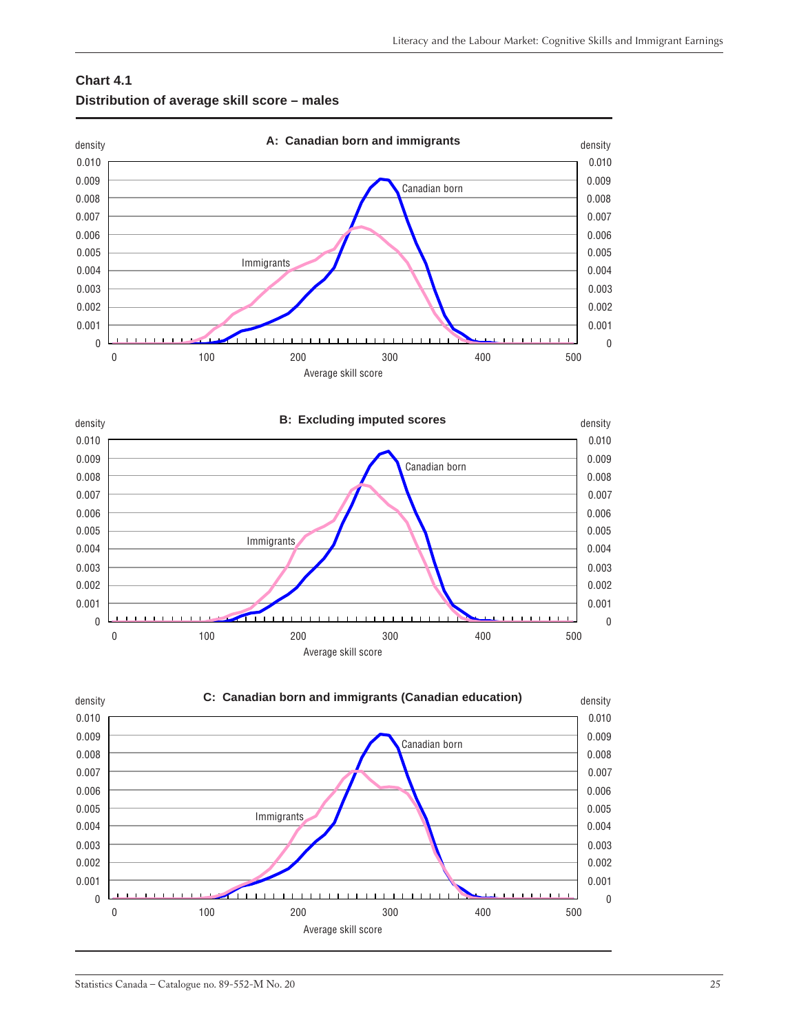<span id="page-24-0"></span>





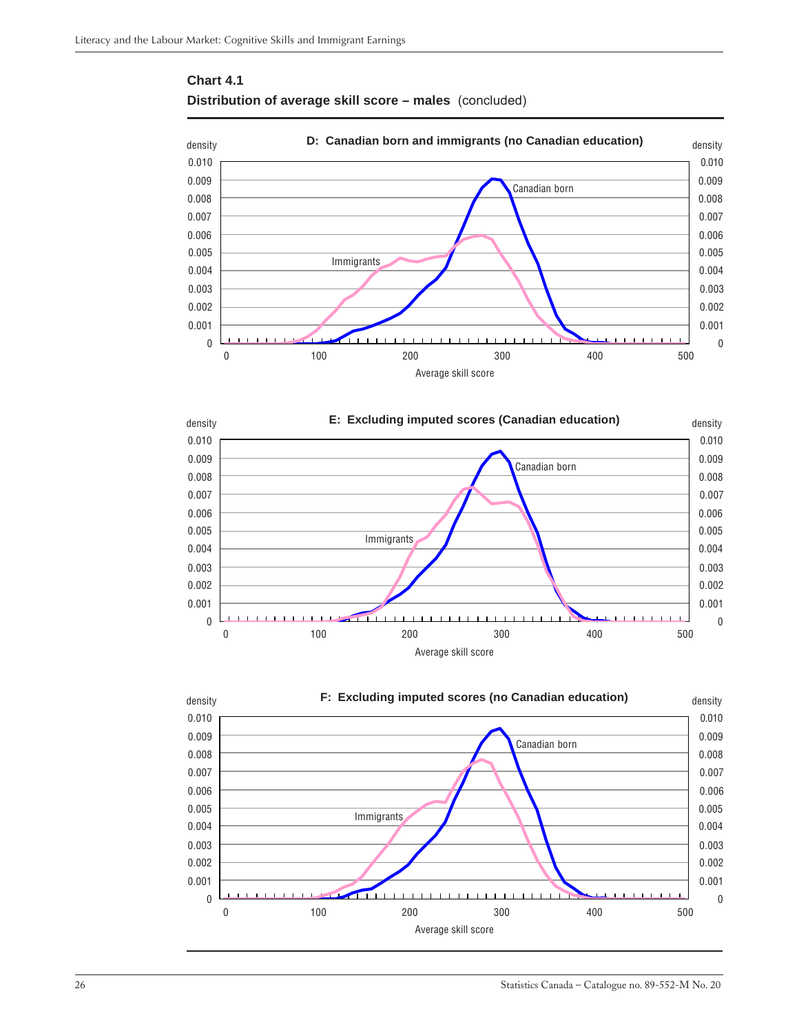





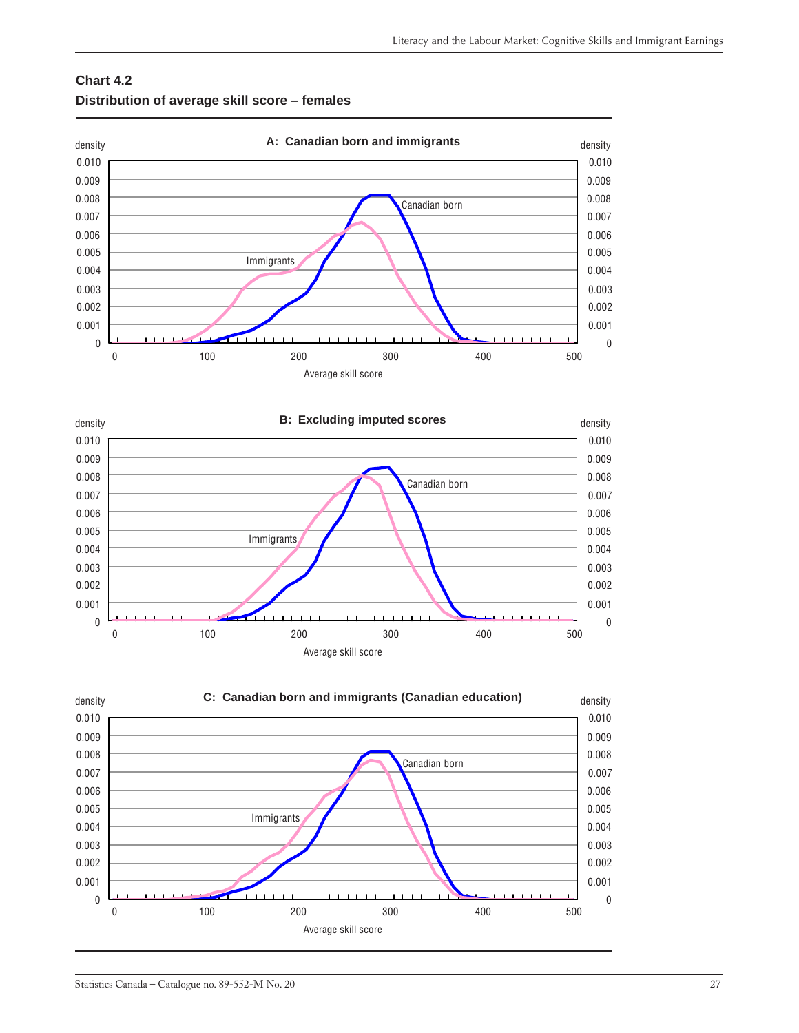<span id="page-26-0"></span>





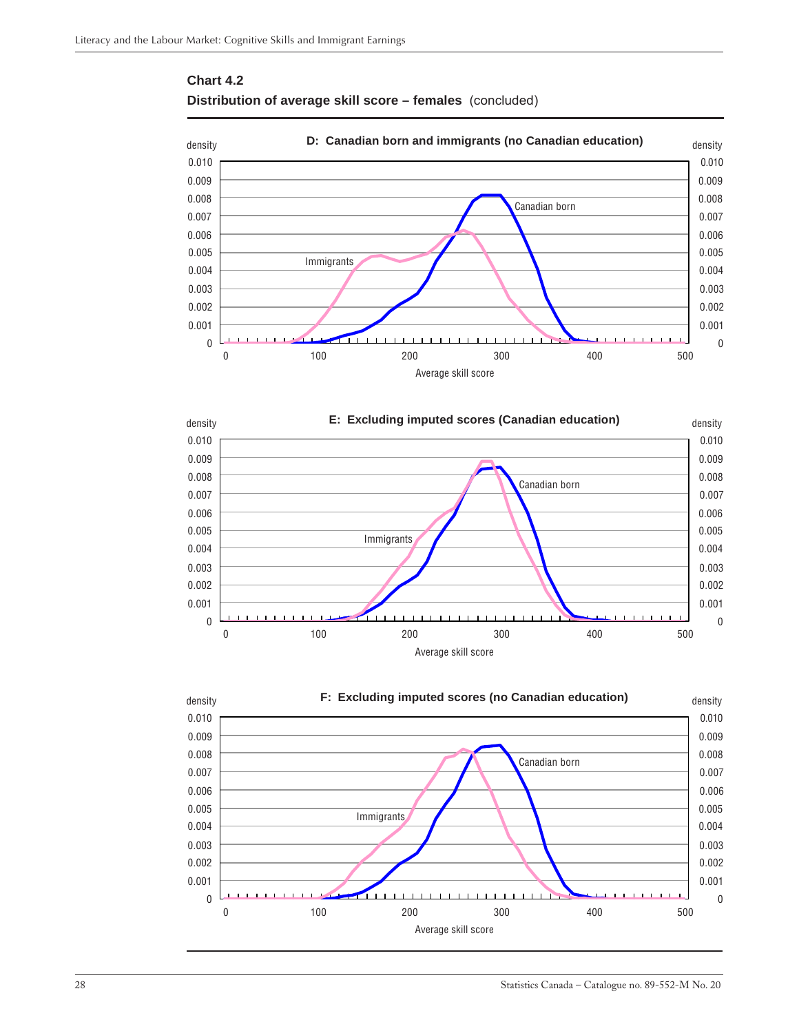





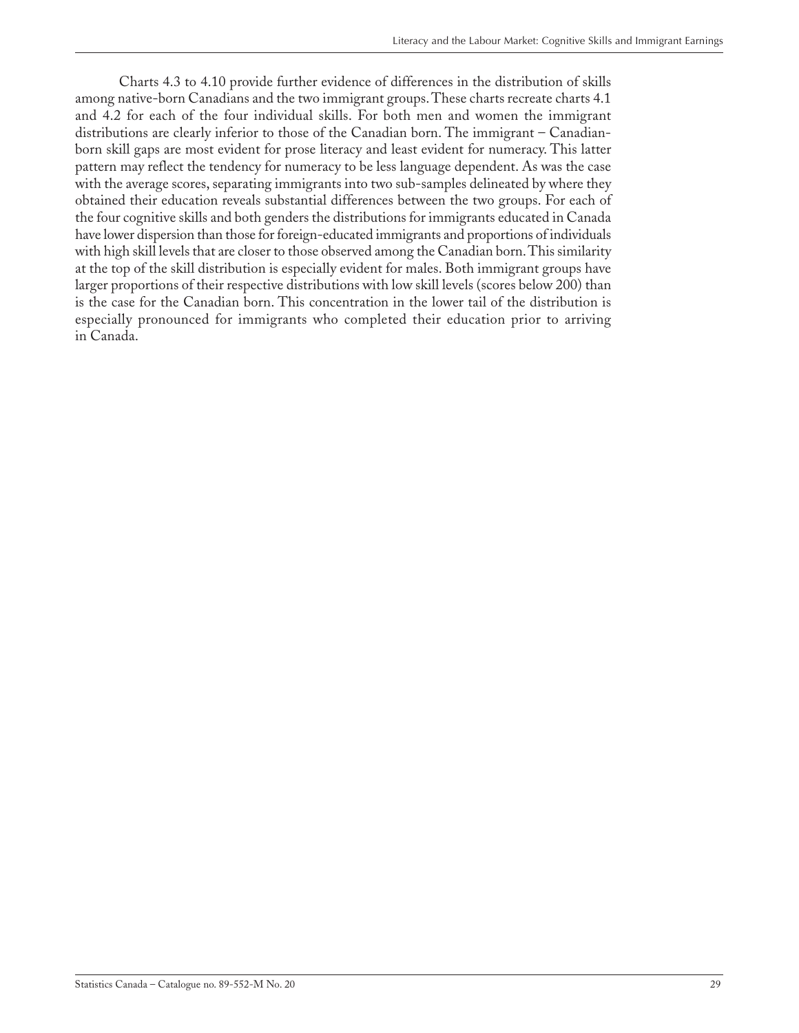Charts 4.3 to 4.10 provide further evidence of differences in the distribution of skills among native-born Canadians and the two immigrant groups. These charts recreate charts 4.1 and 4.2 for each of the four individual skills. For both men and women the immigrant distributions are clearly inferior to those of the Canadian born. The immigrant – Canadianborn skill gaps are most evident for prose literacy and least evident for numeracy. This latter pattern may reflect the tendency for numeracy to be less language dependent. As was the case with the average scores, separating immigrants into two sub-samples delineated by where they obtained their education reveals substantial differences between the two groups. For each of the four cognitive skills and both genders the distributions for immigrants educated in Canada have lower dispersion than those for foreign-educated immigrants and proportions of individuals with high skill levels that are closer to those observed among the Canadian born. This similarity at the top of the skill distribution is especially evident for males. Both immigrant groups have larger proportions of their respective distributions with low skill levels (scores below 200) than is the case for the Canadian born. This concentration in the lower tail of the distribution is especially pronounced for immigrants who completed their education prior to arriving in Canada.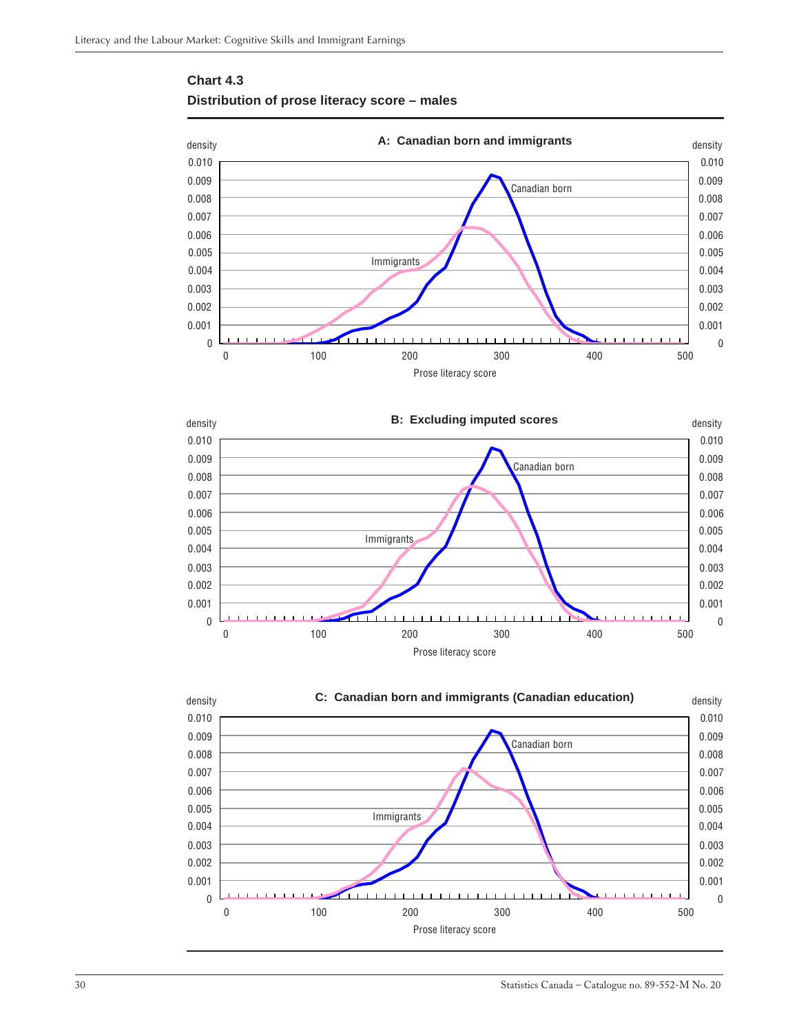

### <span id="page-29-0"></span>**Chart 4.3 Distribution of prose literacy score – males**



0 0

 $\sim$  0.002  $\sim$  0.002 0.001 0.001

Prose literacy score

0 100 200 300 400 500

 $\overline{0.003}$  0.003



30 Statistics Canada – Catalogue no. 89-552-M No. 20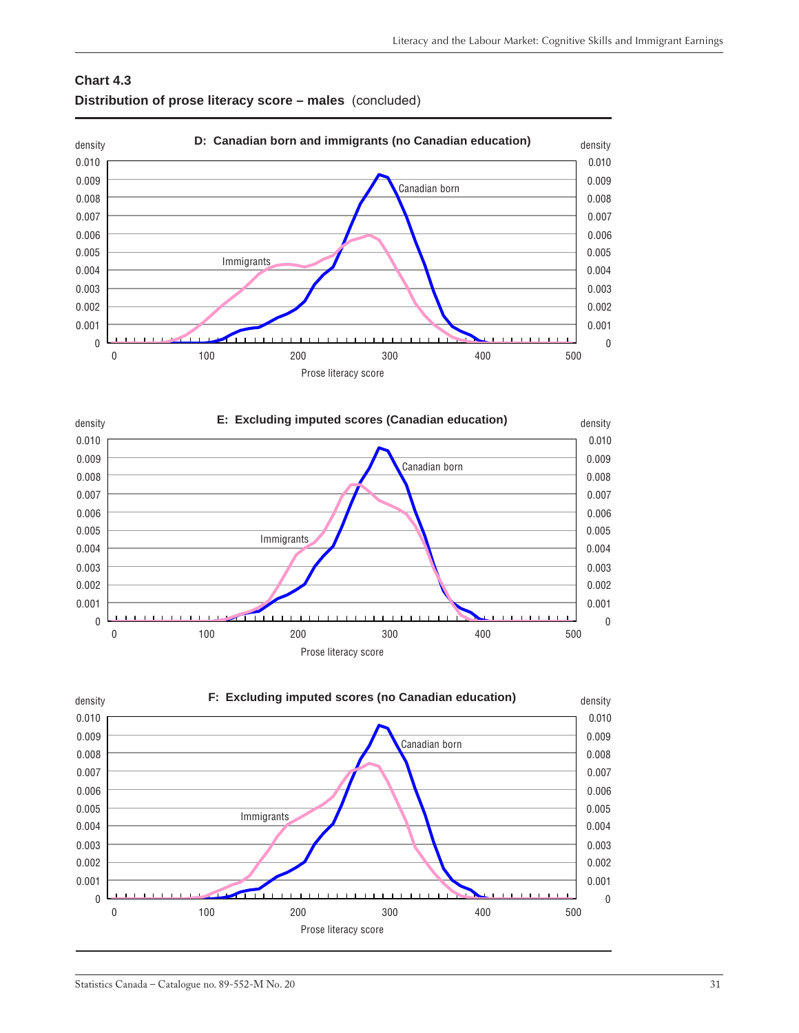





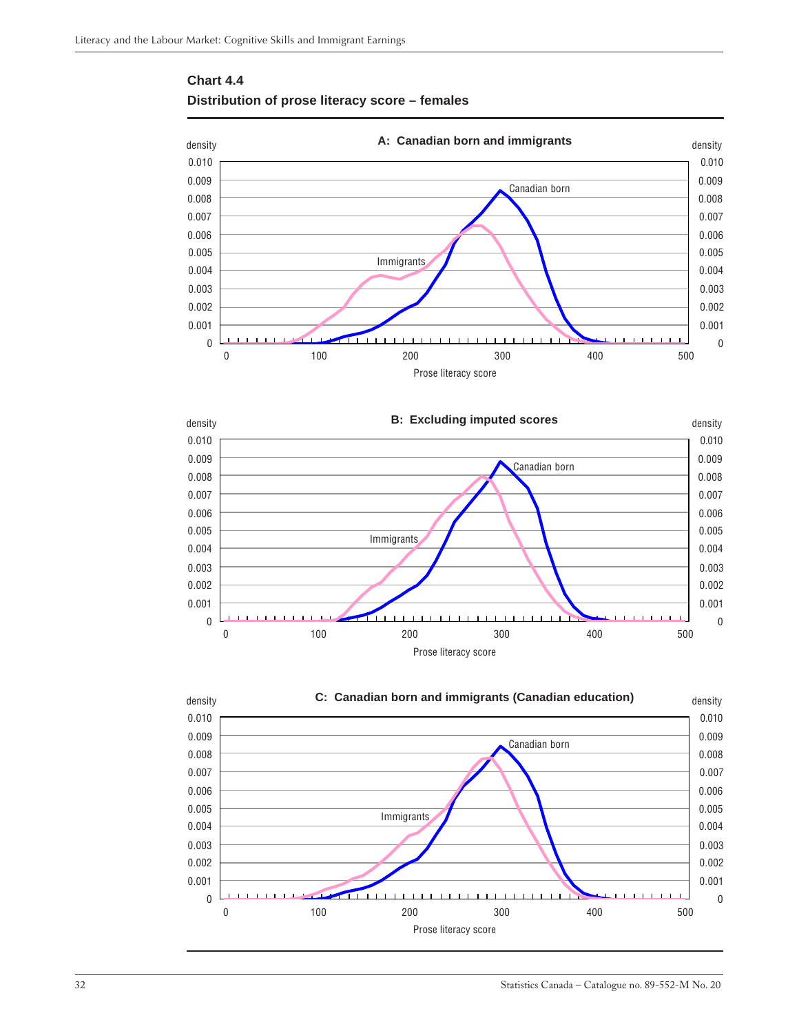

### <span id="page-31-0"></span>**Chart 4.4 Distribution of prose literacy score – females**



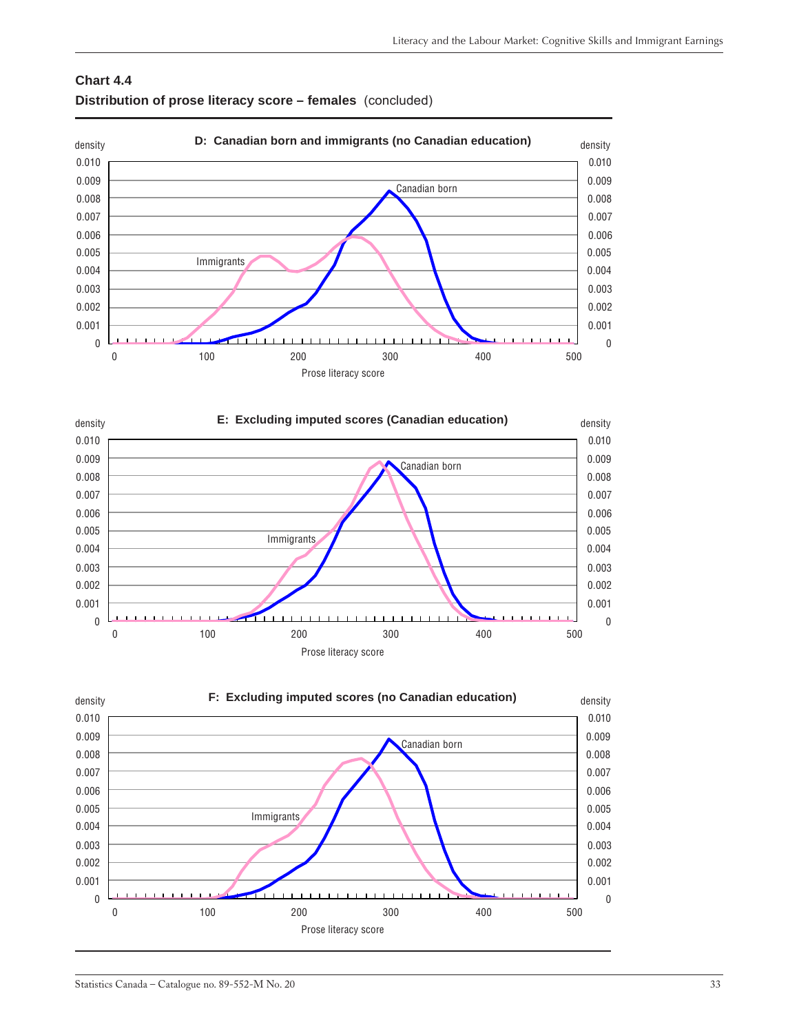### **Chart 4.4 Distribution of prose literacy score – females** (concluded)





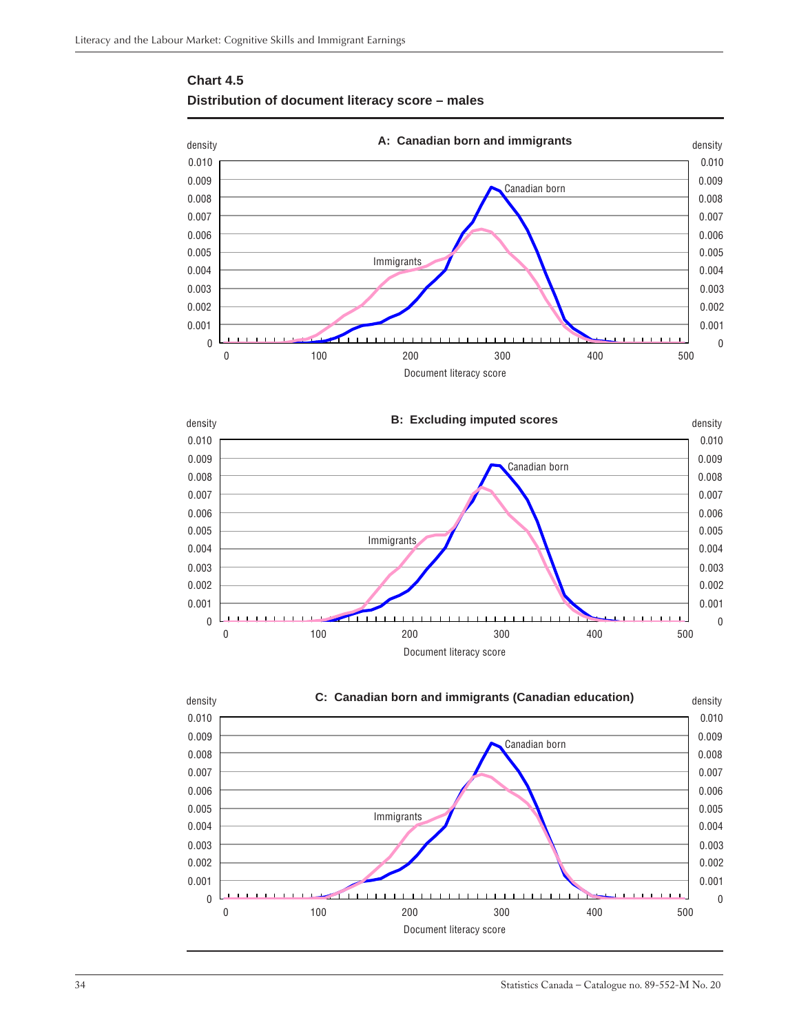

### <span id="page-33-0"></span>**Chart 4.5 Distribution of document literacy score – males**



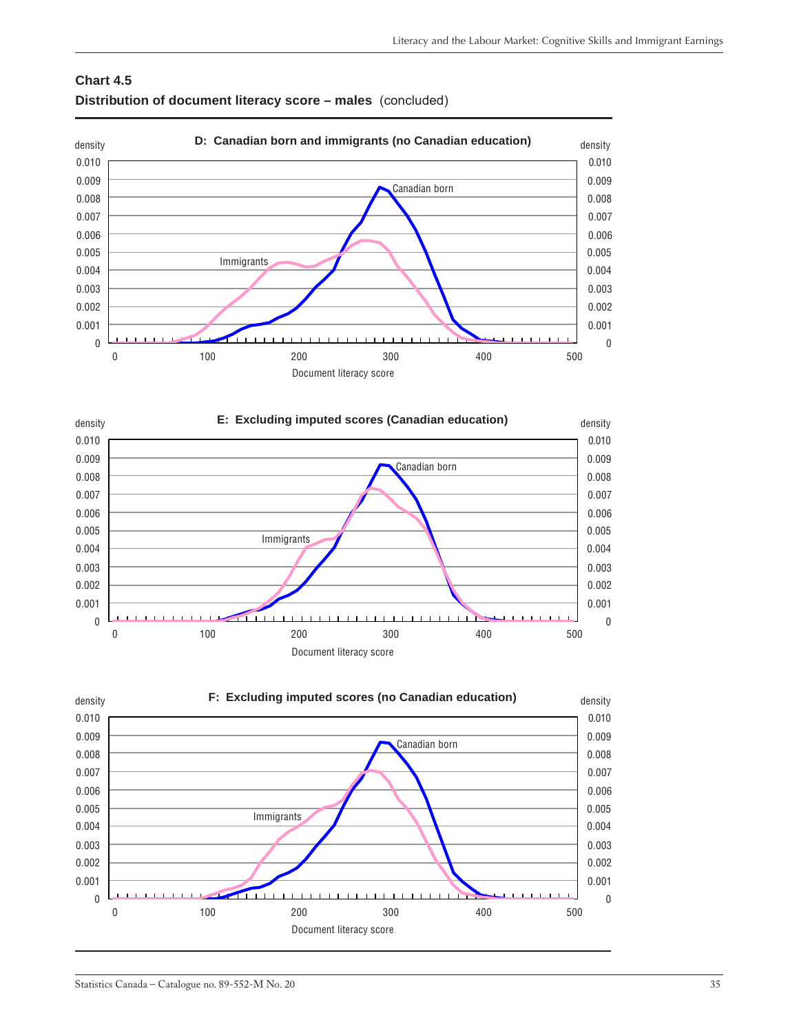### **Chart 4.5 Distribution of document literacy score – males** (concluded)





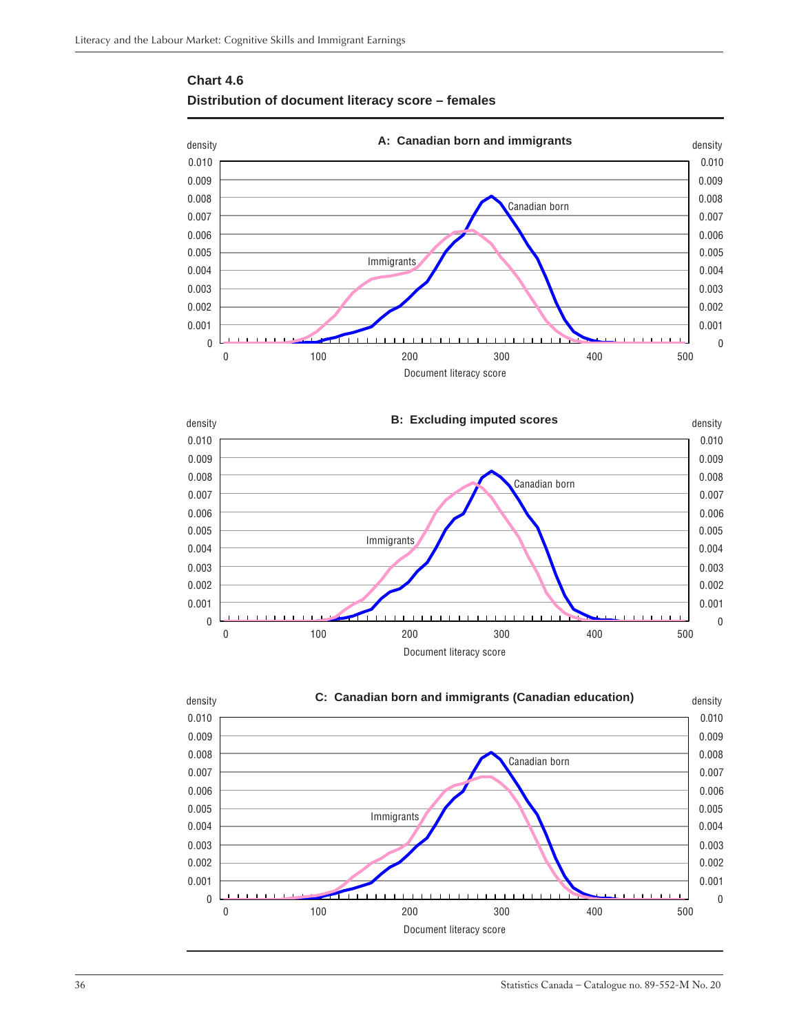

### <span id="page-35-0"></span>**Chart 4.6 Distribution of document literacy score – females**



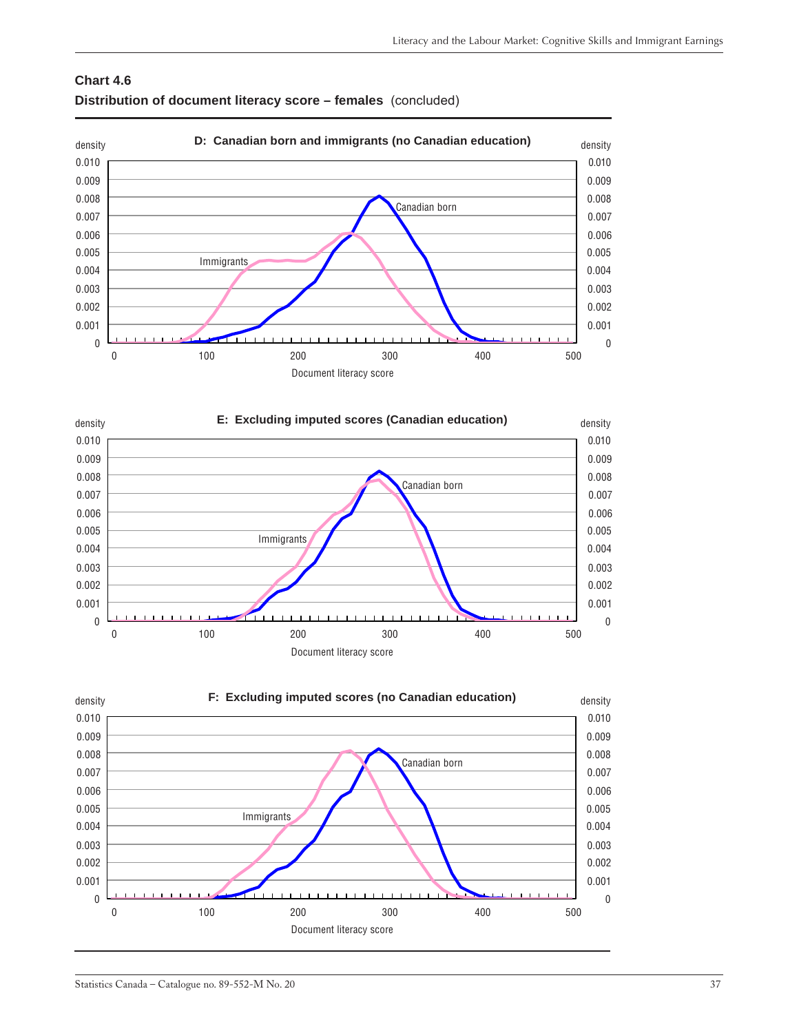### **Chart 4.6 Distribution of document literacy score – females** (concluded)





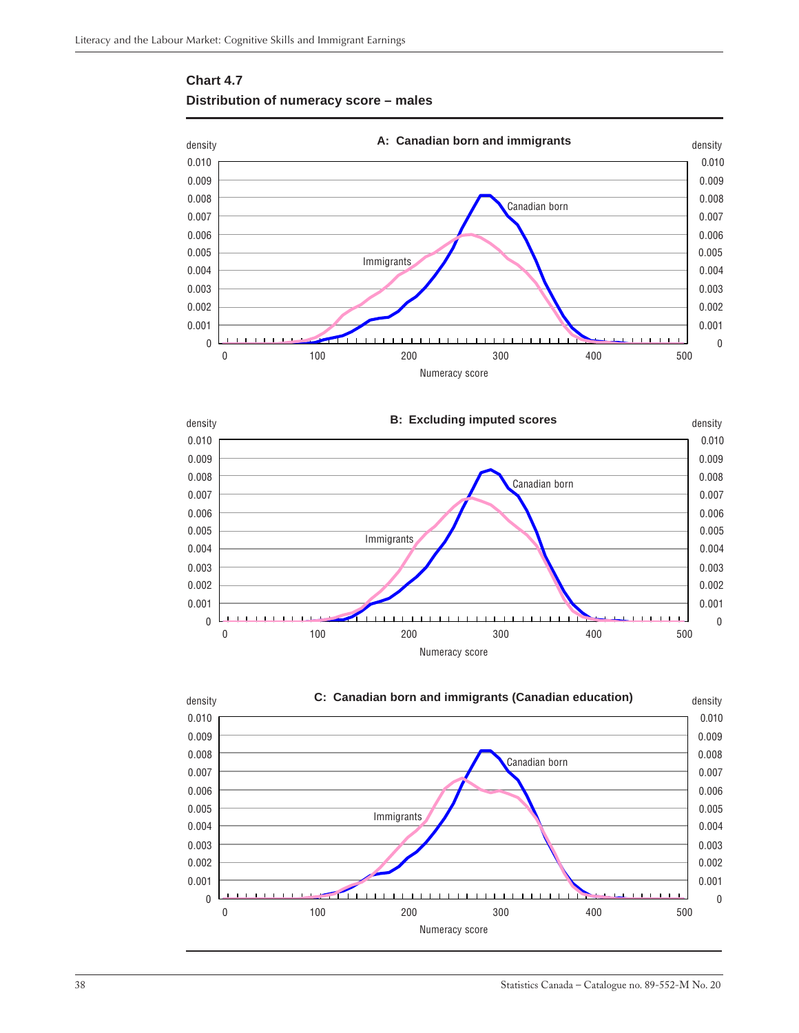<span id="page-37-0"></span>







38 Statistics Canada – Catalogue no. 89-552-M No. 20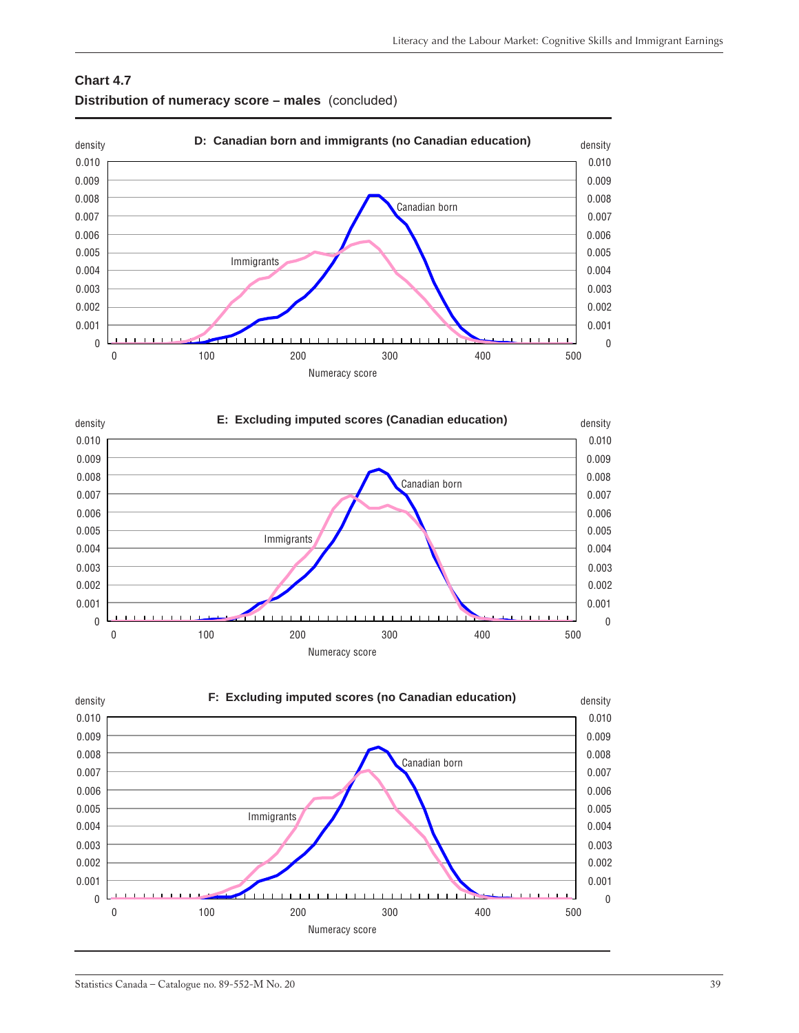







### Statistics Canada – Catalogue no. 89-552-M No. 20 39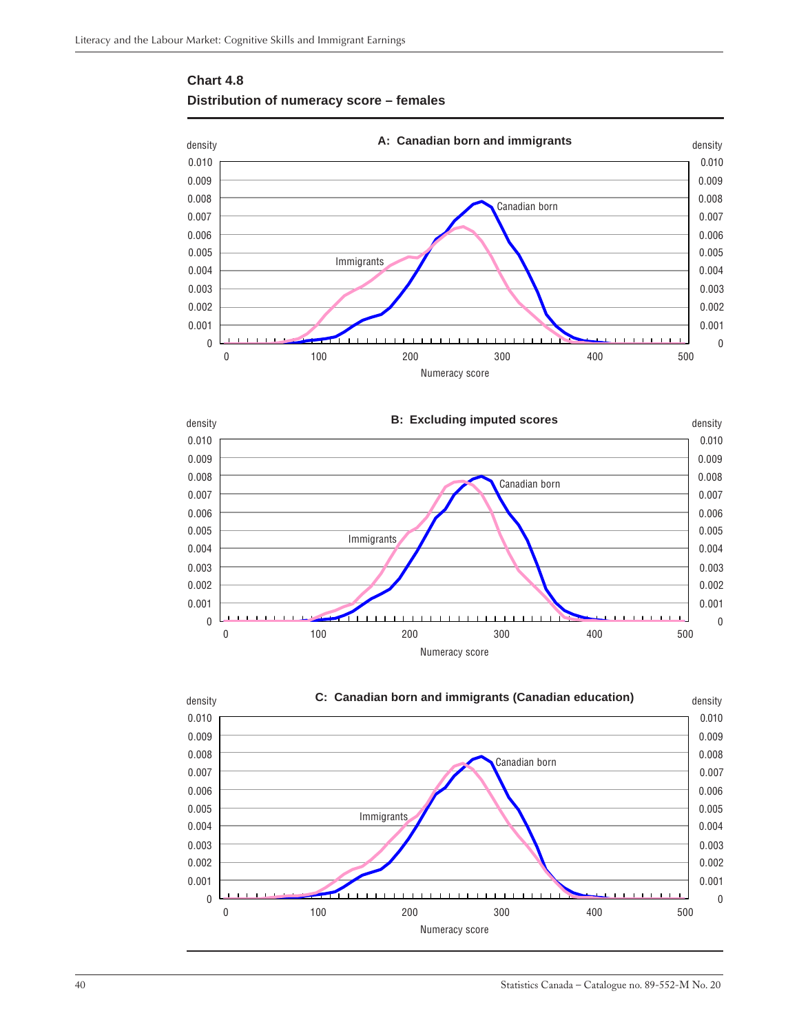<span id="page-39-0"></span>







40 Statistics Canada – Catalogue no. 89-552-M No. 20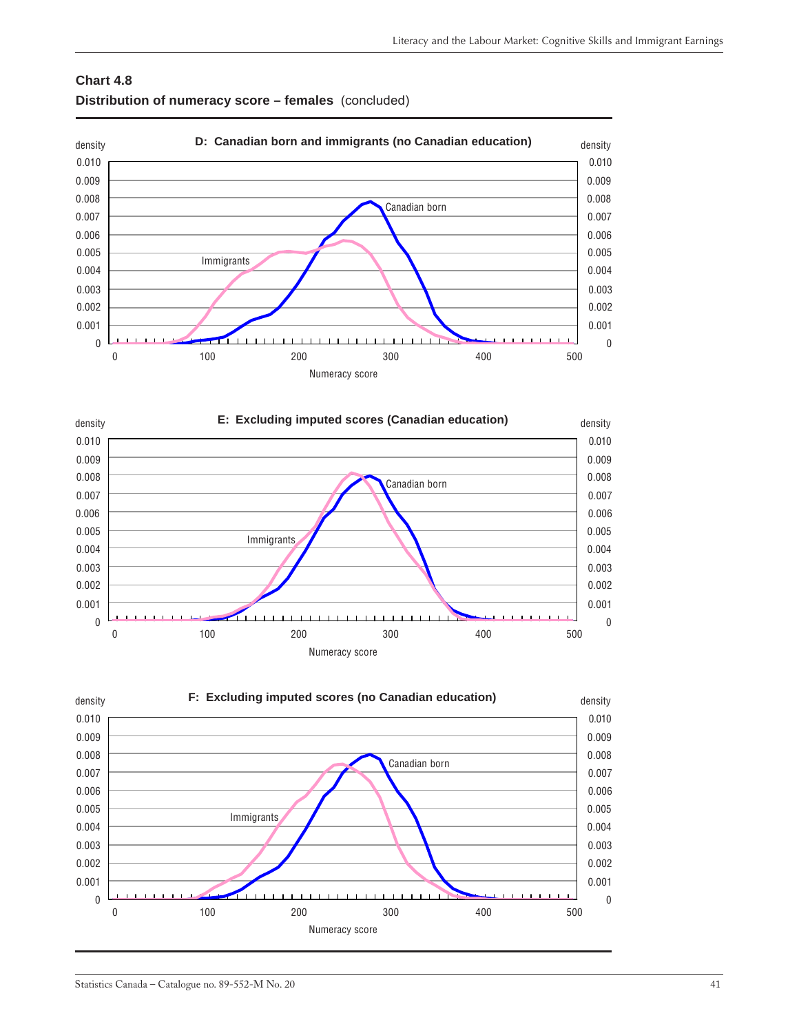





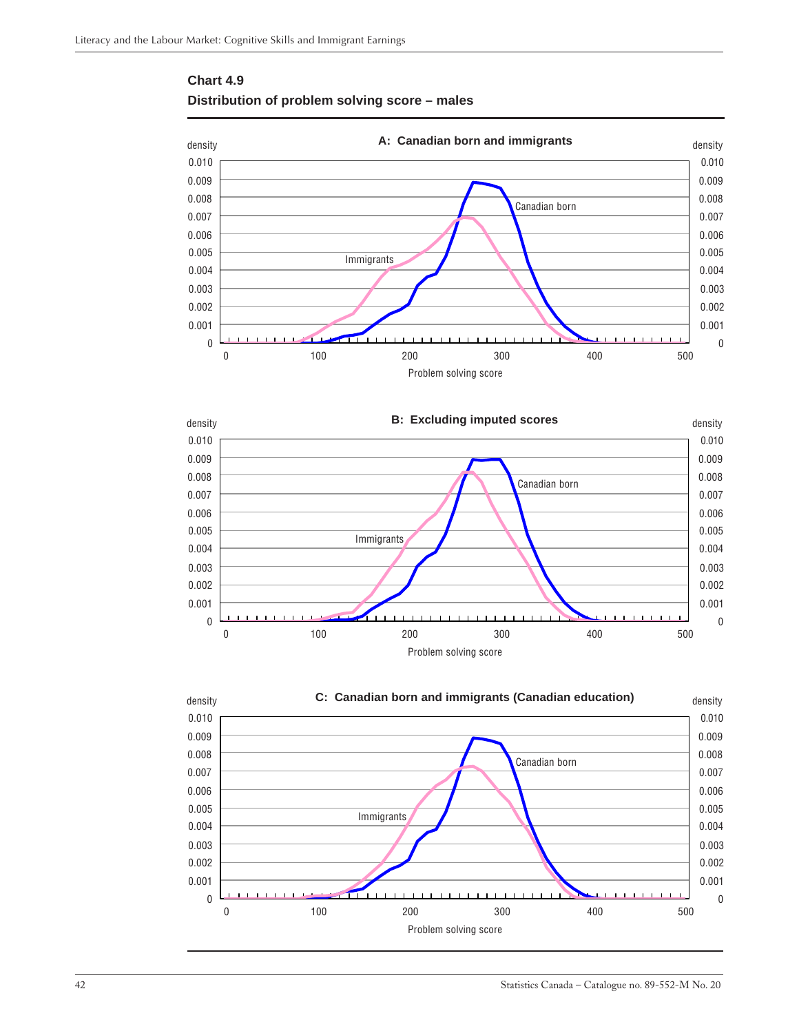<span id="page-41-0"></span>





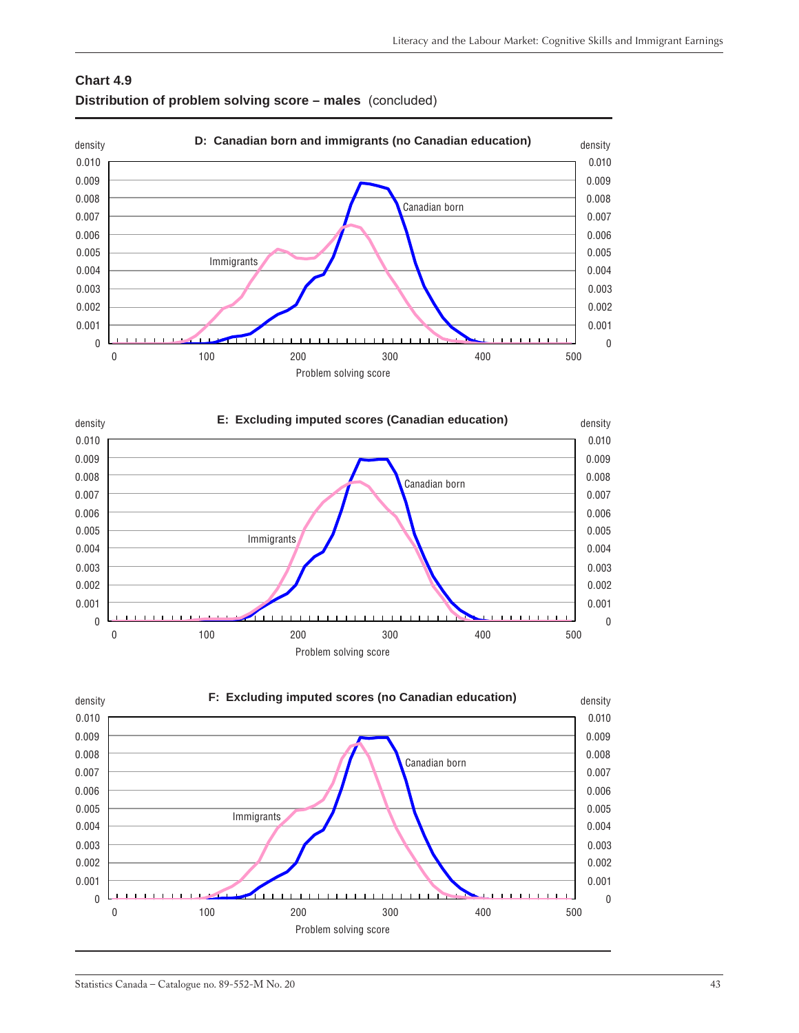





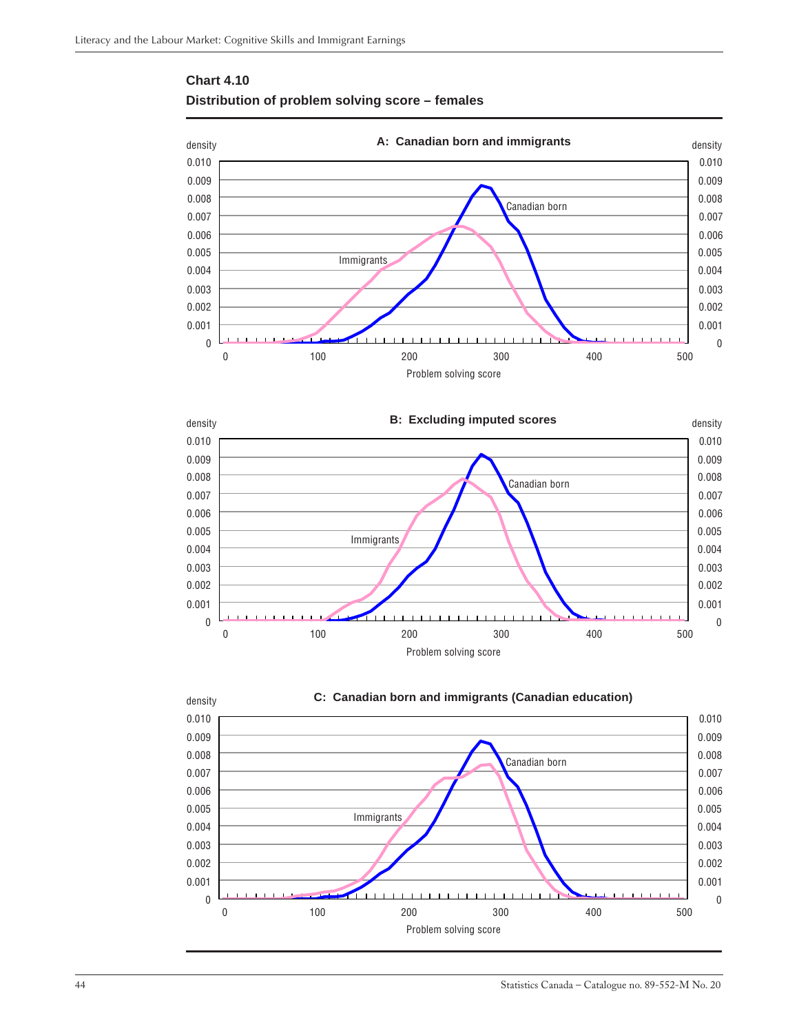

### <span id="page-43-0"></span>**Chart 4.10 Distribution of problem solving score – females**





**C: Canadian born and immigrants (Canadian education)**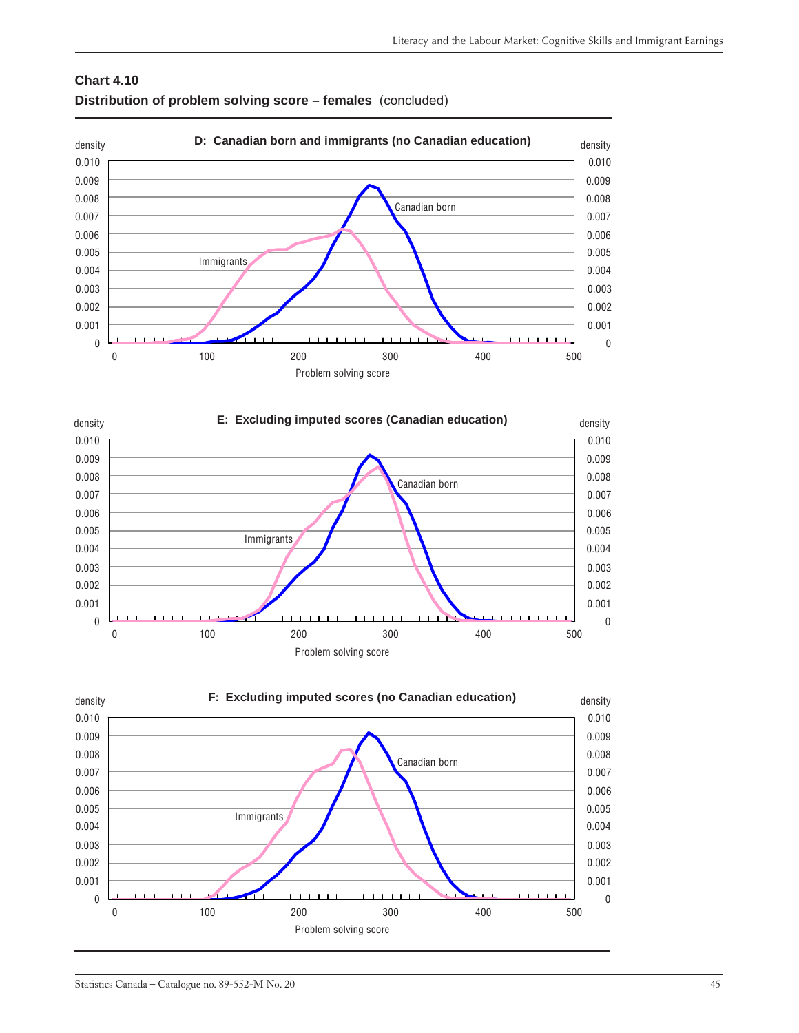### **Chart 4.10 Distribution of problem solving score – females** (concluded)







### Statistics Canada – Catalogue no. 89-552-M No. 20 45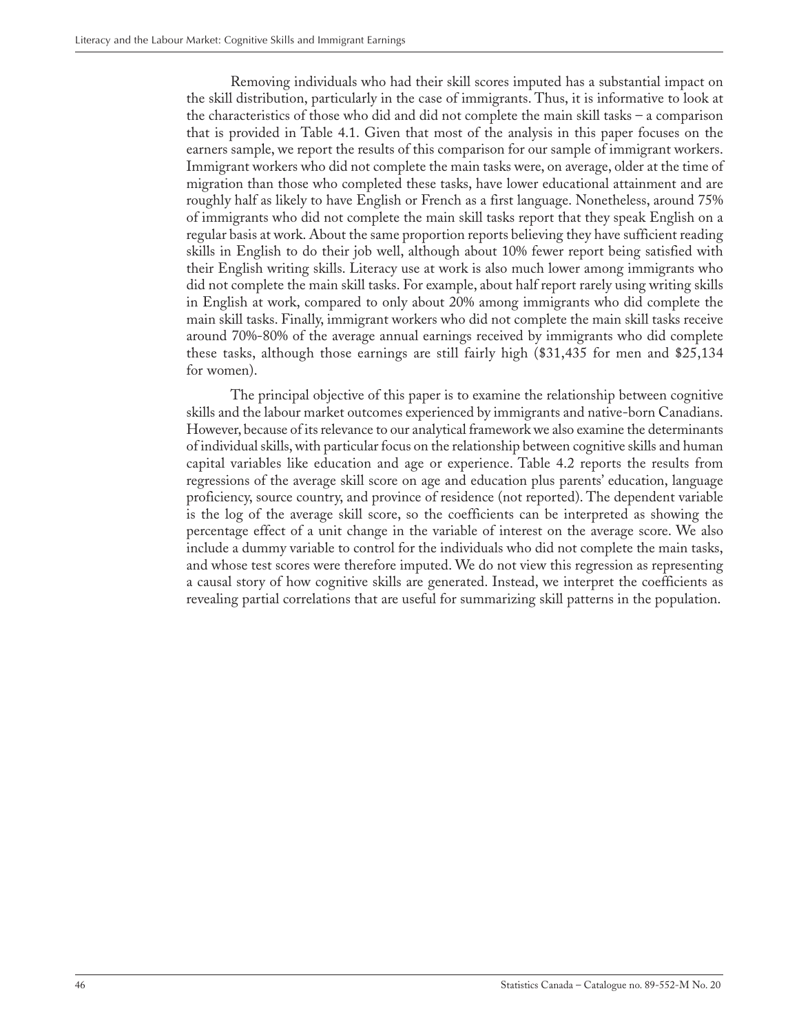Removing individuals who had their skill scores imputed has a substantial impact on the skill distribution, particularly in the case of immigrants. Thus, it is informative to look at the characteristics of those who did and did not complete the main skill tasks – a comparison that is provided in Table 4.1. Given that most of the analysis in this paper focuses on the earners sample, we report the results of this comparison for our sample of immigrant workers. Immigrant workers who did not complete the main tasks were, on average, older at the time of migration than those who completed these tasks, have lower educational attainment and are roughly half as likely to have English or French as a first language. Nonetheless, around 75% of immigrants who did not complete the main skill tasks report that they speak English on a regular basis at work. About the same proportion reports believing they have sufficient reading skills in English to do their job well, although about 10% fewer report being satisfied with their English writing skills. Literacy use at work is also much lower among immigrants who did not complete the main skill tasks. For example, about half report rarely using writing skills in English at work, compared to only about 20% among immigrants who did complete the main skill tasks. Finally, immigrant workers who did not complete the main skill tasks receive around 70%-80% of the average annual earnings received by immigrants who did complete these tasks, although those earnings are still fairly high (\$31,435 for men and \$25,134 for women).

The principal objective of this paper is to examine the relationship between cognitive skills and the labour market outcomes experienced by immigrants and native-born Canadians. However, because of its relevance to our analytical framework we also examine the determinants of individual skills, with particular focus on the relationship between cognitive skills and human capital variables like education and age or experience. Table 4.2 reports the results from regressions of the average skill score on age and education plus parents' education, language proficiency, source country, and province of residence (not reported). The dependent variable is the log of the average skill score, so the coefficients can be interpreted as showing the percentage effect of a unit change in the variable of interest on the average score. We also include a dummy variable to control for the individuals who did not complete the main tasks, and whose test scores were therefore imputed. We do not view this regression as representing a causal story of how cognitive skills are generated. Instead, we interpret the coefficients as revealing partial correlations that are useful for summarizing skill patterns in the population.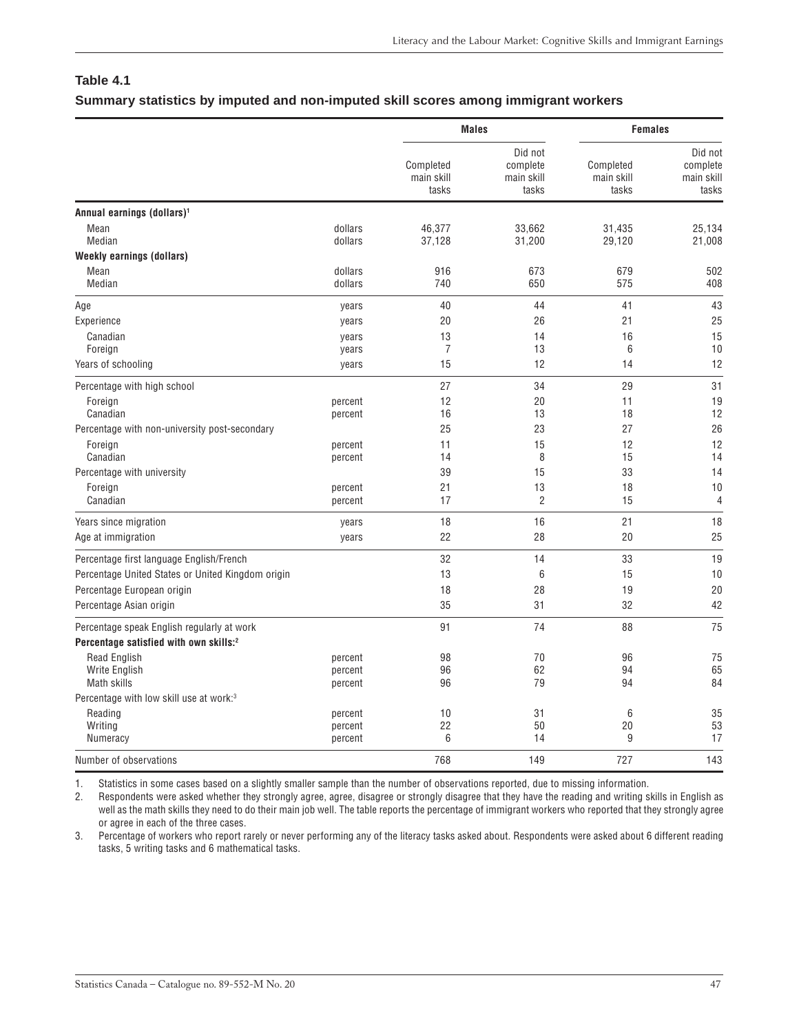### <span id="page-46-0"></span>**Table 4.1**

### **Summary statistics by imputed and non-imputed skill scores among immigrant workers**

|                                                            |                               |                                  | <b>Males</b>                               |                                  | <b>Females</b>                             |  |
|------------------------------------------------------------|-------------------------------|----------------------------------|--------------------------------------------|----------------------------------|--------------------------------------------|--|
|                                                            |                               | Completed<br>main skill<br>tasks | Did not<br>complete<br>main skill<br>tasks | Completed<br>main skill<br>tasks | Did not<br>complete<br>main skill<br>tasks |  |
| Annual earnings (dollars) <sup>1</sup>                     |                               |                                  |                                            |                                  |                                            |  |
| Mean<br>Median                                             | dollars<br>dollars            | 46,377<br>37,128                 | 33,662<br>31,200                           | 31,435<br>29,120                 | 25,134<br>21,008                           |  |
| <b>Weekly earnings (dollars)</b>                           |                               |                                  |                                            |                                  |                                            |  |
| Mean<br>Median                                             | dollars<br>dollars            | 916<br>740                       | 673<br>650                                 | 679<br>575                       | 502<br>408                                 |  |
| Age                                                        | years                         | 40                               | 44                                         | 41                               | 43                                         |  |
| Experience                                                 | years                         | 20                               | 26                                         | 21                               | 25                                         |  |
| Canadian<br>Foreign                                        | years<br>years                | 13<br>$\overline{7}$             | 14<br>13                                   | 16<br>6                          | 15<br>10                                   |  |
| Years of schooling                                         | years                         | 15                               | 12                                         | 14                               | 12                                         |  |
| Percentage with high school                                |                               | 27                               | 34                                         | 29                               | 31                                         |  |
| Foreign<br>Canadian                                        | percent<br>percent            | 12<br>16                         | 20<br>13                                   | 11<br>18                         | 19<br>12                                   |  |
| Percentage with non-university post-secondary              |                               | 25                               | 23                                         | 27                               | 26                                         |  |
| Foreign<br>Canadian                                        | percent<br>percent            | 11<br>14                         | 15<br>8                                    | 12<br>15                         | 12<br>14                                   |  |
| Percentage with university                                 |                               | 39                               | 15                                         | 33                               | 14                                         |  |
| Foreign<br>Canadian                                        | percent<br>percent            | 21<br>17                         | 13<br>$\overline{2}$                       | 18<br>15                         | 10<br>$\overline{4}$                       |  |
| Years since migration                                      | years                         | 18                               | 16                                         | 21                               | 18                                         |  |
| Age at immigration                                         | years                         | 22                               | 28                                         | 20                               | 25                                         |  |
| Percentage first language English/French                   |                               | 32                               | 14                                         | 33                               | 19                                         |  |
| Percentage United States or United Kingdom origin          |                               | 13                               | 6                                          | 15                               | 10                                         |  |
| Percentage European origin                                 |                               | 18                               | 28                                         | 19                               | 20                                         |  |
| Percentage Asian origin                                    |                               | 35                               | 31                                         | 32                               | 42                                         |  |
| Percentage speak English regularly at work                 |                               | 91                               | 74                                         | 88                               | 75                                         |  |
| Percentage satisfied with own skills:2                     |                               |                                  |                                            |                                  |                                            |  |
| <b>Read English</b><br><b>Write English</b><br>Math skills | percent<br>percent<br>percent | 98<br>96<br>96                   | 70<br>62<br>79                             | 96<br>94<br>94                   | 75<br>65<br>84                             |  |
| Percentage with low skill use at work:3                    |                               |                                  |                                            |                                  |                                            |  |
| Reading<br>Writing                                         | percent<br>percent            | 10<br>22                         | 31<br>50                                   | 6<br>20                          | 35<br>53                                   |  |
| Numeracy                                                   | percent                       | 6                                | 14                                         | 9                                | 17                                         |  |
| Number of observations                                     |                               | 768                              | 149                                        | 727                              | 143                                        |  |

1. Statistics in some cases based on a slightly smaller sample than the number of observations reported, due to missing information.

2. Respondents were asked whether they strongly agree, agree, disagree or strongly disagree that they have the reading and writing skills in English as well as the math skills they need to do their main job well. The table reports the percentage of immigrant workers who reported that they strongly agree or agree in each of the three cases.

3. Percentage of workers who report rarely or never performing any of the literacy tasks asked about. Respondents were asked about 6 different reading tasks, 5 writing tasks and 6 mathematical tasks.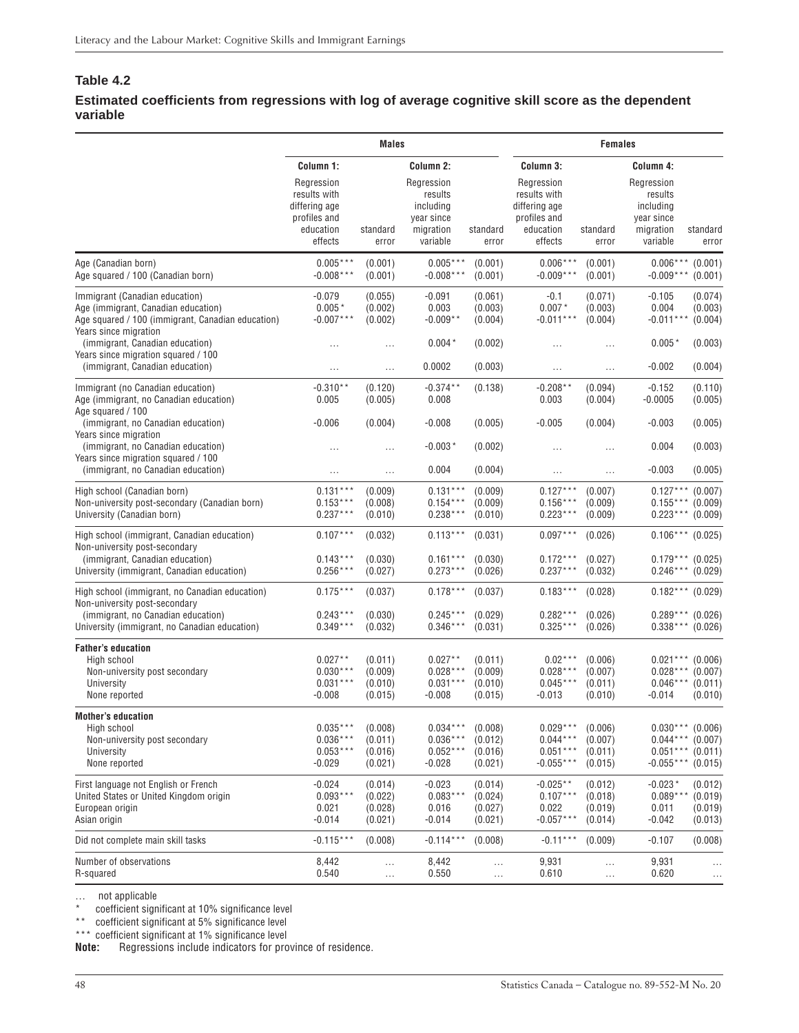### <span id="page-47-0"></span>**Table 4.2**

### **Estimated coefficients from regressions with log of average cognitive skill score as the dependent variable**

|                                                                                                                                                     | <b>Males</b>                                                                        |                                          |                                                                           |                                          | <b>Females</b>                                                                      |                                          |                                                                                       |                                          |
|-----------------------------------------------------------------------------------------------------------------------------------------------------|-------------------------------------------------------------------------------------|------------------------------------------|---------------------------------------------------------------------------|------------------------------------------|-------------------------------------------------------------------------------------|------------------------------------------|---------------------------------------------------------------------------------------|------------------------------------------|
|                                                                                                                                                     | Column 1:                                                                           |                                          | Column 2:                                                                 |                                          | Column 3:                                                                           |                                          | Column 4:                                                                             |                                          |
|                                                                                                                                                     | Regression<br>results with<br>differing age<br>profiles and<br>education<br>effects | standard<br>error                        | Regression<br>results<br>including<br>year since<br>migration<br>variable | standard<br>error                        | Regression<br>results with<br>differing age<br>profiles and<br>education<br>effects | standard<br>error                        | Regression<br>results<br>including<br>year since<br>migration<br>variable             | standard<br>error                        |
| Age (Canadian born)<br>Age squared / 100 (Canadian born)                                                                                            | $0.005***$<br>$-0.008***$                                                           | (0.001)<br>(0.001)                       | $0.005***$<br>$-0.008***$                                                 | (0.001)<br>(0.001)                       | $0.006***$<br>$-0.009***$                                                           | (0.001)<br>(0.001)                       | $0.006***$<br>$-0.009***$                                                             | (0.001)<br>(0.001)                       |
| Immigrant (Canadian education)<br>Age (immigrant, Canadian education)<br>Age squared / 100 (immigrant, Canadian education)<br>Years since migration | $-0.079$<br>$0.005*$<br>$-0.007***$                                                 | (0.055)<br>(0.002)<br>(0.002)            | $-0.091$<br>0.003<br>$-0.009**$                                           | (0.061)<br>(0.003)<br>(0.004)            | $-0.1$<br>$0.007*$<br>$-0.011***$                                                   | (0.071)<br>(0.003)<br>(0.004)            | $-0.105$<br>0.004<br>$-0.011***$                                                      | (0.074)<br>(0.003)<br>(0.004)            |
| (immigrant, Canadian education)<br>Years since migration squared / 100                                                                              | $\cdots$                                                                            |                                          | $0.004*$                                                                  | (0.002)                                  | $\cdots$                                                                            | $\cdots$                                 | $0.005*$                                                                              | (0.003)                                  |
| (immigrant, Canadian education)                                                                                                                     |                                                                                     | .                                        | 0.0002                                                                    | (0.003)                                  | $\cdots$                                                                            | $\cdots$                                 | $-0.002$                                                                              | (0.004)                                  |
| Immigrant (no Canadian education)<br>Age (immigrant, no Canadian education)<br>Age squared / 100                                                    | $-0.310**$<br>0.005                                                                 | (0.120)<br>(0.005)                       | $-0.374**$<br>0.008                                                       | (0.138)                                  | $-0.208**$<br>0.003                                                                 | (0.094)<br>(0.004)                       | $-0.152$<br>$-0.0005$                                                                 | (0.110)<br>(0.005)                       |
| (immigrant, no Canadian education)<br>Years since migration                                                                                         | $-0.006$                                                                            | (0.004)                                  | $-0.008$                                                                  | (0.005)                                  | $-0.005$                                                                            | (0.004)                                  | $-0.003$                                                                              | (0.005)                                  |
| (immigrant, no Canadian education)<br>Years since migration squared / 100                                                                           |                                                                                     | .                                        | $-0.003*$                                                                 | (0.002)                                  | .                                                                                   | $\cdots$                                 | 0.004                                                                                 | (0.003)                                  |
| (immigrant, no Canadian education)                                                                                                                  | $\cdots$                                                                            | $\ldots$                                 | 0.004                                                                     | (0.004)                                  | $\cdots$                                                                            | $\ldots$                                 | $-0.003$                                                                              | (0.005)                                  |
| High school (Canadian born)<br>Non-university post-secondary (Canadian born)<br>University (Canadian born)                                          | $0.131***$<br>$0.153***$<br>$0.237***$                                              | (0.009)<br>(0.008)<br>(0.010)            | $0.131***$<br>$0.154***$<br>$0.238***$                                    | (0.009)<br>(0.009)<br>(0.010)            | $0.127***$<br>$0.156***$<br>$0.223***$                                              | (0.007)<br>(0.009)<br>(0.009)            | $0.127***$<br>$0.155***$ (0.009)<br>$0.223***$                                        | (0.007)<br>(0.009)                       |
| High school (immigrant, Canadian education)<br>Non-university post-secondary                                                                        | $0.107***$                                                                          | (0.032)                                  | $0.113***$                                                                | (0.031)                                  | $0.097***$                                                                          | (0.026)                                  | $0.106***$                                                                            | (0.025)                                  |
| (immigrant, Canadian education)<br>University (immigrant, Canadian education)                                                                       | $0.143***$<br>$0.256***$                                                            | (0.030)<br>(0.027)                       | $0.161***$<br>$0.273***$                                                  | (0.030)<br>(0.026)                       | $0.172***$<br>$0.237***$                                                            | (0.027)<br>(0.032)                       | $0.179***$ (0.025)<br>$0.246***$                                                      | (0.029)                                  |
| High school (immigrant, no Canadian education)<br>Non-university post-secondary                                                                     | $0.175***$                                                                          | (0.037)                                  | $0.178***$                                                                | (0.037)                                  | $0.183***$                                                                          | (0.028)                                  | $0.182***$ (0.029)                                                                    |                                          |
| (immigrant, no Canadian education)<br>University (immigrant, no Canadian education)                                                                 | $0.243***$<br>$0.349***$                                                            | (0.030)<br>(0.032)                       | $0.245***$<br>$0.346***$                                                  | (0.029)<br>(0.031)                       | $0.282***$<br>$0.325***$                                                            | (0.026)<br>(0.026)                       | $0.289***$ (0.026)<br>$0.338***$ (0.026)                                              |                                          |
| <b>Father's education</b><br>High school<br>Non-university post secondary<br>University<br>None reported                                            | $0.027**$<br>$0.030***$<br>$0.031***$<br>$-0.008$                                   | (0.011)<br>(0.009)<br>(0.010)<br>(0.015) | $0.027**$<br>$0.028***$<br>$0.031***$<br>$-0.008$                         | (0.011)<br>(0.009)<br>(0.010)<br>(0.015) | $0.02***$<br>$0.028***$<br>$0.045***$<br>$-0.013$                                   | (0.006)<br>(0.007)<br>(0.011)<br>(0.010) | $0.021***$ (0.006)<br>$0.028***$<br>$0.046***$ (0.011)<br>$-0.014$                    | (0.007)<br>(0.010)                       |
| Mother's education<br>High school<br>Non-university post secondary<br>University<br>None reported                                                   | $0.035***$<br>$0.036***$<br>$0.053***$<br>$-0.029$                                  | (0.008)<br>(0.011)<br>(0.016)<br>(0.021) | $0.034***$<br>$0.036***$<br>$0.052***$<br>$-0.028$                        | (0.008)<br>(0.012)<br>(0.016)<br>(0.021) | $0.029***$<br>$0.044***$<br>$0.051***$<br>$-0.055***$                               | (0.006)<br>(0.007)<br>(0.011)<br>(0.015) | $0.030***$ (0.006)<br>$0.044***$ (0.007)<br>$0.051***$ (0.011)<br>$-0.055***$ (0.015) |                                          |
| First language not English or French<br>United States or United Kingdom origin<br>European origin<br>Asian origin                                   | $-0.024$<br>$0.093***$<br>0.021<br>$-0.014$                                         | (0.014)<br>(0.022)<br>(0.028)<br>(0.021) | $-0.023$<br>$0.083***$<br>0.016<br>$-0.014$                               | (0.014)<br>(0.024)<br>(0.027)<br>(0.021) | $-0.025**$<br>$0.107***$<br>0.022<br>$-0.057***$                                    | (0.012)<br>(0.018)<br>(0.019)<br>(0.014) | $-0.023*$<br>$0.089***$<br>0.011<br>$-0.042$                                          | (0.012)<br>(0.019)<br>(0.019)<br>(0.013) |
| Did not complete main skill tasks                                                                                                                   | $-0.115***$                                                                         | (0.008)                                  | $-0.114***$                                                               | (0.008)                                  | $-0.11***$                                                                          | (0.009)                                  | $-0.107$                                                                              | (0.008)                                  |
| Number of observations<br>R-squared                                                                                                                 | 8,442<br>0.540                                                                      | <br>$\cdots$                             | 8,442<br>0.550                                                            | <br>$\ldots$                             | 9,931<br>0.610                                                                      | <br>$\ldots$                             | 9,931<br>0.620                                                                        | $\cdots$                                 |

… not applicable

coefficient significant at 10% significance level

\*\* coefficient significant at 5% significance level

\*\*\* coefficient significant at 1% significance level

**Note:** Regressions include indicators for province of residence.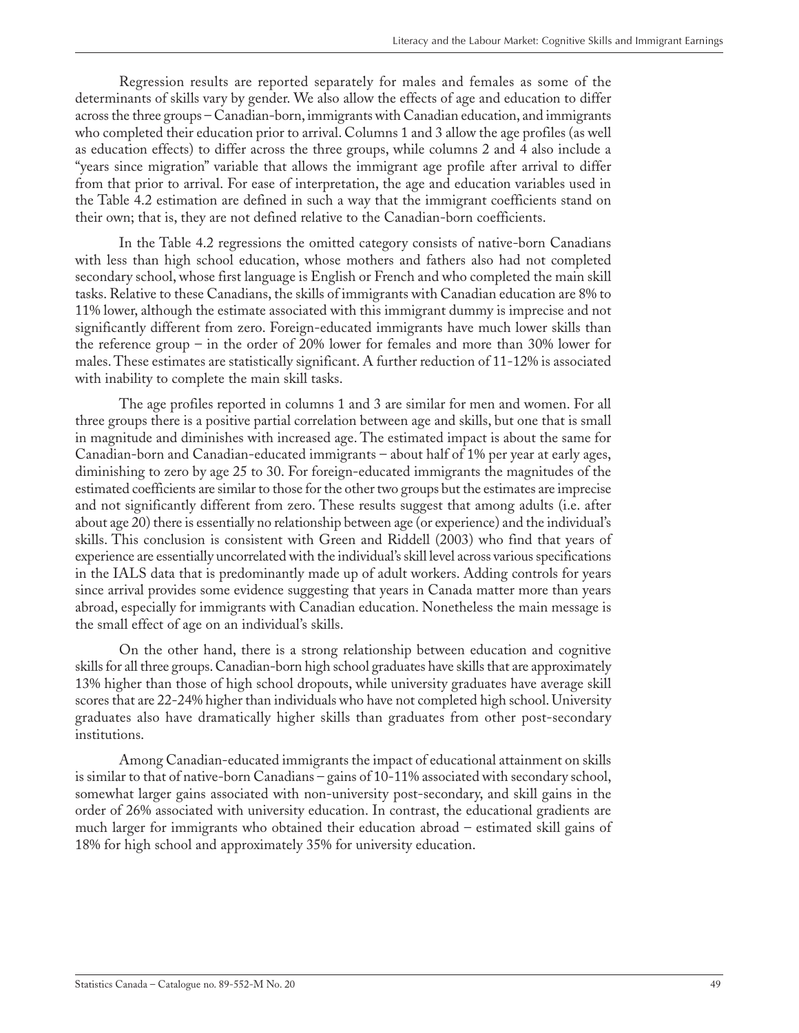Regression results are reported separately for males and females as some of the determinants of skills vary by gender. We also allow the effects of age and education to differ across the three groups – Canadian-born, immigrants with Canadian education, and immigrants who completed their education prior to arrival. Columns 1 and 3 allow the age profiles (as well as education effects) to differ across the three groups, while columns 2 and 4 also include a "years since migration" variable that allows the immigrant age profile after arrival to differ from that prior to arrival. For ease of interpretation, the age and education variables used in the Table 4.2 estimation are defined in such a way that the immigrant coefficients stand on their own; that is, they are not defined relative to the Canadian-born coefficients.

In the Table 4.2 regressions the omitted category consists of native-born Canadians with less than high school education, whose mothers and fathers also had not completed secondary school, whose first language is English or French and who completed the main skill tasks. Relative to these Canadians, the skills of immigrants with Canadian education are 8% to 11% lower, although the estimate associated with this immigrant dummy is imprecise and not significantly different from zero. Foreign-educated immigrants have much lower skills than the reference group – in the order of 20% lower for females and more than 30% lower for males. These estimates are statistically significant. A further reduction of 11-12% is associated with inability to complete the main skill tasks.

The age profiles reported in columns 1 and 3 are similar for men and women. For all three groups there is a positive partial correlation between age and skills, but one that is small in magnitude and diminishes with increased age. The estimated impact is about the same for Canadian-born and Canadian-educated immigrants – about half of 1% per year at early ages, diminishing to zero by age 25 to 30. For foreign-educated immigrants the magnitudes of the estimated coefficients are similar to those for the other two groups but the estimates are imprecise and not significantly different from zero. These results suggest that among adults (i.e. after about age 20) there is essentially no relationship between age (or experience) and the individual's skills. This conclusion is consistent with Green and Riddell (2003) who find that years of experience are essentially uncorrelated with the individual's skill level across various specifications in the IALS data that is predominantly made up of adult workers. Adding controls for years since arrival provides some evidence suggesting that years in Canada matter more than years abroad, especially for immigrants with Canadian education. Nonetheless the main message is the small effect of age on an individual's skills.

On the other hand, there is a strong relationship between education and cognitive skills for all three groups. Canadian-born high school graduates have skills that are approximately 13% higher than those of high school dropouts, while university graduates have average skill scores that are 22-24% higher than individuals who have not completed high school. University graduates also have dramatically higher skills than graduates from other post-secondary institutions.

Among Canadian-educated immigrants the impact of educational attainment on skills is similar to that of native-born Canadians – gains of 10-11% associated with secondary school, somewhat larger gains associated with non-university post-secondary, and skill gains in the order of 26% associated with university education. In contrast, the educational gradients are much larger for immigrants who obtained their education abroad – estimated skill gains of 18% for high school and approximately 35% for university education.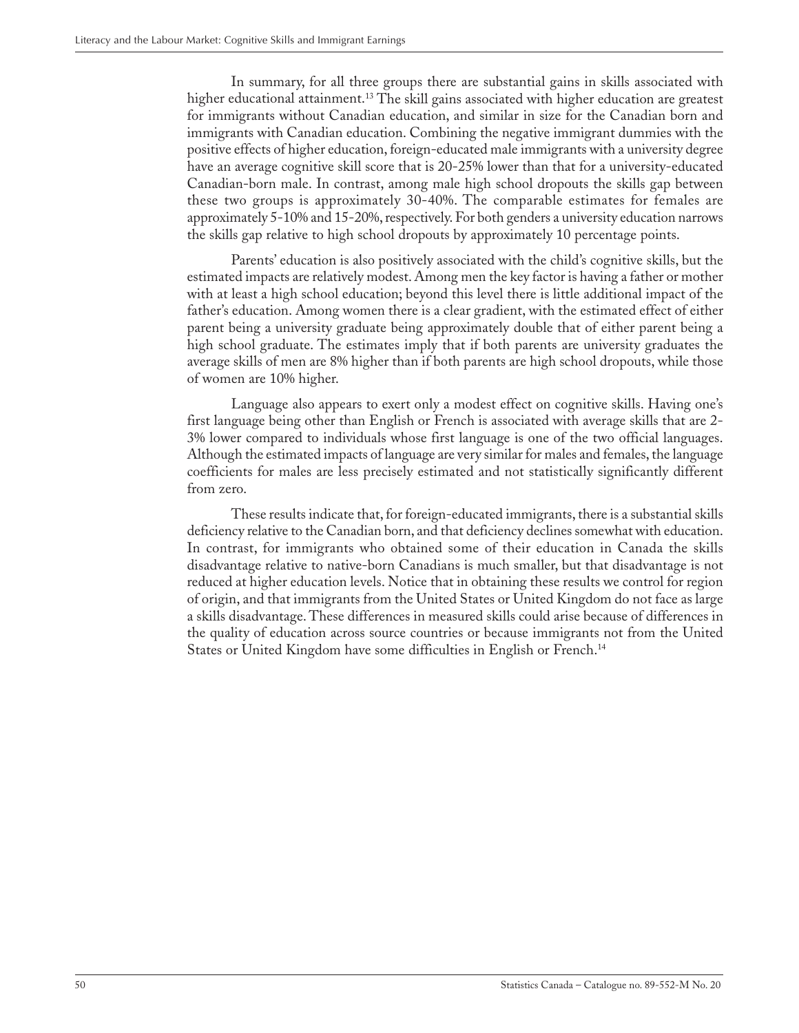In summary, for all three groups there are substantial gains in skills associated with higher educational attainment.<sup>13</sup> The skill gains associated with higher education are greatest for immigrants without Canadian education, and similar in size for the Canadian born and immigrants with Canadian education. Combining the negative immigrant dummies with the positive effects of higher education, foreign-educated male immigrants with a university degree have an average cognitive skill score that is 20-25% lower than that for a university-educated Canadian-born male. In contrast, among male high school dropouts the skills gap between these two groups is approximately 30-40%. The comparable estimates for females are approximately 5-10% and 15-20%, respectively. For both genders a university education narrows the skills gap relative to high school dropouts by approximately 10 percentage points.

Parents' education is also positively associated with the child's cognitive skills, but the estimated impacts are relatively modest. Among men the key factor is having a father or mother with at least a high school education; beyond this level there is little additional impact of the father's education. Among women there is a clear gradient, with the estimated effect of either parent being a university graduate being approximately double that of either parent being a high school graduate. The estimates imply that if both parents are university graduates the average skills of men are 8% higher than if both parents are high school dropouts, while those of women are 10% higher.

Language also appears to exert only a modest effect on cognitive skills. Having one's first language being other than English or French is associated with average skills that are 2- 3% lower compared to individuals whose first language is one of the two official languages. Although the estimated impacts of language are very similar for males and females, the language coefficients for males are less precisely estimated and not statistically significantly different from zero.

These results indicate that, for foreign-educated immigrants, there is a substantial skills deficiency relative to the Canadian born, and that deficiency declines somewhat with education. In contrast, for immigrants who obtained some of their education in Canada the skills disadvantage relative to native-born Canadians is much smaller, but that disadvantage is not reduced at higher education levels. Notice that in obtaining these results we control for region of origin, and that immigrants from the United States or United Kingdom do not face as large a skills disadvantage. These differences in measured skills could arise because of differences in the quality of education across source countries or because immigrants not from the United States or United Kingdom have some difficulties in English or French.<sup>14</sup>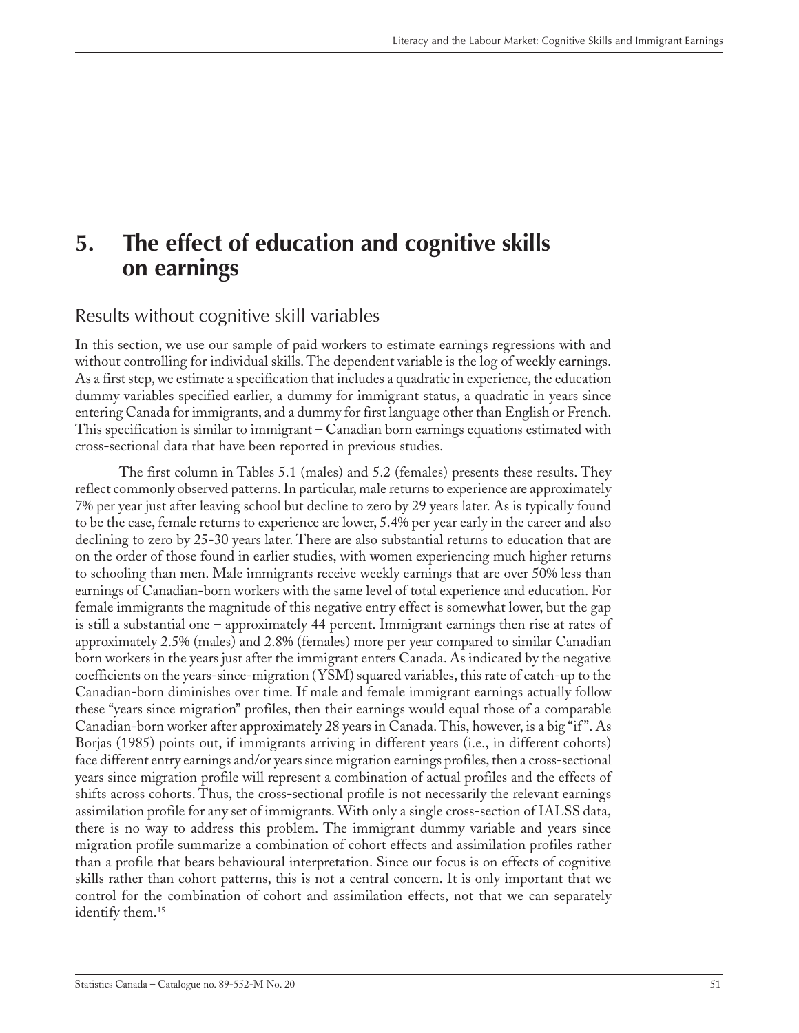# <span id="page-50-0"></span>**5. The effect of education and cognitive skills on earnings**

### Results without cognitive skill variables

In this section, we use our sample of paid workers to estimate earnings regressions with and without controlling for individual skills. The dependent variable is the log of weekly earnings. As a first step, we estimate a specification that includes a quadratic in experience, the education dummy variables specified earlier, a dummy for immigrant status, a quadratic in years since entering Canada for immigrants, and a dummy for first language other than English or French. This specification is similar to immigrant – Canadian born earnings equations estimated with cross-sectional data that have been reported in previous studies.

The first column in Tables 5.1 (males) and 5.2 (females) presents these results. They reflect commonly observed patterns. In particular, male returns to experience are approximately 7% per year just after leaving school but decline to zero by 29 years later. As is typically found to be the case, female returns to experience are lower, 5.4% per year early in the career and also declining to zero by 25-30 years later. There are also substantial returns to education that are on the order of those found in earlier studies, with women experiencing much higher returns to schooling than men. Male immigrants receive weekly earnings that are over 50% less than earnings of Canadian-born workers with the same level of total experience and education. For female immigrants the magnitude of this negative entry effect is somewhat lower, but the gap is still a substantial one – approximately 44 percent. Immigrant earnings then rise at rates of approximately 2.5% (males) and 2.8% (females) more per year compared to similar Canadian born workers in the years just after the immigrant enters Canada. As indicated by the negative coefficients on the years-since-migration (YSM) squared variables, this rate of catch-up to the Canadian-born diminishes over time. If male and female immigrant earnings actually follow these "years since migration" profiles, then their earnings would equal those of a comparable Canadian-born worker after approximately 28 years in Canada. This, however, is a big "if ". As Borjas (1985) points out, if immigrants arriving in different years (i.e., in different cohorts) face different entry earnings and/or years since migration earnings profiles, then a cross-sectional years since migration profile will represent a combination of actual profiles and the effects of shifts across cohorts. Thus, the cross-sectional profile is not necessarily the relevant earnings assimilation profile for any set of immigrants. With only a single cross-section of IALSS data, there is no way to address this problem. The immigrant dummy variable and years since migration profile summarize a combination of cohort effects and assimilation profiles rather than a profile that bears behavioural interpretation. Since our focus is on effects of cognitive skills rather than cohort patterns, this is not a central concern. It is only important that we control for the combination of cohort and assimilation effects, not that we can separately identify them.<sup>15</sup>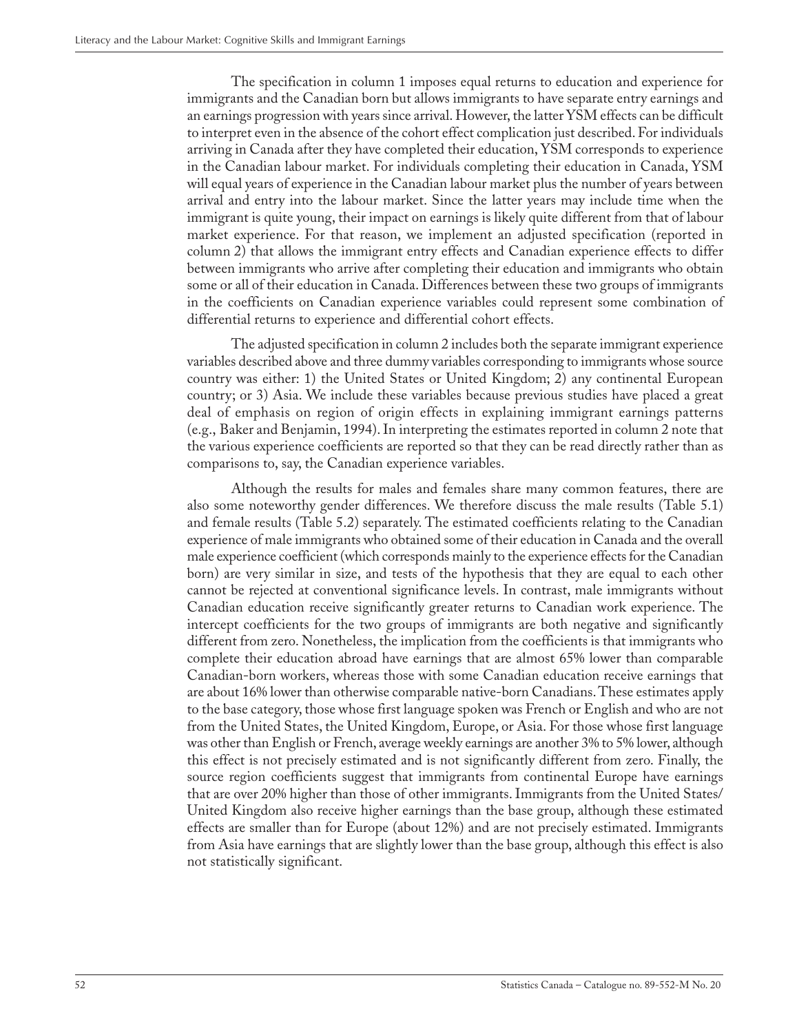The specification in column 1 imposes equal returns to education and experience for immigrants and the Canadian born but allows immigrants to have separate entry earnings and an earnings progression with years since arrival. However, the latter YSM effects can be difficult to interpret even in the absence of the cohort effect complication just described. For individuals arriving in Canada after they have completed their education, YSM corresponds to experience in the Canadian labour market. For individuals completing their education in Canada, YSM will equal years of experience in the Canadian labour market plus the number of years between arrival and entry into the labour market. Since the latter years may include time when the immigrant is quite young, their impact on earnings is likely quite different from that of labour market experience. For that reason, we implement an adjusted specification (reported in column 2) that allows the immigrant entry effects and Canadian experience effects to differ between immigrants who arrive after completing their education and immigrants who obtain some or all of their education in Canada. Differences between these two groups of immigrants in the coefficients on Canadian experience variables could represent some combination of differential returns to experience and differential cohort effects.

The adjusted specification in column 2 includes both the separate immigrant experience variables described above and three dummy variables corresponding to immigrants whose source country was either: 1) the United States or United Kingdom; 2) any continental European country; or 3) Asia. We include these variables because previous studies have placed a great deal of emphasis on region of origin effects in explaining immigrant earnings patterns (e.g., Baker and Benjamin, 1994). In interpreting the estimates reported in column 2 note that the various experience coefficients are reported so that they can be read directly rather than as comparisons to, say, the Canadian experience variables.

Although the results for males and females share many common features, there are also some noteworthy gender differences. We therefore discuss the male results (Table 5.1) and female results (Table 5.2) separately. The estimated coefficients relating to the Canadian experience of male immigrants who obtained some of their education in Canada and the overall male experience coefficient (which corresponds mainly to the experience effects for the Canadian born) are very similar in size, and tests of the hypothesis that they are equal to each other cannot be rejected at conventional significance levels. In contrast, male immigrants without Canadian education receive significantly greater returns to Canadian work experience. The intercept coefficients for the two groups of immigrants are both negative and significantly different from zero. Nonetheless, the implication from the coefficients is that immigrants who complete their education abroad have earnings that are almost 65% lower than comparable Canadian-born workers, whereas those with some Canadian education receive earnings that are about 16% lower than otherwise comparable native-born Canadians. These estimates apply to the base category, those whose first language spoken was French or English and who are not from the United States, the United Kingdom, Europe, or Asia. For those whose first language was other than English or French, average weekly earnings are another 3% to 5% lower, although this effect is not precisely estimated and is not significantly different from zero. Finally, the source region coefficients suggest that immigrants from continental Europe have earnings that are over 20% higher than those of other immigrants. Immigrants from the United States/ United Kingdom also receive higher earnings than the base group, although these estimated effects are smaller than for Europe (about 12%) and are not precisely estimated. Immigrants from Asia have earnings that are slightly lower than the base group, although this effect is also not statistically significant.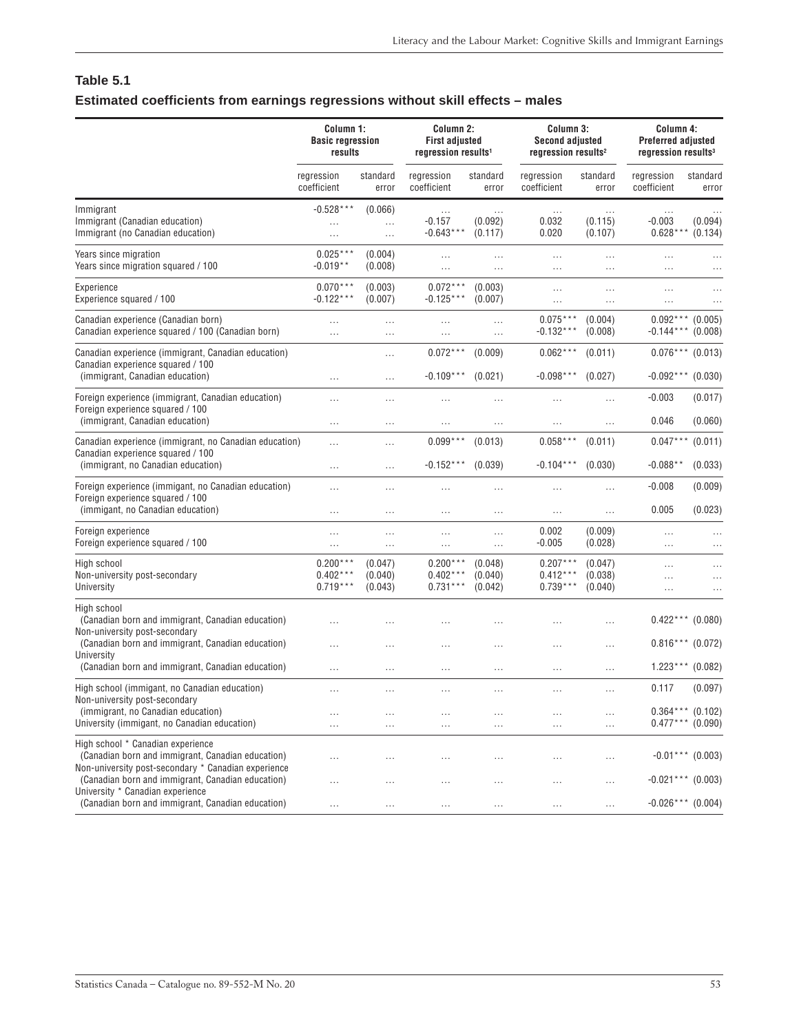### <span id="page-52-0"></span>**Table 5.1 Estimated coefficients from earnings regressions without skill effects – males**

|                                                                                                                                               | Column 1:<br><b>Basic regression</b><br>results |                               | Column 2:<br><b>First adjusted</b><br>regression results <sup>1</sup> |                               | Column 3:<br><b>Second adjusted</b><br>regression results <sup>2</sup> |                                | Column 4:<br><b>Preferred adjusted</b><br>regression results <sup>3</sup> |                      |
|-----------------------------------------------------------------------------------------------------------------------------------------------|-------------------------------------------------|-------------------------------|-----------------------------------------------------------------------|-------------------------------|------------------------------------------------------------------------|--------------------------------|---------------------------------------------------------------------------|----------------------|
|                                                                                                                                               | regression<br>coefficient                       | standard<br>error             | regression<br>coefficient                                             | standard<br>error             | regression<br>coefficient                                              | standard<br>error              | regression<br>coefficient                                                 | standard<br>error    |
| Immigrant<br>Immigrant (Canadian education)<br>Immigrant (no Canadian education)                                                              | $-0.528***$<br>.                                | (0.066)<br><br>               | $\ldots$<br>$-0.157$<br>$-0.643***$                                   | .<br>(0.092)<br>(0.117)       | $\cdots$<br>0.032<br>0.020                                             | $\cdots$<br>(0.115)<br>(0.107) | $\ldots$<br>$-0.003$<br>$0.628***$                                        | (0.094)<br>(0.134)   |
| Years since migration<br>Years since migration squared / 100                                                                                  | $0.025***$<br>$-0.019**$                        | (0.004)<br>(0.008)            | $\dots$<br>$\ldots$                                                   | $\cdots$<br>$\cdots$          | <br>$\cdots$                                                           | $\cdots$<br>$\cdots$           | $\cdots$<br>                                                              |                      |
| Experience<br>Experience squared / 100                                                                                                        | $0.070***$<br>$-0.122***$                       | (0.003)<br>(0.007)            | $0.072***$<br>$-0.125***$                                             | (0.003)<br>(0.007)            | .<br>$\cdots$                                                          | $\cdots$<br>$\cdots$           | .<br>$\cdots$                                                             | .<br>$\ddotsc$       |
| Canadian experience (Canadian born)<br>Canadian experience squared / 100 (Canadian born)                                                      | .<br>$\cdots$                                   | <br>.                         | $\ldots$<br>$\cdots$                                                  | <br>$\ldots$                  | $0.075***$<br>$-0.132***$                                              | (0.004)<br>(0.008)             | $0.092***$<br>$-0.144***$                                                 | (0.005)<br>(0.008)   |
| Canadian experience (immigrant, Canadian education)<br>Canadian experience squared / 100                                                      |                                                 |                               | $0.072***$                                                            | (0.009)                       | $0.062***$                                                             | (0.011)                        | $0.076***$                                                                | (0.013)              |
| (immigrant, Canadian education)<br>Foreign experience (immigrant, Canadian education)                                                         | .<br>$\cdots$                                   | <br>                          | $-0.109***$                                                           | (0.021)<br>                   | $-0.098***$<br>.                                                       | (0.027)<br>$\cdots$            | $-0.092***$<br>$-0.003$                                                   | (0.030)<br>(0.017)   |
| Foreign experience squared / 100<br>(immigrant, Canadian education)                                                                           | $\ldots$                                        |                               | .                                                                     |                               |                                                                        | $\cdots$                       | 0.046                                                                     | (0.060)              |
| Canadian experience (immigrant, no Canadian education)<br>Canadian experience squared / 100<br>(immigrant, no Canadian education)             | .                                               | $\cdots$                      | $0.099***$<br>$-0.152***$                                             | (0.013)<br>(0.039)            | $0.058***$<br>$-0.104***$                                              | (0.011)<br>(0.030)             | $0.047***$<br>$-0.088**$                                                  | (0.011)<br>(0.033)   |
| Foreign experience (immigant, no Canadian education)<br>Foreign experience squared / 100<br>(immigant, no Canadian education)                 | $\cdots$<br>$\cdots$<br>$\cdots$                | <br>.<br>$\cdots$             | $\cdots$<br>$\cdots$                                                  | $\cdots$<br>$\cdots$          | $\cdots$<br>$\cdots$                                                   | $\cdots$<br>$\cdots$           | $-0.008$<br>0.005                                                         | (0.009)<br>(0.023)   |
| Foreign experience<br>Foreign experience squared / 100                                                                                        | $\cdots$<br>.                                   | $\cdots$<br>                  | $\cdots$<br>$\cdots$                                                  | <br>.                         | 0.002<br>$-0.005$                                                      | (0.009)<br>(0.028)             | $\cdots$<br>$\ldots$                                                      |                      |
| High school<br>Non-university post-secondary<br>University                                                                                    | $0.200***$<br>$0.402***$<br>$0.719***$          | (0.047)<br>(0.040)<br>(0.043) | $0.200***$<br>$0.402***$<br>$0.731***$                                | (0.048)<br>(0.040)<br>(0.042) | $0.207***$<br>$0.412***$<br>$0.739***$                                 | (0.047)<br>(0.038)<br>(0.040)  | .<br>.<br>$\cdots$                                                        | $\ldots$<br>$\cdots$ |
| High school<br>(Canadian born and immigrant, Canadian education)<br>Non-university post-secondary                                             | $\cdots$                                        | .                             | .                                                                     |                               | .                                                                      |                                | $0.422***$                                                                | (0.080)              |
| (Canadian born and immigrant, Canadian education)<br>University                                                                               | $\cdots$                                        | .                             | .                                                                     |                               | .                                                                      | $\cdots$                       | $0.816***$ (0.072)                                                        |                      |
| (Canadian born and immigrant, Canadian education)                                                                                             | $\cdots$                                        |                               | $\cdots$                                                              | .                             | .                                                                      | $\cdots$                       | $1.223***$ (0.082)                                                        |                      |
| High school (immigant, no Canadian education)<br>Non-university post-secondary<br>(immigrant, no Canadian education)                          | $\cdots$<br>$\cdots$                            | <br>$\cdots$                  | $\cdots$<br>$\cdots$                                                  | $\cdots$<br>$\cdots$          | <br>$\cdots$                                                           | $\cdots$<br>$\cdots$           | 0.117<br>$0.364***$ (0.102)                                               | (0.097)              |
| University (immigant, no Canadian education)                                                                                                  | $\cdots$                                        | $\cdots$                      | $\cdots$                                                              | $\cdots$                      | $\cdots$                                                               | $\cdots$                       | $0.477***$ (0.090)                                                        |                      |
| High school * Canadian experience<br>(Canadian born and immigrant, Canadian education)<br>Non-university post-secondary * Canadian experience | $\cdots$                                        | .                             | $\ldots$                                                              | $\cdots$                      | .                                                                      | $\cdots$                       | $-0.01***$ (0.003)                                                        |                      |
| (Canadian born and immigrant, Canadian education)<br>University * Canadian experience<br>(Canadian born and immigrant, Canadian education)    | $\cdots$<br>$\cdots$                            | $\cdots$<br>$\cdots$          | $\cdots$<br>$\cdots$                                                  | $\cdots$<br>$\cdots$          | $\cdots$<br>$\cdots$                                                   | $\cdots$<br>$\ldots$           | $-0.021***$ (0.003)<br>$-0.026***$ (0.004)                                |                      |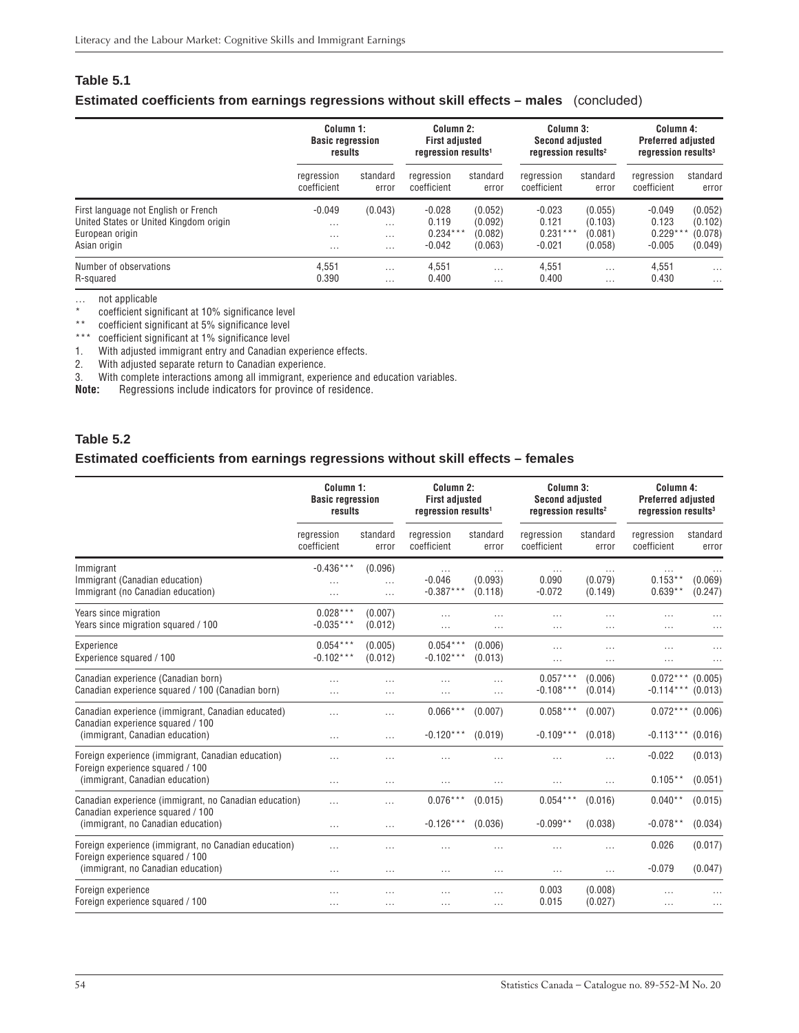### <span id="page-53-0"></span>**Table 5.1 Estimated coefficients from earnings regressions without skill effects – males** (concluded)

| Column 1:<br><b>Basic regression</b><br>results |                                 | Column 2:<br><b>First adjusted</b><br>regression results <sup>1</sup> |                               | Column 3:<br><b>Second adjusted</b><br>regression results <sup>2</sup> |                               | Column 4:<br><b>Preferred adjusted</b><br>regression results <sup>3</sup> |                                                 |
|-------------------------------------------------|---------------------------------|-----------------------------------------------------------------------|-------------------------------|------------------------------------------------------------------------|-------------------------------|---------------------------------------------------------------------------|-------------------------------------------------|
| regression<br>coefficient                       | standard<br>error               | rearession<br>coefficient                                             | standard<br>error             | rearession<br>coefficient                                              | standard<br>error             | regression<br>coefficient                                                 | standard<br>error                               |
| $-0.049$<br>$\cdots$<br>$\cdots$                | (0.043)<br>$\cdots$<br>$\cdots$ | $-0.028$<br>0.119<br>$0.234***$                                       | (0.052)<br>(0.092)<br>(0.082) | $-0.023$<br>0.121                                                      | (0.055)<br>(0.103)<br>(0.081) | $-0.049$<br>0.123<br>$0.229***$                                           | (0.052)<br>(0.102)<br>(0.078)                   |
| $\cdots$<br>4.551                               | $\cdots$<br>$\cdots$            | 4.551                                                                 | $\cdots$                      | 4.551                                                                  | $\cdots$                      | 4,551                                                                     | (0.049)<br>$\cdots$                             |
|                                                 | 0.390                           |                                                                       | $-0.042$                      | (0.063)                                                                | $-0.021$                      | $0.231***$<br>(0.058)                                                     | $-0.005$<br>0.400<br>0.430<br>0.400<br>$\cdots$ |

… not applicable

coefficient significant at 10% significance level

\*\* coefficient significant at 5% significance level

\*\*\* coefficient significant at 1% significance level

1. With adjusted immigrant entry and Canadian experience effects.

2. With adjusted immigrant entry and banadian experience.

3. With complete interactions among all immigrant, experience and education variables.<br>**Note:** Regressions include indicators for province of residence.

**Note:** Regressions include indicators for province of residence.

### **Table 5.2**

### **Estimated coefficients from earnings regressions without skill effects – females**

|                                                                                                                                   | Column 1:<br><b>Basic regression</b><br>results |                                 | Column 2:<br><b>First adjusted</b><br>regression results <sup>1</sup> |                                | Column 3:<br><b>Second adjusted</b><br>regression results <sup>2</sup> |                      | Column 4:<br><b>Preferred adjusted</b><br>regression results <sup>3</sup> |                    |
|-----------------------------------------------------------------------------------------------------------------------------------|-------------------------------------------------|---------------------------------|-----------------------------------------------------------------------|--------------------------------|------------------------------------------------------------------------|----------------------|---------------------------------------------------------------------------|--------------------|
|                                                                                                                                   | regression<br>coefficient                       | standard<br>error               | regression<br>coefficient                                             | standard<br>error              | regression<br>coefficient                                              | standard<br>error    | regression<br>coefficient                                                 | standard<br>error  |
| Immigrant<br>Immigrant (Canadian education)<br>Immigrant (no Canadian education)                                                  | $-0.436***$<br>$\cdots$                         | (0.096)<br>$\cdots$<br>$\cdots$ | $\cdots$<br>$-0.046$<br>$-0.387***$                                   | $\cdots$<br>(0.093)<br>(0.118) | $\cdots$<br>0.090<br>$-0.072$                                          | (0.079)<br>(0.149)   | $\cdots$<br>$0.153**$<br>$0.639**$                                        | (0.069)<br>(0.247) |
| Years since migration<br>Years since migration squared / 100                                                                      | $0.028***$<br>$-0.035***$                       | (0.007)<br>(0.012)              | $\cdots$<br>                                                          | $\cdots$<br>.                  | $\cdots$<br>$\cdots$                                                   | $\cdots$<br>$\cdots$ | $\cdots$<br>$\cdots$                                                      |                    |
| Experience<br>Experience squared / 100                                                                                            | $0.054***$<br>$-0.102***$                       | (0.005)<br>(0.012)              | $0.054***$<br>$-0.102***$                                             | (0.006)<br>(0.013)             | $\cdots$<br>$\cdots$                                                   | $\cdots$<br>$\cdots$ | $\cdots$<br>$\cdots$                                                      |                    |
| Canadian experience (Canadian born)<br>Canadian experience squared / 100 (Canadian born)                                          | $\cdots$<br>$\cdots$                            | $\cdots$<br>$\cdots$            | .                                                                     | $\cdots$<br>$\cdots$           | $0.057***$<br>$-0.108***$                                              | (0.006)<br>(0.014)   | $0.072***$<br>$-0.114***$                                                 | (0.005)<br>(0.013) |
| Canadian experience (immigrant, Canadian educated)<br>Canadian experience squared / 100<br>(immigrant, Canadian education)        | $\cdots$<br>$\cdots$                            | $\cdots$<br>$\cdots$            | $0.066***$<br>$-0.120***$                                             | (0.007)<br>(0.019)             | $0.058***$<br>$-0.109***$                                              | (0.007)<br>(0.018)   | $0.072***$<br>$-0.113***$                                                 | (0.006)<br>(0.016) |
| Foreign experience (immigrant, Canadian education)<br>Foreign experience squared / 100<br>(immigrant, Canadian education)         | $\cdots$<br>$\cdots$                            | $\cdots$<br>$\cdots$            | $\cdots$                                                              | $\cdots$<br>$\cdots$           | $\cdots$<br>$\cdots$                                                   | $\cdots$<br>$\cdots$ | $-0.022$<br>$0.105**$                                                     | (0.013)<br>(0.051) |
| Canadian experience (immigrant, no Canadian education)<br>Canadian experience squared / 100<br>(immigrant, no Canadian education) | $\cdots$<br>$\cdots$                            | .<br>$\cdots$                   | $0.076***$<br>$-0.126***$                                             | (0.015)<br>(0.036)             | $0.054***$<br>$-0.099**$                                               | (0.016)<br>(0.038)   | $0.040**$<br>$-0.078**$                                                   | (0.015)<br>(0.034) |
| Foreign experience (immigrant, no Canadian education)<br>Foreign experience squared / 100<br>(immigrant, no Canadian education)   | .<br>$\cdots$                                   | $\cdots$<br>$\cdots$            | .                                                                     | $\cdots$                       | $\cdots$                                                               | $\cdots$<br>$\cdots$ | 0.026<br>$-0.079$                                                         | (0.017)<br>(0.047) |
| Foreign experience<br>Foreign experience squared / 100                                                                            | $\cdots$                                        | $\cdots$<br>$\cdots$            | $\cdots$                                                              | $\cdots$<br>$\cdots$           | 0.003<br>0.015                                                         | (0.008)<br>(0.027)   | $\cdots$                                                                  | .                  |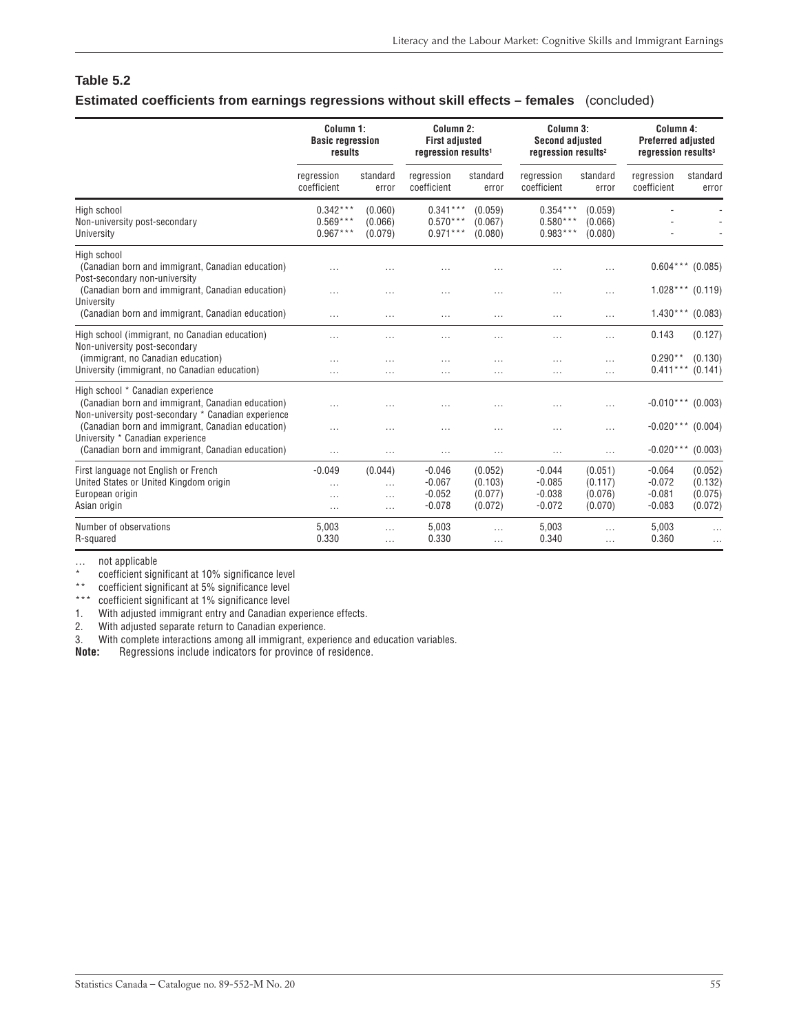### **Table 5.2 Estimated coefficients from earnings regressions without skill effects – females** (concluded)

|                                                                                                                                              | Column 1:<br><b>Basic regression</b><br>results |                                             | Column 2:<br><b>First adjusted</b><br>regression results <sup>1</sup> |                                          | Column 3:<br><b>Second adjusted</b><br>regression results <sup>2</sup> |                                          | Column 4:<br><b>Preferred adjusted</b><br>regression results <sup>3</sup> |                                          |
|----------------------------------------------------------------------------------------------------------------------------------------------|-------------------------------------------------|---------------------------------------------|-----------------------------------------------------------------------|------------------------------------------|------------------------------------------------------------------------|------------------------------------------|---------------------------------------------------------------------------|------------------------------------------|
|                                                                                                                                              | regression<br>coefficient                       | standard<br>error                           | regression<br>coefficient                                             | standard<br>error                        | regression<br>coefficient                                              | standard<br>error                        | regression<br>coefficient                                                 | standard<br>error                        |
| High school<br>Non-university post-secondary<br>University                                                                                   | $0.342***$<br>$0.569***$<br>$0.967***$          | (0.060)<br>(0.066)<br>(0.079)               | $0.341***$<br>$0.570***$<br>$0.971***$                                | (0.059)<br>(0.067)<br>(0.080)            | $0.354***$<br>$0.580***$<br>$0.983***$                                 | (0.059)<br>(0.066)<br>(0.080)            |                                                                           |                                          |
| High school<br>(Canadian born and immigrant, Canadian education)<br>Post-secondary non-university                                            |                                                 |                                             |                                                                       |                                          |                                                                        | $\cdots$                                 | $0.604***$                                                                | (0.085)                                  |
| (Canadian born and immigrant, Canadian education)<br>University<br>(Canadian born and immigrant, Canadian education)                         | $\cdots$<br>$\cdots$                            | $\cdots$<br>$\cdots$                        | $\cdots$<br>$\cdots$                                                  | $\cdots$<br>$\cdots$                     | .<br>$\cdots$                                                          | $\cdots$<br>$\cdots$                     | $1.028***$ (0.119)<br>$1.430***$ (0.083)                                  |                                          |
| High school (immigrant, no Canadian education)                                                                                               |                                                 | .                                           |                                                                       |                                          | .                                                                      | $\cdots$                                 | 0.143                                                                     | (0.127)                                  |
| Non-university post-secondary<br>(immigrant, no Canadian education)<br>University (immigrant, no Canadian education)                         | $\cdots$<br>$\cdots$                            | $\cdots$<br>$\cdots$                        | $\cdots$<br>$\overline{a}$                                            | $\cdots$<br>$\cdots$                     | .<br>$\cdots$                                                          | $\cdots$<br>$\cdots$                     | $0.290**$<br>$0.411***$                                                   | (0.130)<br>(0.141)                       |
| High school * Canadian experience<br>(Canadian born and immigrant, Canadian education)                                                       |                                                 |                                             |                                                                       |                                          | .                                                                      | .                                        | $-0.010***$ (0.003)                                                       |                                          |
| Non-university post-secondary * Canadian experience<br>(Canadian born and immigrant, Canadian education)<br>University * Canadian experience | $\cdots$                                        | $\cdots$                                    | $\cdots$                                                              |                                          | .                                                                      | .                                        | $-0.020***$ (0.004)                                                       |                                          |
| (Canadian born and immigrant, Canadian education)                                                                                            | $\cdots$                                        | $\cdots$                                    | $\cdots$                                                              | $\cdots$                                 | $\cdots$                                                               | $\cdots$                                 | $-0.020***$ (0.003)                                                       |                                          |
| First language not English or French<br>United States or United Kingdom origin<br>European origin<br>Asian origin                            | $-0.049$<br>$\cdots$<br>$\cdots$<br>$\cdots$    | (0.044)<br>$\cdots$<br>$\cdots$<br>$\cdots$ | $-0.046$<br>$-0.067$<br>$-0.052$<br>$-0.078$                          | (0.052)<br>(0.103)<br>(0.077)<br>(0.072) | $-0.044$<br>$-0.085$<br>$-0.038$<br>$-0.072$                           | (0.051)<br>(0.117)<br>(0.076)<br>(0.070) | $-0.064$<br>$-0.072$<br>$-0.081$<br>$-0.083$                              | (0.052)<br>(0.132)<br>(0.075)<br>(0.072) |
| Number of observations<br>R-squared                                                                                                          | 5,003<br>0.330                                  | $\cdots$<br>$\cdots$                        | 5,003<br>0.330                                                        | $\cdots$<br>$\cdots$                     | 5,003<br>0.340                                                         | $\cdots$                                 | 5,003<br>0.360                                                            | $\cdots$                                 |

… not applicable

coefficient significant at 10% significance level

\*\* coefficient significant at 5% significance level

\*\*\* coefficient significant at 1% significance level

1. With adjusted immigrant entry and Canadian experience effects.<br>2. With adjusted separate return to Canadian experience.

**22. With adjusted minifolials ville** y and sensor experience.<br>With adjusted separate return to Canadian experience.

3. With complete interactions among all immigrant, experience and education variables.<br>**Note:** Regressions include indicators for province of residence.

**Note:** Regressions include indicators for province of residence.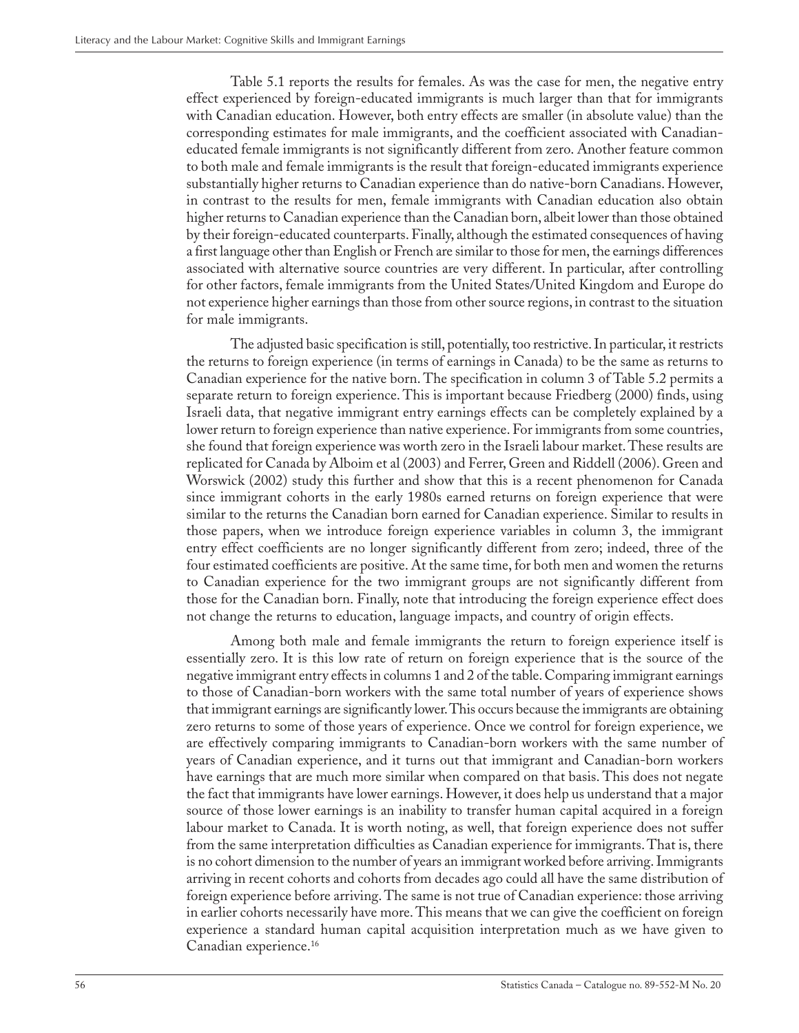Table 5.1 reports the results for females. As was the case for men, the negative entry effect experienced by foreign-educated immigrants is much larger than that for immigrants with Canadian education. However, both entry effects are smaller (in absolute value) than the corresponding estimates for male immigrants, and the coefficient associated with Canadianeducated female immigrants is not significantly different from zero. Another feature common to both male and female immigrants is the result that foreign-educated immigrants experience substantially higher returns to Canadian experience than do native-born Canadians. However, in contrast to the results for men, female immigrants with Canadian education also obtain higher returns to Canadian experience than the Canadian born, albeit lower than those obtained by their foreign-educated counterparts. Finally, although the estimated consequences of having a first language other than English or French are similar to those for men, the earnings differences associated with alternative source countries are very different. In particular, after controlling for other factors, female immigrants from the United States/United Kingdom and Europe do not experience higher earnings than those from other source regions, in contrast to the situation for male immigrants.

The adjusted basic specification is still, potentially, too restrictive. In particular, it restricts the returns to foreign experience (in terms of earnings in Canada) to be the same as returns to Canadian experience for the native born. The specification in column 3 of Table 5.2 permits a separate return to foreign experience. This is important because Friedberg (2000) finds, using Israeli data, that negative immigrant entry earnings effects can be completely explained by a lower return to foreign experience than native experience. For immigrants from some countries, she found that foreign experience was worth zero in the Israeli labour market. These results are replicated for Canada by Alboim et al (2003) and Ferrer, Green and Riddell (2006). Green and Worswick (2002) study this further and show that this is a recent phenomenon for Canada since immigrant cohorts in the early 1980s earned returns on foreign experience that were similar to the returns the Canadian born earned for Canadian experience. Similar to results in those papers, when we introduce foreign experience variables in column 3, the immigrant entry effect coefficients are no longer significantly different from zero; indeed, three of the four estimated coefficients are positive. At the same time, for both men and women the returns to Canadian experience for the two immigrant groups are not significantly different from those for the Canadian born. Finally, note that introducing the foreign experience effect does not change the returns to education, language impacts, and country of origin effects.

Among both male and female immigrants the return to foreign experience itself is essentially zero. It is this low rate of return on foreign experience that is the source of the negative immigrant entry effects in columns 1 and 2 of the table. Comparing immigrant earnings to those of Canadian-born workers with the same total number of years of experience shows that immigrant earnings are significantly lower. This occurs because the immigrants are obtaining zero returns to some of those years of experience. Once we control for foreign experience, we are effectively comparing immigrants to Canadian-born workers with the same number of years of Canadian experience, and it turns out that immigrant and Canadian-born workers have earnings that are much more similar when compared on that basis. This does not negate the fact that immigrants have lower earnings. However, it does help us understand that a major source of those lower earnings is an inability to transfer human capital acquired in a foreign labour market to Canada. It is worth noting, as well, that foreign experience does not suffer from the same interpretation difficulties as Canadian experience for immigrants. That is, there is no cohort dimension to the number of years an immigrant worked before arriving. Immigrants arriving in recent cohorts and cohorts from decades ago could all have the same distribution of foreign experience before arriving. The same is not true of Canadian experience: those arriving in earlier cohorts necessarily have more. This means that we can give the coefficient on foreign experience a standard human capital acquisition interpretation much as we have given to Canadian experience.16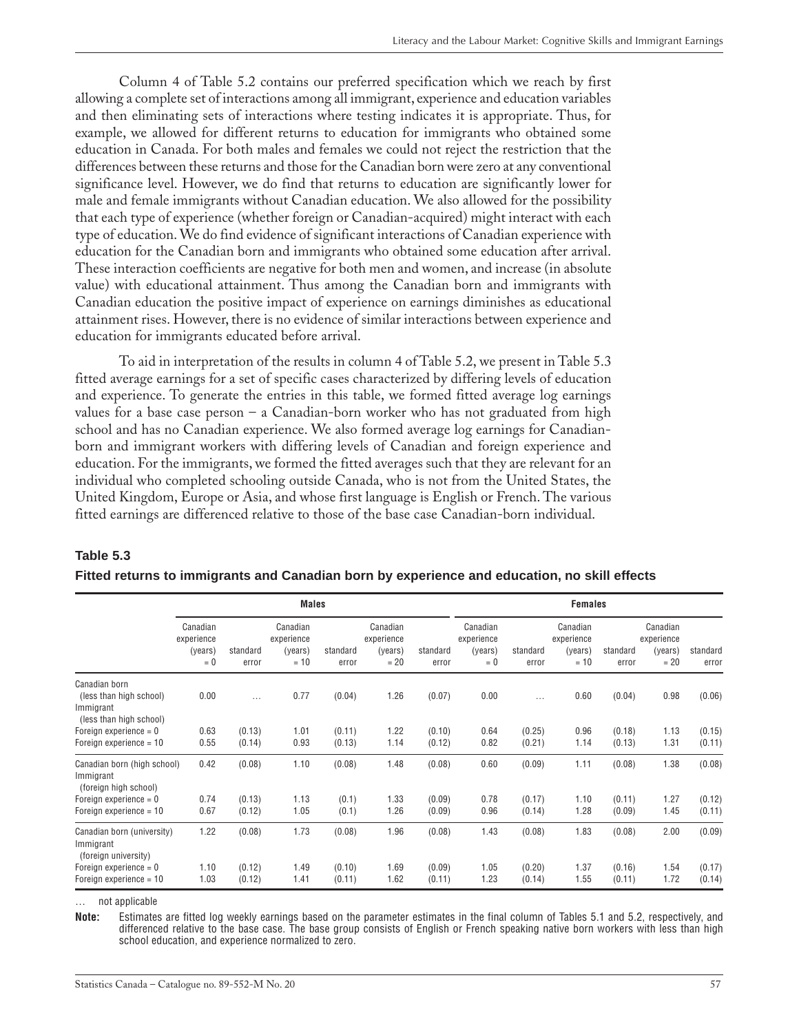<span id="page-56-0"></span>Column 4 of Table 5.2 contains our preferred specification which we reach by first allowing a complete set of interactions among all immigrant, experience and education variables and then eliminating sets of interactions where testing indicates it is appropriate. Thus, for example, we allowed for different returns to education for immigrants who obtained some education in Canada. For both males and females we could not reject the restriction that the differences between these returns and those for the Canadian born were zero at any conventional significance level. However, we do find that returns to education are significantly lower for male and female immigrants without Canadian education. We also allowed for the possibility that each type of experience (whether foreign or Canadian-acquired) might interact with each type of education. We do find evidence of significant interactions of Canadian experience with education for the Canadian born and immigrants who obtained some education after arrival. These interaction coefficients are negative for both men and women, and increase (in absolute value) with educational attainment. Thus among the Canadian born and immigrants with Canadian education the positive impact of experience on earnings diminishes as educational attainment rises. However, there is no evidence of similar interactions between experience and education for immigrants educated before arrival.

To aid in interpretation of the results in column 4 of Table 5.2, we present in Table 5.3 fitted average earnings for a set of specific cases characterized by differing levels of education and experience. To generate the entries in this table, we formed fitted average log earnings values for a base case person – a Canadian-born worker who has not graduated from high school and has no Canadian experience. We also formed average log earnings for Canadianborn and immigrant workers with differing levels of Canadian and foreign experience and education. For the immigrants, we formed the fitted averages such that they are relevant for an individual who completed schooling outside Canada, who is not from the United States, the United Kingdom, Europe or Asia, and whose first language is English or French. The various fitted earnings are differenced relative to those of the base case Canadian-born individual.

|                                                                                  |                                            |                   | <b>Males</b>                                |                   |                                             |                   |                                            |                   |                                             |                   |                                             |                   |
|----------------------------------------------------------------------------------|--------------------------------------------|-------------------|---------------------------------------------|-------------------|---------------------------------------------|-------------------|--------------------------------------------|-------------------|---------------------------------------------|-------------------|---------------------------------------------|-------------------|
|                                                                                  | Canadian<br>experience<br>(years)<br>$= 0$ | standard<br>error | Canadian<br>experience<br>(years)<br>$= 10$ | standard<br>error | Canadian<br>experience<br>(years)<br>$= 20$ | standard<br>error | Canadian<br>experience<br>(years)<br>$= 0$ | standard<br>error | Canadian<br>experience<br>(years)<br>$= 10$ | standard<br>error | Canadian<br>experience<br>(years)<br>$= 20$ | standard<br>error |
| Canadian born<br>(less than high school)<br>Immigrant<br>(less than high school) | 0.00                                       | $\cdots$          | 0.77                                        | (0.04)            | 1.26                                        | (0.07)            | 0.00                                       | $\cdots$          | 0.60                                        | (0.04)            | 0.98                                        | (0.06)            |
| Foreign experience $= 0$<br>Foreign experience $= 10$                            | 0.63<br>0.55                               | (0.13)<br>(0.14)  | 1.01<br>0.93                                | (0.11)<br>(0.13)  | 1.22<br>1.14                                | (0.10)<br>(0.12)  | 0.64<br>0.82                               | (0.25)<br>(0.21)  | 0.96<br>1.14                                | (0.18)<br>(0.13)  | 1.13<br>1.31                                | (0.15)<br>(0.11)  |
| Canadian born (high school)<br>Immigrant<br>(foreign high school)                | 0.42                                       | (0.08)            | 1.10                                        | (0.08)            | 1.48                                        | (0.08)            | 0.60                                       | (0.09)            | 1.11                                        | (0.08)            | 1.38                                        | (0.08)            |
| Foreign experience $= 0$<br>Foreign experience = 10                              | 0.74<br>0.67                               | (0.13)<br>(0.12)  | 1.13<br>1.05                                | (0.1)<br>(0.1)    | 1.33<br>1.26                                | (0.09)<br>(0.09)  | 0.78<br>0.96                               | (0.17)<br>(0.14)  | 1.10<br>1.28                                | (0.11)<br>(0.09)  | 1.27<br>1.45                                | (0.12)<br>(0.11)  |
| Canadian born (university)<br>Immigrant<br>(foreign university)                  | 1.22                                       | (0.08)            | 1.73                                        | (0.08)            | 1.96                                        | (0.08)            | 1.43                                       | (0.08)            | 1.83                                        | (0.08)            | 2.00                                        | (0.09)            |
| Foreign experience $= 0$<br>Foreign experience = 10                              | 1.10<br>1.03                               | (0.12)<br>(0.12)  | 1.49<br>1.41                                | (0.10)<br>(0.11)  | 1.69<br>1.62                                | (0.09)<br>(0.11)  | 1.05<br>1.23                               | (0.20)<br>(0.14)  | 1.37<br>1.55                                | (0.16)<br>(0.11)  | 1.54<br>1.72                                | (0.17)<br>(0.14)  |

### **Fitted returns to immigrants and Canadian born by experience and education, no skill effects**

… not applicable

**Table 5.3**

**Note:** Estimates are fitted log weekly earnings based on the parameter estimates in the final column of Tables 5.1 and 5.2, respectively, and differenced relative to the base case. The base group consists of English or French speaking native born workers with less than high school education, and experience normalized to zero.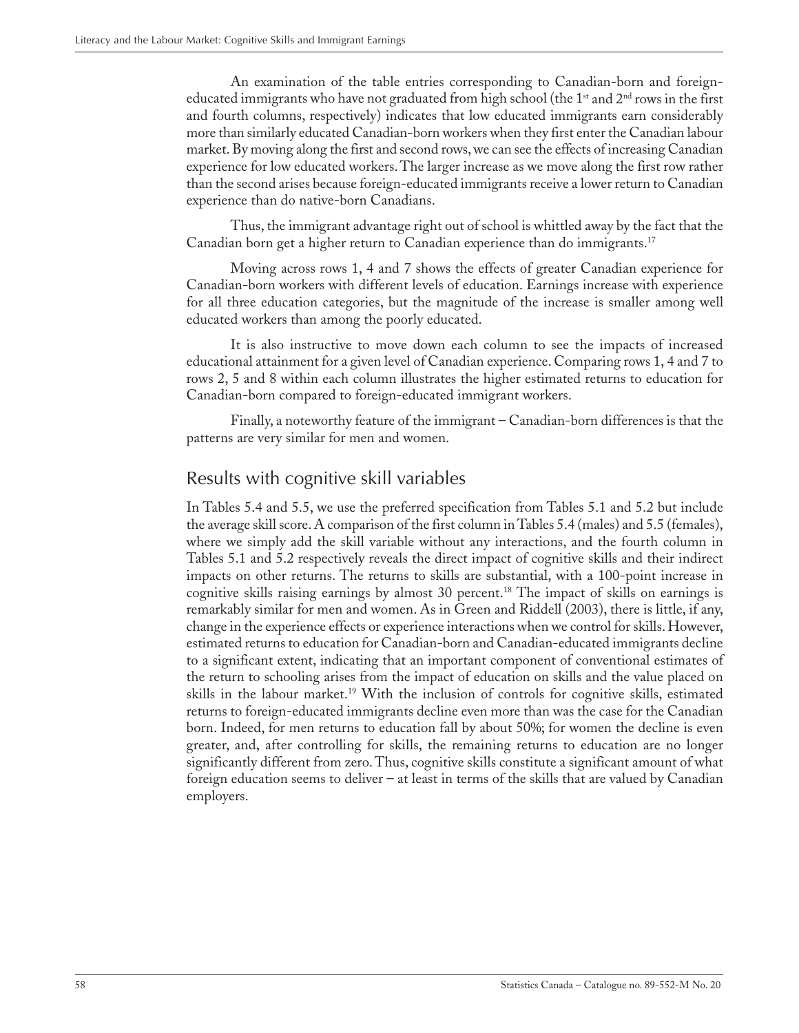An examination of the table entries corresponding to Canadian-born and foreigneducated immigrants who have not graduated from high school (the 1<sup>st</sup> and 2<sup>nd</sup> rows in the first and fourth columns, respectively) indicates that low educated immigrants earn considerably more than similarly educated Canadian-born workers when they first enter the Canadian labour market. By moving along the first and second rows, we can see the effects of increasing Canadian experience for low educated workers. The larger increase as we move along the first row rather than the second arises because foreign-educated immigrants receive a lower return to Canadian experience than do native-born Canadians.

Thus, the immigrant advantage right out of school is whittled away by the fact that the Canadian born get a higher return to Canadian experience than do immigrants.17

Moving across rows 1, 4 and 7 shows the effects of greater Canadian experience for Canadian-born workers with different levels of education. Earnings increase with experience for all three education categories, but the magnitude of the increase is smaller among well educated workers than among the poorly educated.

It is also instructive to move down each column to see the impacts of increased educational attainment for a given level of Canadian experience. Comparing rows 1, 4 and 7 to rows 2, 5 and 8 within each column illustrates the higher estimated returns to education for Canadian-born compared to foreign-educated immigrant workers.

Finally, a noteworthy feature of the immigrant – Canadian-born differences is that the patterns are very similar for men and women.

### Results with cognitive skill variables

In Tables 5.4 and 5.5, we use the preferred specification from Tables 5.1 and 5.2 but include the average skill score. A comparison of the first column in Tables 5.4 (males) and 5.5 (females), where we simply add the skill variable without any interactions, and the fourth column in Tables 5.1 and 5.2 respectively reveals the direct impact of cognitive skills and their indirect impacts on other returns. The returns to skills are substantial, with a 100-point increase in cognitive skills raising earnings by almost 30 percent.<sup>18</sup> The impact of skills on earnings is remarkably similar for men and women. As in Green and Riddell (2003), there is little, if any, change in the experience effects or experience interactions when we control for skills. However, estimated returns to education for Canadian-born and Canadian-educated immigrants decline to a significant extent, indicating that an important component of conventional estimates of the return to schooling arises from the impact of education on skills and the value placed on skills in the labour market.19 With the inclusion of controls for cognitive skills, estimated returns to foreign-educated immigrants decline even more than was the case for the Canadian born. Indeed, for men returns to education fall by about 50%; for women the decline is even greater, and, after controlling for skills, the remaining returns to education are no longer significantly different from zero. Thus, cognitive skills constitute a significant amount of what foreign education seems to deliver – at least in terms of the skills that are valued by Canadian employers.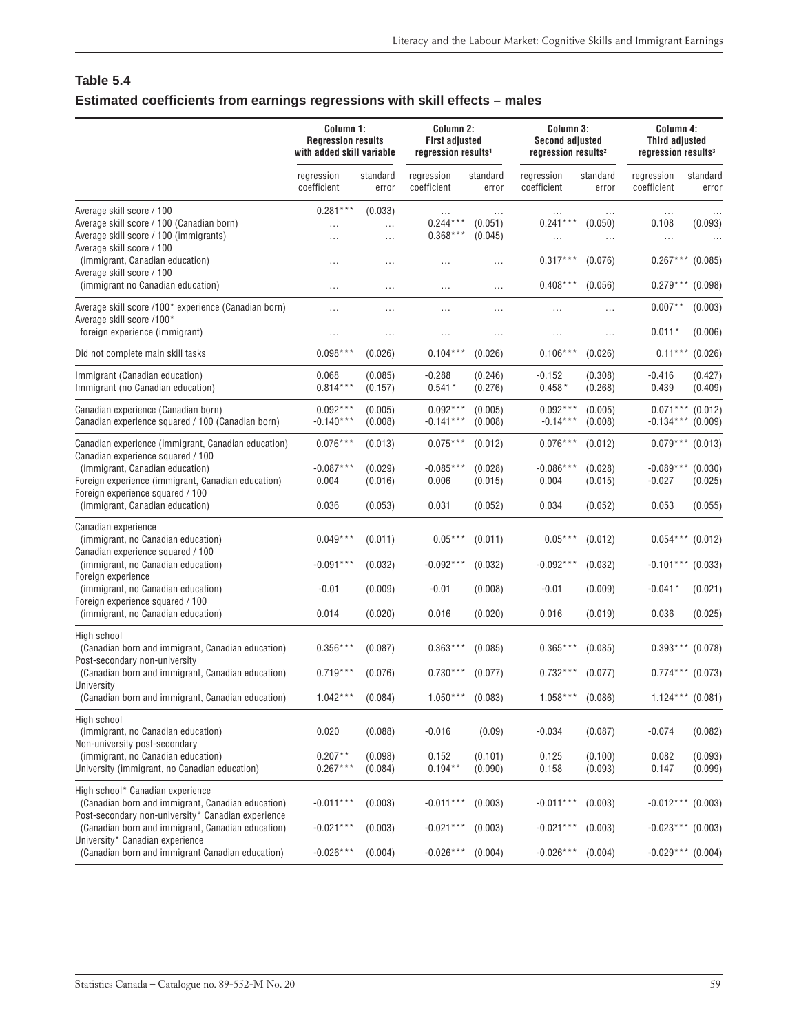### <span id="page-58-0"></span>**Table 5.4 Estimated coefficients from earnings regressions with skill effects – males**

|                                                                                                                                                                                                                                                                                         | Column 1:<br><b>Regression results</b><br>with added skill variable |                                          | Column 2:<br><b>First adjusted</b><br>regression results <sup>1</sup> |                                          | Column 3:<br><b>Second adjusted</b><br>regression results <sup>2</sup> |                                          |                                                                   | Column 4:<br><b>Third adjusted</b><br>regression results <sup>3</sup> |  |  |
|-----------------------------------------------------------------------------------------------------------------------------------------------------------------------------------------------------------------------------------------------------------------------------------------|---------------------------------------------------------------------|------------------------------------------|-----------------------------------------------------------------------|------------------------------------------|------------------------------------------------------------------------|------------------------------------------|-------------------------------------------------------------------|-----------------------------------------------------------------------|--|--|
|                                                                                                                                                                                                                                                                                         | regression<br>coefficient                                           | standard<br>error                        | regression<br>coefficient                                             | standard<br>error                        | regression<br>coefficient                                              | standard<br>error                        | regression<br>coefficient                                         | standard<br>error                                                     |  |  |
| Average skill score / 100<br>Average skill score / 100 (Canadian born)<br>Average skill score / 100 (immigrants)                                                                                                                                                                        | $0.281***$<br>$\cdots$                                              | (0.033)<br>.<br>.                        | $\ldots$<br>$0.244***$<br>$0.368***$                                  | (0.051)<br>(0.045)                       | <br>$0.241***$<br>                                                     | (0.050)<br>$\ldots$                      | $\cdots$<br>0.108<br>$\ldots$                                     | (0.093)                                                               |  |  |
| Average skill score / 100<br>(immigrant, Canadian education)<br>Average skill score / 100                                                                                                                                                                                               | $\cdots$                                                            |                                          | $\cdots$                                                              | $\cdots$                                 | $0.317***$                                                             | (0.076)                                  | $0.267***$                                                        | (0.085)                                                               |  |  |
| (immigrant no Canadian education)<br>Average skill score /100* experience (Canadian born)<br>Average skill score /100*<br>foreign experience (immigrant)                                                                                                                                | $\cdots$<br>$\cdots$<br>$\cdots$                                    | $\cdots$<br><br>                         | $\cdots$<br>$\cdots$<br>$\cdots$                                      | .<br>.<br>.                              | $0.408***$<br>.<br>                                                    | (0.056)<br>$\cdots$<br>$\cdots$          | $0.279***$<br>$0.007**$<br>$0.011*$                               | (0.098)<br>(0.003)<br>(0.006)                                         |  |  |
| Did not complete main skill tasks                                                                                                                                                                                                                                                       | $0.098***$                                                          | (0.026)                                  | $0.104***$                                                            | (0.026)                                  | $0.106***$                                                             | (0.026)                                  | $0.11***$                                                         | (0.026)                                                               |  |  |
| Immigrant (Canadian education)<br>Immigrant (no Canadian education)                                                                                                                                                                                                                     | 0.068<br>$0.814***$                                                 | (0.085)<br>(0.157)                       | $-0.288$<br>$0.541*$                                                  | (0.246)<br>(0.276)                       | $-0.152$<br>$0.458*$                                                   | (0.308)<br>(0.268)                       | $-0.416$<br>0.439                                                 | (0.427)<br>(0.409)                                                    |  |  |
| Canadian experience (Canadian born)<br>Canadian experience squared / 100 (Canadian born)                                                                                                                                                                                                | $0.092***$<br>$-0.140***$                                           | (0.005)<br>(0.008)                       | $0.092***$<br>$-0.141***$                                             | (0.005)<br>(0.008)                       | $0.092***$<br>$-0.14***$                                               | (0.005)<br>(0.008)                       | $0.071***$<br>$-0.134***$                                         | (0.012)<br>(0.009)                                                    |  |  |
| Canadian experience (immigrant, Canadian education)<br>Canadian experience squared / 100<br>(immigrant, Canadian education)<br>Foreign experience (immigrant, Canadian education)<br>Foreign experience squared / 100<br>(immigrant, Canadian education)                                | $0.076***$<br>$-0.087***$<br>0.004<br>0.036                         | (0.013)<br>(0.029)<br>(0.016)<br>(0.053) | $0.075***$<br>$-0.085***$<br>0.006<br>0.031                           | (0.012)<br>(0.028)<br>(0.015)<br>(0.052) | $0.076***$<br>$-0.086***$<br>0.004<br>0.034                            | (0.012)<br>(0.028)<br>(0.015)<br>(0.052) | $0.079***$<br>$-0.089***$<br>$-0.027$<br>0.053                    | (0.013)<br>(0.030)<br>(0.025)<br>(0.055)                              |  |  |
| Canadian experience<br>(immigrant, no Canadian education)<br>Canadian experience squared / 100<br>(immigrant, no Canadian education)<br>Foreign experience<br>(immigrant, no Canadian education)<br>Foreign experience squared / 100<br>(immigrant, no Canadian education)              | $0.049***$<br>$-0.091***$<br>$-0.01$<br>0.014                       | (0.011)<br>(0.032)<br>(0.009)<br>(0.020) | $0.05***$<br>$-0.092***$<br>$-0.01$<br>0.016                          | (0.011)<br>(0.032)<br>(0.008)<br>(0.020) | $0.05***$<br>$-0.092***$<br>$-0.01$<br>0.016                           | (0.012)<br>(0.032)<br>(0.009)<br>(0.019) | $0.054***$<br>$-0.101***$ (0.033)<br>-0.041 *<br>0.036            | (0.012)<br>(0.021)<br>(0.025)                                         |  |  |
| High school<br>(Canadian born and immigrant, Canadian education)<br>Post-secondary non-university<br>(Canadian born and immigrant, Canadian education)<br>University<br>(Canadian born and immigrant, Canadian education)                                                               | $0.356***$<br>$0.719***$<br>$1.042***$                              | (0.087)<br>(0.076)<br>(0.084)            | $0.363***$<br>$0.730***$<br>$1.050***$                                | (0.085)<br>(0.077)<br>(0.083)            | $0.365***$<br>$0.732***$<br>$1.058***$                                 | (0.085)<br>(0.077)<br>(0.086)            | $0.393***$<br>$0.774***$<br>$1.124***$ (0.081)                    | (0.078)<br>(0.073)                                                    |  |  |
| High school<br>(immigrant, no Canadian education)<br>Non-university post-secondary<br>(immigrant, no Canadian education)<br>University (immigrant, no Canadian education)                                                                                                               | 0.020<br>$0.207**$<br>$0.267***$                                    | (0.088)<br>(0.098)<br>(0.084)            | $-0.016$<br>0.152<br>$0.194**$                                        | (0.09)<br>(0.101)<br>(0.090)             | $-0.034$<br>0.125<br>0.158                                             | (0.087)<br>(0.100)<br>(0.093)            | $-0.074$<br>0.082<br>0.147                                        | (0.082)<br>(0.093)<br>(0.099)                                         |  |  |
| High school* Canadian experience<br>(Canadian born and immigrant, Canadian education)<br>Post-secondary non-university* Canadian experience<br>(Canadian born and immigrant, Canadian education)<br>University* Canadian experience<br>(Canadian born and immigrant Canadian education) | $-0.011***$<br>$-0.021***$<br>$-0.026***$                           | (0.003)<br>(0.003)<br>(0.004)            | $-0.011***$<br>$-0.021***$<br>$-0.026***$                             | (0.003)<br>(0.003)<br>(0.004)            | $-0.011***$<br>$-0.021***$<br>$-0.026***$                              | (0.003)<br>(0.003)<br>(0.004)            | $-0.012***$ (0.003)<br>$-0.023***$ (0.003)<br>$-0.029***$ (0.004) |                                                                       |  |  |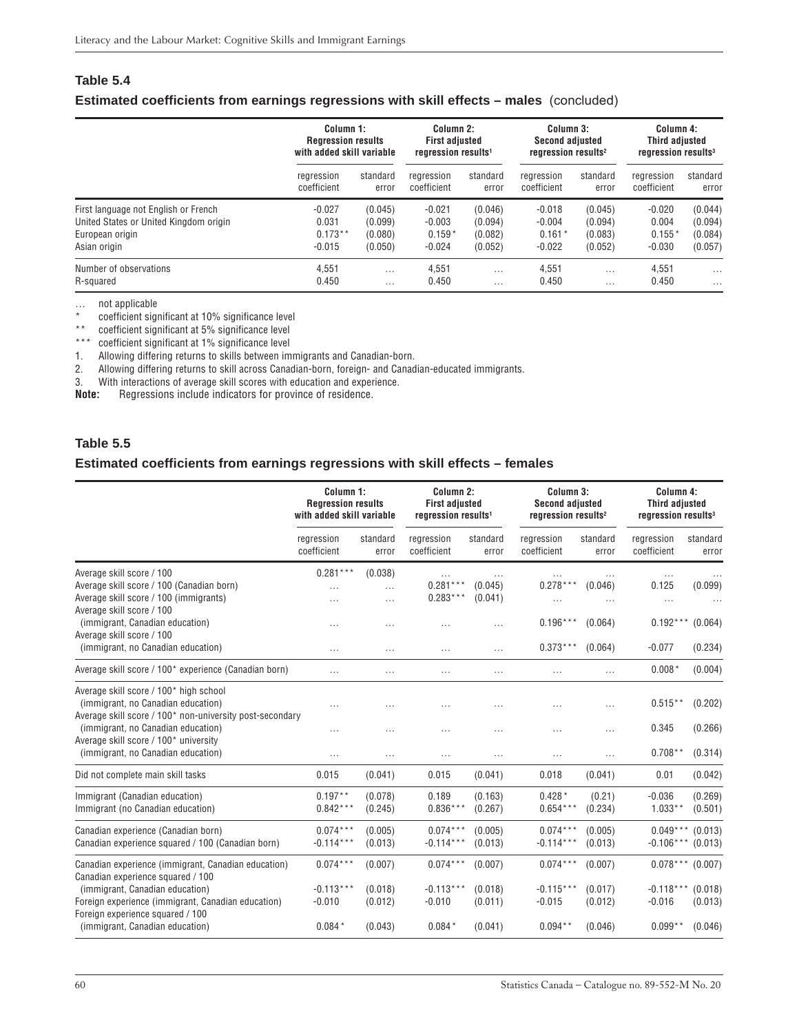### <span id="page-59-0"></span>**Table 5.4**

### **Estimated coefficients from earnings regressions with skill effects – males** (concluded)

|                                        | Column 1:                 |          | Column 2:                       |          | Column 3:                       |          | Column 4:                       |          |
|----------------------------------------|---------------------------|----------|---------------------------------|----------|---------------------------------|----------|---------------------------------|----------|
|                                        | <b>Regression results</b> |          | <b>First adjusted</b>           |          | <b>Second adjusted</b>          |          | <b>Third adjusted</b>           |          |
|                                        | with added skill variable |          | regression results <sup>1</sup> |          | regression results <sup>2</sup> |          | regression results <sup>3</sup> |          |
|                                        | regression                | standard | regression                      | standard | rearession                      | standard | regression                      | standard |
|                                        | coefficient               | error    | coefficient                     | error    | coefficient                     | error    | coefficient                     | error    |
| First language not English or French   | $-0.027$                  | (0.045)  | $-0.021$                        | (0.046)  | $-0.018$                        | (0.045)  | $-0.020$                        | (0.044)  |
| United States or United Kingdom origin | 0.031                     | (0.099)  | $-0.003$                        | (0.094)  | $-0.004$                        | (0.094)  | 0.004                           | (0.094)  |
| European origin                        | $0.173**$                 | (0.080)  | $0.159*$                        | (0.082)  | $0.161*$                        | (0.083)  | $0.155*$                        | (0.084)  |
| Asian origin                           | $-0.015$                  | (0.050)  | $-0.024$                        | (0.052)  | $-0.022$                        | (0.052)  | $-0.030$                        | (0.057)  |
| Number of observations                 | 4.551                     | $\cdots$ | 4.551                           | $\cdots$ | 4.551                           | $\cdots$ | 4.551                           | $\cdots$ |
| R-squared                              | 0.450                     | $\cdots$ | 0.450                           | $\cdots$ | 0.450                           | $\cdots$ | 0.450                           | $\cdots$ |

… not applicable

\* coefficient significant at 10% significance level

\*\* coefficient significant at 5% significance level

\*\*\* coefficient significant at 1% significance level

1. Allowing differing returns to skills between immigrants and Canadian-born.

2. Allowing differing returns to skill across Canadian-born, foreign- and Canadian-educated immigrants.

3. With interactions of average skill scores with education and experience.<br>**Note:** Regressions include indicators for province of residence. **Note:** Regressions include indicators for province of residence.

### **Table 5.5**

### **Estimated coefficients from earnings regressions with skill effects – females**

|                                                                                                                                         |                           | Column 1:<br><b>Regression results</b><br>with added skill variable |                                      | Column 2:<br><b>First adjusted</b><br>regression results <sup>1</sup> |                           | Column 3:<br><b>Second adjusted</b><br>regression results <sup>2</sup> | Column 4:<br><b>Third adjusted</b><br>regression results <sup>3</sup> |                    |
|-----------------------------------------------------------------------------------------------------------------------------------------|---------------------------|---------------------------------------------------------------------|--------------------------------------|-----------------------------------------------------------------------|---------------------------|------------------------------------------------------------------------|-----------------------------------------------------------------------|--------------------|
|                                                                                                                                         | regression<br>coefficient | standard<br>error                                                   | regression<br>coefficient            | standard<br>error                                                     | regression<br>coefficient | standard<br>error                                                      | regression<br>coefficient                                             | standard<br>error  |
| Average skill score / 100<br>Average skill score / 100 (Canadian born)<br>Average skill score / 100 (immigrants)                        | $0.281***$<br>$\cdots$    | (0.038)<br>.<br>$\cdots$                                            | $\ldots$<br>$0.281***$<br>$0.283***$ | (0.045)<br>(0.041)                                                    | $0.278***$                | (0.046)<br>.                                                           | .<br>0.125<br>$\ldots$                                                | (0.099)            |
| Average skill score / 100<br>(immigrant, Canadian education)<br>Average skill score / 100<br>(immigrant, no Canadian education)         | $\cdots$                  | $\cdots$                                                            |                                      | $\cdots$                                                              | $0.196***$<br>$0.373***$  | (0.064)<br>(0.064)                                                     | $0.192***$<br>$-0.077$                                                | (0.064)            |
| Average skill score / 100* experience (Canadian born)                                                                                   | $\cdots$<br>.             | $\cdots$<br>$\cdots$                                                | $\cdots$<br>$\cdots$                 | $\sim$<br>$\cdots$                                                    | $\cdots$                  | .                                                                      | $0.008*$                                                              | (0.234)<br>(0.004) |
| Average skill score / 100* high school<br>(immigrant, no Canadian education)                                                            |                           | $\cdots$                                                            |                                      |                                                                       |                           | $\cdots$                                                               | $0.515**$                                                             | (0.202)            |
| Average skill score / 100* non-university post-secondary<br>(immigrant, no Canadian education)<br>Average skill score / 100* university | .                         | .                                                                   |                                      |                                                                       |                           | .                                                                      | 0.345                                                                 | (0.266)            |
| (immigrant, no Canadian education)                                                                                                      | $\cdots$                  | $\cdots$                                                            | $\cdots$                             | $\cdots$                                                              | $\cdots$                  | .                                                                      | $0.708**$                                                             | (0.314)            |
| Did not complete main skill tasks                                                                                                       | 0.015                     | (0.041)                                                             | 0.015                                | (0.041)                                                               | 0.018                     | (0.041)                                                                | 0.01                                                                  | (0.042)            |
| Immigrant (Canadian education)<br>Immigrant (no Canadian education)                                                                     | $0.197**$<br>$0.842***$   | (0.078)<br>(0.245)                                                  | 0.189<br>$0.836***$                  | (0.163)<br>(0.267)                                                    | $0.428*$<br>$0.654***$    | (0.21)<br>(0.234)                                                      | $-0.036$<br>$1.033**$                                                 | (0.269)<br>(0.501) |
| Canadian experience (Canadian born)<br>Canadian experience squared / 100 (Canadian born)                                                | $0.074***$<br>$-0.114***$ | (0.005)<br>(0.013)                                                  | $0.074***$<br>$-0.114***$            | (0.005)<br>(0.013)                                                    | $0.074***$<br>$-0.114***$ | (0.005)<br>(0.013)                                                     | $0.049***$<br>$-0.106***$                                             | (0.013)<br>(0.013) |
| Canadian experience (immigrant, Canadian education)<br>Canadian experience squared / 100                                                | $0.074***$                | (0.007)                                                             | $0.074***$                           | (0.007)                                                               | $0.074***$                | (0.007)                                                                | $0.078***$                                                            | (0.007)            |
| (immigrant, Canadian education)<br>Foreign experience (immigrant, Canadian education)<br>Foreign experience squared / 100               | $-0.113***$<br>$-0.010$   | (0.018)<br>(0.012)                                                  | $-0.113***$<br>$-0.010$              | (0.018)<br>(0.011)                                                    | $-0.115***$<br>$-0.015$   | (0.017)<br>(0.012)                                                     | $-0.118***$<br>$-0.016$                                               | (0.018)<br>(0.013) |
| (immigrant, Canadian education)                                                                                                         | $0.084*$                  | (0.043)                                                             | $0.084*$                             | (0.041)                                                               | $0.094**$                 | (0.046)                                                                | $0.099**$                                                             | (0.046)            |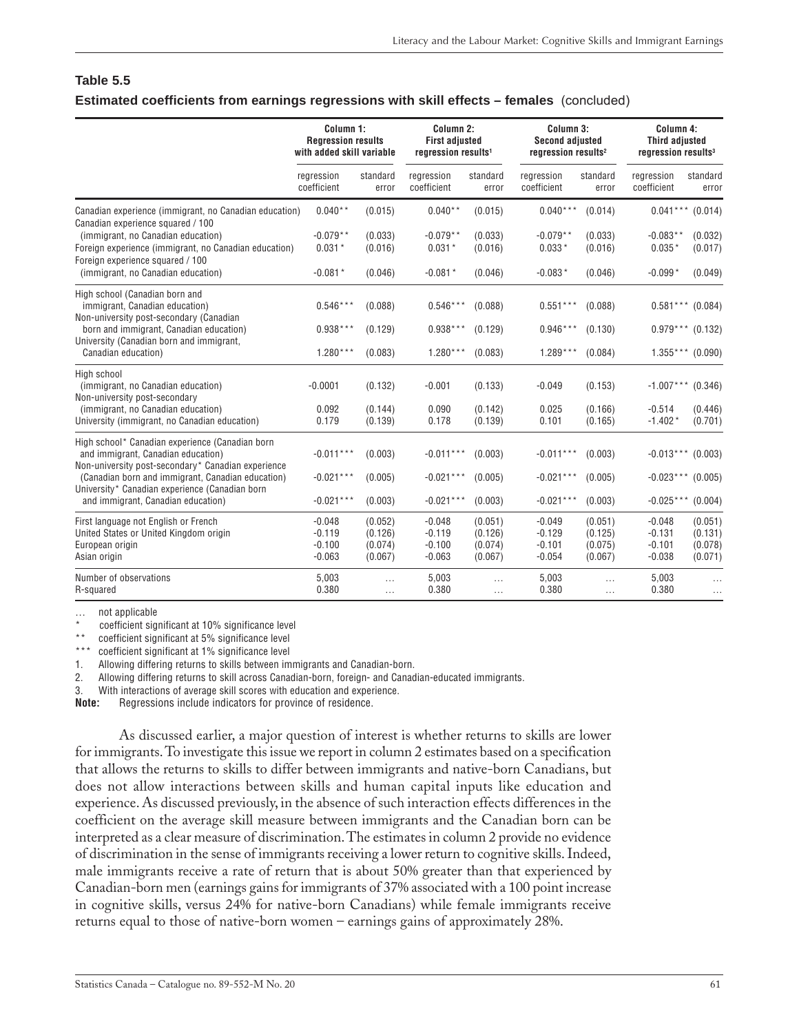### **Table 5.5 Estimated coefficients from earnings regressions with skill effects – females** (concluded)

|                                                                                                                                             | Column 1:<br><b>Regression results</b><br>with added skill variable |                                          | Column 2:<br><b>First adjusted</b><br>regression results <sup>1</sup> |                                          | Column 3:<br><b>Second adjusted</b><br>regression results <sup>2</sup> |                                          | Column 4:<br><b>Third adjusted</b><br>regression results <sup>3</sup> |                                          |
|---------------------------------------------------------------------------------------------------------------------------------------------|---------------------------------------------------------------------|------------------------------------------|-----------------------------------------------------------------------|------------------------------------------|------------------------------------------------------------------------|------------------------------------------|-----------------------------------------------------------------------|------------------------------------------|
|                                                                                                                                             | regression<br>coefficient                                           | standard<br>error                        | regression<br>coefficient                                             | standard<br>error                        | rearession<br>coefficient                                              | standard<br>error                        | rearession<br>coefficient                                             | standard<br>error                        |
| Canadian experience (immigrant, no Canadian education)<br>Canadian experience squared / 100                                                 | $0.040**$                                                           | (0.015)                                  | $0.040**$                                                             | (0.015)                                  | $0.040***$                                                             | (0.014)                                  | $0.041***$ (0.014)                                                    |                                          |
| (immigrant, no Canadian education)<br>Foreign experience (immigrant, no Canadian education)<br>Foreign experience squared / 100             | $-0.079**$<br>$0.031*$                                              | (0.033)<br>(0.016)                       | $-0.079**$<br>$0.031*$                                                | (0.033)<br>(0.016)                       | $-0.079**$<br>$0.033*$                                                 | (0.033)<br>(0.016)                       | $-0.083**$<br>$0.035*$                                                | (0.032)<br>(0.017)                       |
| (immigrant, no Canadian education)                                                                                                          | $-0.081*$                                                           | (0.046)                                  | $-0.081*$                                                             | (0.046)                                  | $-0.083*$                                                              | (0.046)                                  | $-0.099*$                                                             | (0.049)                                  |
| High school (Canadian born and<br>immigrant, Canadian education)<br>Non-university post-secondary (Canadian                                 | $0.546***$                                                          | (0.088)                                  | $0.546***$                                                            | (0.088)                                  | $0.551***$                                                             | (0.088)                                  | $0.581***$ (0.084)                                                    |                                          |
| born and immigrant, Canadian education)<br>University (Canadian born and immigrant,                                                         | $0.938***$                                                          | (0.129)                                  | $0.938***$                                                            | (0.129)                                  | $0.946***$                                                             | (0.130)                                  | $0.979***$ (0.132)                                                    |                                          |
| Canadian education)                                                                                                                         | $1.280***$                                                          | (0.083)                                  | $1.280***$                                                            | (0.083)                                  | $1.289***$                                                             | (0.084)                                  | $1.355***$ (0.090)                                                    |                                          |
| High school<br>(immigrant, no Canadian education)<br>Non-university post-secondary                                                          | $-0.0001$                                                           | (0.132)                                  | $-0.001$                                                              | (0.133)                                  | $-0.049$                                                               | (0.153)                                  | $-1.007***$ (0.346)                                                   |                                          |
| (immigrant, no Canadian education)<br>University (immigrant, no Canadian education)                                                         | 0.092<br>0.179                                                      | (0.144)<br>(0.139)                       | 0.090<br>0.178                                                        | (0.142)<br>(0.139)                       | 0.025<br>0.101                                                         | (0.166)<br>(0.165)                       | $-0.514$<br>$-1.402*$                                                 | (0.446)<br>(0.701)                       |
| High school* Canadian experience (Canadian born<br>and immigrant, Canadian education)<br>Non-university post-secondary* Canadian experience | $-0.011***$                                                         | (0.003)                                  | $-0.011***$                                                           | (0.003)                                  | $-0.011***$                                                            | (0.003)                                  | $-0.013***$                                                           | (0.003)                                  |
| (Canadian born and immigrant, Canadian education)<br>University* Canadian experience (Canadian born                                         | $-0.021***$                                                         | (0.005)                                  | $-0.021***$                                                           | (0.005)                                  | $-0.021***$                                                            | (0.005)                                  | $-0.023***$ (0.005)                                                   |                                          |
| and immigrant, Canadian education)                                                                                                          | $-0.021***$                                                         | (0.003)                                  | $-0.021***$                                                           | (0.003)                                  | $-0.021***$                                                            | (0.003)                                  | $-0.025***$                                                           | (0.004)                                  |
| First language not English or French<br>United States or United Kingdom origin<br>European origin<br>Asian origin                           | $-0.048$<br>$-0.119$<br>$-0.100$<br>$-0.063$                        | (0.052)<br>(0.126)<br>(0.074)<br>(0.067) | $-0.048$<br>$-0.119$<br>$-0.100$<br>$-0.063$                          | (0.051)<br>(0.126)<br>(0.074)<br>(0.067) | $-0.049$<br>$-0.129$<br>$-0.101$<br>$-0.054$                           | (0.051)<br>(0.125)<br>(0.075)<br>(0.067) | $-0.048$<br>$-0.131$<br>$-0.101$<br>$-0.038$                          | (0.051)<br>(0.131)<br>(0.078)<br>(0.071) |
| Number of observations<br>R-squared                                                                                                         | 5,003<br>0.380                                                      | $\cdots$<br>$\cdots$                     | 5,003<br>0.380                                                        | .<br>.                                   | 5,003<br>0.380                                                         | $\cdots$<br>$\cdots$                     | 5,003<br>0.380                                                        | $\ldots$                                 |

… not applicable

coefficient significant at 10% significance level

\*\* coefficient significant at 5% significance level

\*\*\* coefficient significant at 1% significance level

1. Allowing differing returns to skills between immigrants and Canadian-born.

2. Allowing differing returns to skill across Canadian-born, foreign- and Canadian-educated immigrants.

3. With interactions of average skill scores with education and experience.<br>**Note:** Regressions include indicators for province of residence.

**Note:** Regressions include indicators for province of residence.

As discussed earlier, a major question of interest is whether returns to skills are lower for immigrants. To investigate this issue we report in column 2 estimates based on a specification that allows the returns to skills to differ between immigrants and native-born Canadians, but does not allow interactions between skills and human capital inputs like education and experience. As discussed previously, in the absence of such interaction effects differences in the coefficient on the average skill measure between immigrants and the Canadian born can be interpreted as a clear measure of discrimination. The estimates in column 2 provide no evidence of discrimination in the sense of immigrants receiving a lower return to cognitive skills. Indeed, male immigrants receive a rate of return that is about 50% greater than that experienced by Canadian-born men (earnings gains for immigrants of 37% associated with a 100 point increase in cognitive skills, versus 24% for native-born Canadians) while female immigrants receive returns equal to those of native-born women – earnings gains of approximately 28%.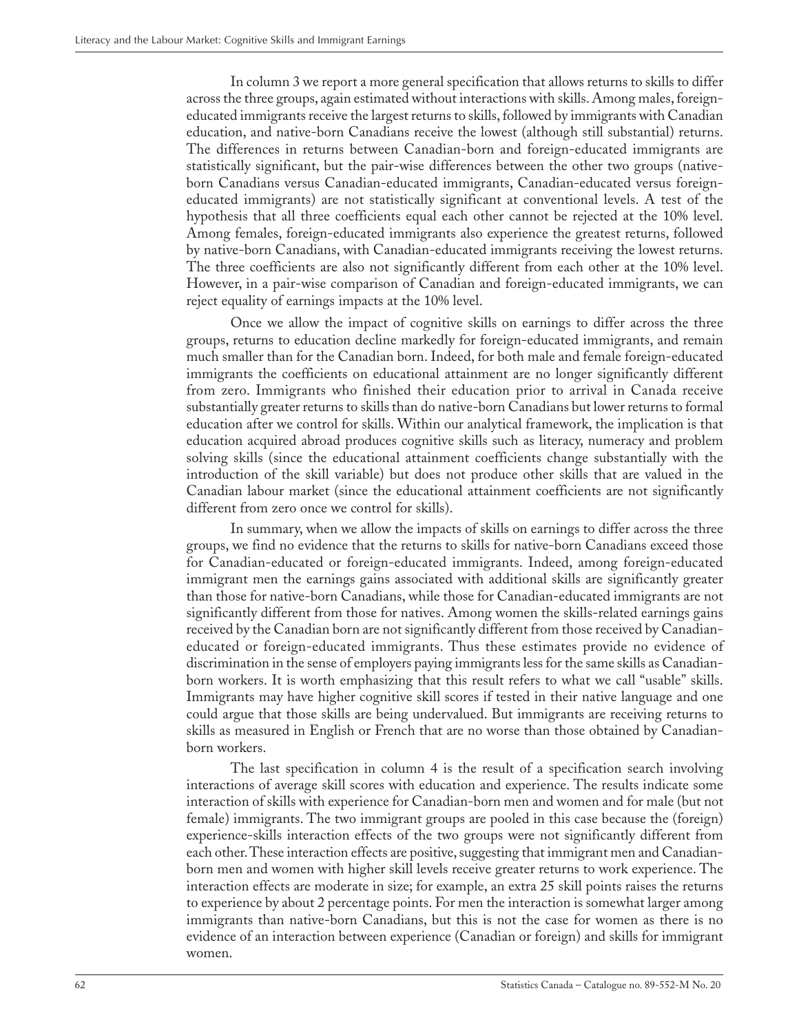In column 3 we report a more general specification that allows returns to skills to differ across the three groups, again estimated without interactions with skills. Among males, foreigneducated immigrants receive the largest returns to skills, followed by immigrants with Canadian education, and native-born Canadians receive the lowest (although still substantial) returns. The differences in returns between Canadian-born and foreign-educated immigrants are statistically significant, but the pair-wise differences between the other two groups (nativeborn Canadians versus Canadian-educated immigrants, Canadian-educated versus foreigneducated immigrants) are not statistically significant at conventional levels. A test of the hypothesis that all three coefficients equal each other cannot be rejected at the 10% level. Among females, foreign-educated immigrants also experience the greatest returns, followed by native-born Canadians, with Canadian-educated immigrants receiving the lowest returns. The three coefficients are also not significantly different from each other at the 10% level. However, in a pair-wise comparison of Canadian and foreign-educated immigrants, we can reject equality of earnings impacts at the 10% level.

Once we allow the impact of cognitive skills on earnings to differ across the three groups, returns to education decline markedly for foreign-educated immigrants, and remain much smaller than for the Canadian born. Indeed, for both male and female foreign-educated immigrants the coefficients on educational attainment are no longer significantly different from zero. Immigrants who finished their education prior to arrival in Canada receive substantially greater returns to skills than do native-born Canadians but lower returns to formal education after we control for skills. Within our analytical framework, the implication is that education acquired abroad produces cognitive skills such as literacy, numeracy and problem solving skills (since the educational attainment coefficients change substantially with the introduction of the skill variable) but does not produce other skills that are valued in the Canadian labour market (since the educational attainment coefficients are not significantly different from zero once we control for skills).

In summary, when we allow the impacts of skills on earnings to differ across the three groups, we find no evidence that the returns to skills for native-born Canadians exceed those for Canadian-educated or foreign-educated immigrants. Indeed, among foreign-educated immigrant men the earnings gains associated with additional skills are significantly greater than those for native-born Canadians, while those for Canadian-educated immigrants are not significantly different from those for natives. Among women the skills-related earnings gains received by the Canadian born are not significantly different from those received by Canadianeducated or foreign-educated immigrants. Thus these estimates provide no evidence of discrimination in the sense of employers paying immigrants less for the same skills as Canadianborn workers. It is worth emphasizing that this result refers to what we call "usable" skills. Immigrants may have higher cognitive skill scores if tested in their native language and one could argue that those skills are being undervalued. But immigrants are receiving returns to skills as measured in English or French that are no worse than those obtained by Canadianborn workers.

The last specification in column 4 is the result of a specification search involving interactions of average skill scores with education and experience. The results indicate some interaction of skills with experience for Canadian-born men and women and for male (but not female) immigrants. The two immigrant groups are pooled in this case because the (foreign) experience-skills interaction effects of the two groups were not significantly different from each other. These interaction effects are positive, suggesting that immigrant men and Canadianborn men and women with higher skill levels receive greater returns to work experience. The interaction effects are moderate in size; for example, an extra 25 skill points raises the returns to experience by about 2 percentage points. For men the interaction is somewhat larger among immigrants than native-born Canadians, but this is not the case for women as there is no evidence of an interaction between experience (Canadian or foreign) and skills for immigrant women.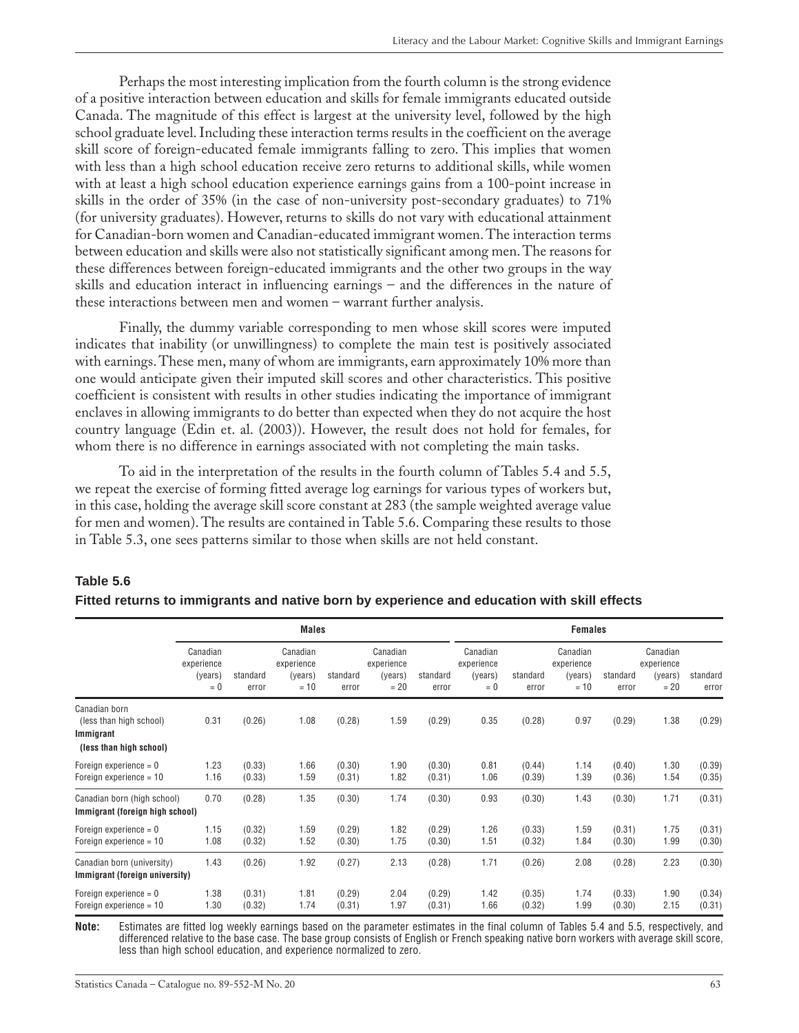<span id="page-62-0"></span>Perhaps the most interesting implication from the fourth column is the strong evidence of a positive interaction between education and skills for female immigrants educated outside Canada. The magnitude of this effect is largest at the university level, followed by the high school graduate level. Including these interaction terms results in the coefficient on the average skill score of foreign-educated female immigrants falling to zero. This implies that women with less than a high school education receive zero returns to additional skills, while women with at least a high school education experience earnings gains from a 100-point increase in skills in the order of 35% (in the case of non-university post-secondary graduates) to 71% (for university graduates). However, returns to skills do not vary with educational attainment for Canadian-born women and Canadian-educated immigrant women. The interaction terms between education and skills were also not statistically significant among men. The reasons for these differences between foreign-educated immigrants and the other two groups in the way skills and education interact in influencing earnings – and the differences in the nature of these interactions between men and women – warrant further analysis.

Finally, the dummy variable corresponding to men whose skill scores were imputed indicates that inability (or unwillingness) to complete the main test is positively associated with earnings. These men, many of whom are immigrants, earn approximately 10% more than one would anticipate given their imputed skill scores and other characteristics. This positive coefficient is consistent with results in other studies indicating the importance of immigrant enclaves in allowing immigrants to do better than expected when they do not acquire the host country language (Edin et. al. (2003)). However, the result does not hold for females, for whom there is no difference in earnings associated with not completing the main tasks.

To aid in the interpretation of the results in the fourth column of Tables 5.4 and 5.5, we repeat the exercise of forming fitted average log earnings for various types of workers but, in this case, holding the average skill score constant at 283 (the sample weighted average value for men and women). The results are contained in Table 5.6. Comparing these results to those in Table 5.3, one sees patterns similar to those when skills are not held constant.

|                                                                                  |                                            |                   | <b>Males</b>                                |                   |                                             |                   |                                            |                   | <b>Females</b>                              |                   |                                             |                   |
|----------------------------------------------------------------------------------|--------------------------------------------|-------------------|---------------------------------------------|-------------------|---------------------------------------------|-------------------|--------------------------------------------|-------------------|---------------------------------------------|-------------------|---------------------------------------------|-------------------|
|                                                                                  | Canadian<br>experience<br>(years)<br>$= 0$ | standard<br>error | Canadian<br>experience<br>(years)<br>$= 10$ | standard<br>error | Canadian<br>experience<br>(years)<br>$= 20$ | standard<br>error | Canadian<br>experience<br>(years)<br>$= 0$ | standard<br>error | Canadian<br>experience<br>(years)<br>$= 10$ | standard<br>error | Canadian<br>experience<br>(years)<br>$= 20$ | standard<br>error |
| Canadian born<br>(less than high school)<br>Immigrant<br>(less than high school) | 0.31                                       | (0.26)            | 1.08                                        | (0.28)            | 1.59                                        | (0.29)            | 0.35                                       | (0.28)            | 0.97                                        | (0.29)            | 1.38                                        | (0.29)            |
| Foreign experience $= 0$<br>Foreign experience = 10                              | 1.23<br>1.16                               | (0.33)<br>(0.33)  | 1.66<br>1.59                                | (0.30)<br>(0.31)  | 1.90<br>1.82                                | (0.30)<br>(0.31)  | 0.81<br>1.06                               | (0.44)<br>(0.39)  | 1.14<br>1.39                                | (0.40)<br>(0.36)  | 1.30<br>1.54                                | (0.39)<br>(0.35)  |
| Canadian born (high school)<br>Immigrant (foreign high school)                   | 0.70                                       | (0.28)            | 1.35                                        | (0.30)            | 1.74                                        | (0.30)            | 0.93                                       | (0.30)            | 1.43                                        | (0.30)            | 1.71                                        | (0.31)            |
| Foreign experience $= 0$<br>Foreign experience $= 10$                            | 1.15<br>1.08                               | (0.32)<br>(0.32)  | 1.59<br>1.52                                | (0.29)<br>(0.30)  | 1.82<br>1.75                                | (0.29)<br>(0.30)  | 1.26<br>1.51                               | (0.33)<br>(0.32)  | 1.59<br>1.84                                | (0.31)<br>(0.30)  | 1.75<br>1.99                                | (0.31)<br>(0.30)  |
| Canadian born (university)<br>Immigrant (foreign university)                     | 1.43                                       | (0.26)            | 1.92                                        | (0.27)            | 2.13                                        | (0.28)            | 1.71                                       | (0.26)            | 2.08                                        | (0.28)            | 2.23                                        | (0.30)            |
| Foreign experience $= 0$<br>Foreign experience $= 10$                            | 1.38<br>1.30                               | (0.31)<br>(0.32)  | 1.81<br>1.74                                | (0.29)<br>(0.31)  | 2.04<br>1.97                                | (0.29)<br>(0.31)  | 1.42<br>1.66                               | (0.35)<br>(0.32)  | 1.74<br>1.99                                | (0.33)<br>(0.30)  | 1.90<br>2.15                                | (0.34)<br>(0.31)  |

### **Table 5.6**

### **Fitted returns to immigrants and native born by experience and education with skill effects**

**Note:** Estimates are fitted log weekly earnings based on the parameter estimates in the final column of Tables 5.4 and 5.5, respectively, and differenced relative to the base case. The base group consists of English or French speaking native born workers with average skill score, less than high school education, and experience normalized to zero.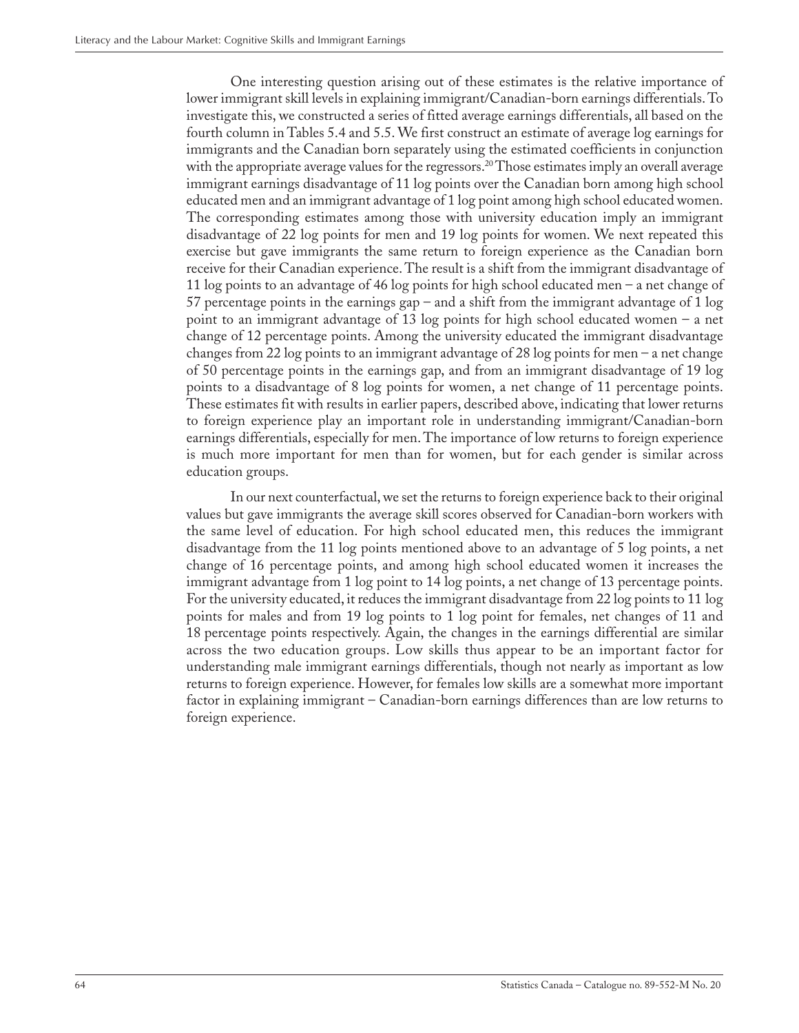One interesting question arising out of these estimates is the relative importance of lower immigrant skill levels in explaining immigrant/Canadian-born earnings differentials. To investigate this, we constructed a series of fitted average earnings differentials, all based on the fourth column in Tables 5.4 and 5.5. We first construct an estimate of average log earnings for immigrants and the Canadian born separately using the estimated coefficients in conjunction with the appropriate average values for the regressors.<sup>20</sup> Those estimates imply an overall average immigrant earnings disadvantage of 11 log points over the Canadian born among high school educated men and an immigrant advantage of 1 log point among high school educated women. The corresponding estimates among those with university education imply an immigrant disadvantage of 22 log points for men and 19 log points for women. We next repeated this exercise but gave immigrants the same return to foreign experience as the Canadian born receive for their Canadian experience. The result is a shift from the immigrant disadvantage of 11 log points to an advantage of 46 log points for high school educated men – a net change of 57 percentage points in the earnings gap – and a shift from the immigrant advantage of 1 log point to an immigrant advantage of 13 log points for high school educated women – a net change of 12 percentage points. Among the university educated the immigrant disadvantage changes from 22 log points to an immigrant advantage of 28 log points for men – a net change of 50 percentage points in the earnings gap, and from an immigrant disadvantage of 19 log points to a disadvantage of 8 log points for women, a net change of 11 percentage points. These estimates fit with results in earlier papers, described above, indicating that lower returns to foreign experience play an important role in understanding immigrant/Canadian-born earnings differentials, especially for men. The importance of low returns to foreign experience is much more important for men than for women, but for each gender is similar across education groups.

In our next counterfactual, we set the returns to foreign experience back to their original values but gave immigrants the average skill scores observed for Canadian-born workers with the same level of education. For high school educated men, this reduces the immigrant disadvantage from the 11 log points mentioned above to an advantage of 5 log points, a net change of 16 percentage points, and among high school educated women it increases the immigrant advantage from 1 log point to 14 log points, a net change of 13 percentage points. For the university educated, it reduces the immigrant disadvantage from 22 log points to 11 log points for males and from 19 log points to 1 log point for females, net changes of 11 and 18 percentage points respectively. Again, the changes in the earnings differential are similar across the two education groups. Low skills thus appear to be an important factor for understanding male immigrant earnings differentials, though not nearly as important as low returns to foreign experience. However, for females low skills are a somewhat more important factor in explaining immigrant – Canadian-born earnings differences than are low returns to foreign experience.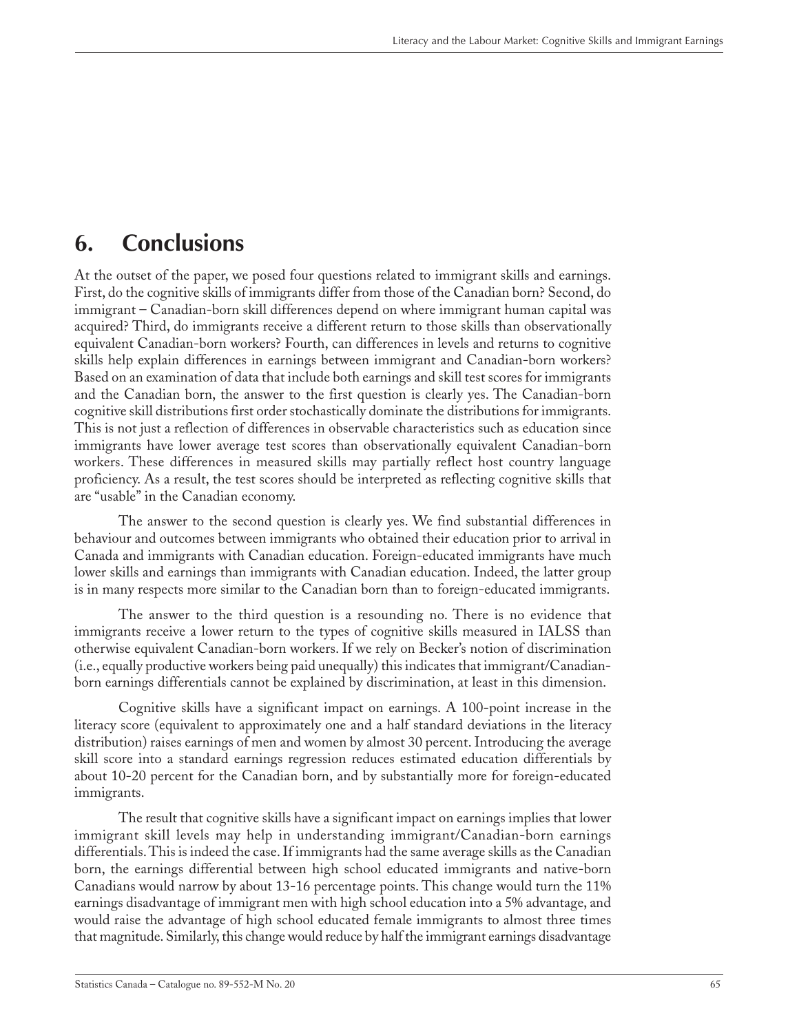# <span id="page-64-0"></span>**6. Conclusions**

At the outset of the paper, we posed four questions related to immigrant skills and earnings. First, do the cognitive skills of immigrants differ from those of the Canadian born? Second, do immigrant – Canadian-born skill differences depend on where immigrant human capital was acquired? Third, do immigrants receive a different return to those skills than observationally equivalent Canadian-born workers? Fourth, can differences in levels and returns to cognitive skills help explain differences in earnings between immigrant and Canadian-born workers? Based on an examination of data that include both earnings and skill test scores for immigrants and the Canadian born, the answer to the first question is clearly yes. The Canadian-born cognitive skill distributions first order stochastically dominate the distributions for immigrants. This is not just a reflection of differences in observable characteristics such as education since immigrants have lower average test scores than observationally equivalent Canadian-born workers. These differences in measured skills may partially reflect host country language proficiency. As a result, the test scores should be interpreted as reflecting cognitive skills that are "usable" in the Canadian economy.

The answer to the second question is clearly yes. We find substantial differences in behaviour and outcomes between immigrants who obtained their education prior to arrival in Canada and immigrants with Canadian education. Foreign-educated immigrants have much lower skills and earnings than immigrants with Canadian education. Indeed, the latter group is in many respects more similar to the Canadian born than to foreign-educated immigrants.

The answer to the third question is a resounding no. There is no evidence that immigrants receive a lower return to the types of cognitive skills measured in IALSS than otherwise equivalent Canadian-born workers. If we rely on Becker's notion of discrimination (i.e., equally productive workers being paid unequally) this indicates that immigrant/Canadianborn earnings differentials cannot be explained by discrimination, at least in this dimension.

Cognitive skills have a significant impact on earnings. A 100-point increase in the literacy score (equivalent to approximately one and a half standard deviations in the literacy distribution) raises earnings of men and women by almost 30 percent. Introducing the average skill score into a standard earnings regression reduces estimated education differentials by about 10-20 percent for the Canadian born, and by substantially more for foreign-educated immigrants.

The result that cognitive skills have a significant impact on earnings implies that lower immigrant skill levels may help in understanding immigrant/Canadian-born earnings differentials. This is indeed the case. If immigrants had the same average skills as the Canadian born, the earnings differential between high school educated immigrants and native-born Canadians would narrow by about 13-16 percentage points. This change would turn the 11% earnings disadvantage of immigrant men with high school education into a 5% advantage, and would raise the advantage of high school educated female immigrants to almost three times that magnitude. Similarly, this change would reduce by half the immigrant earnings disadvantage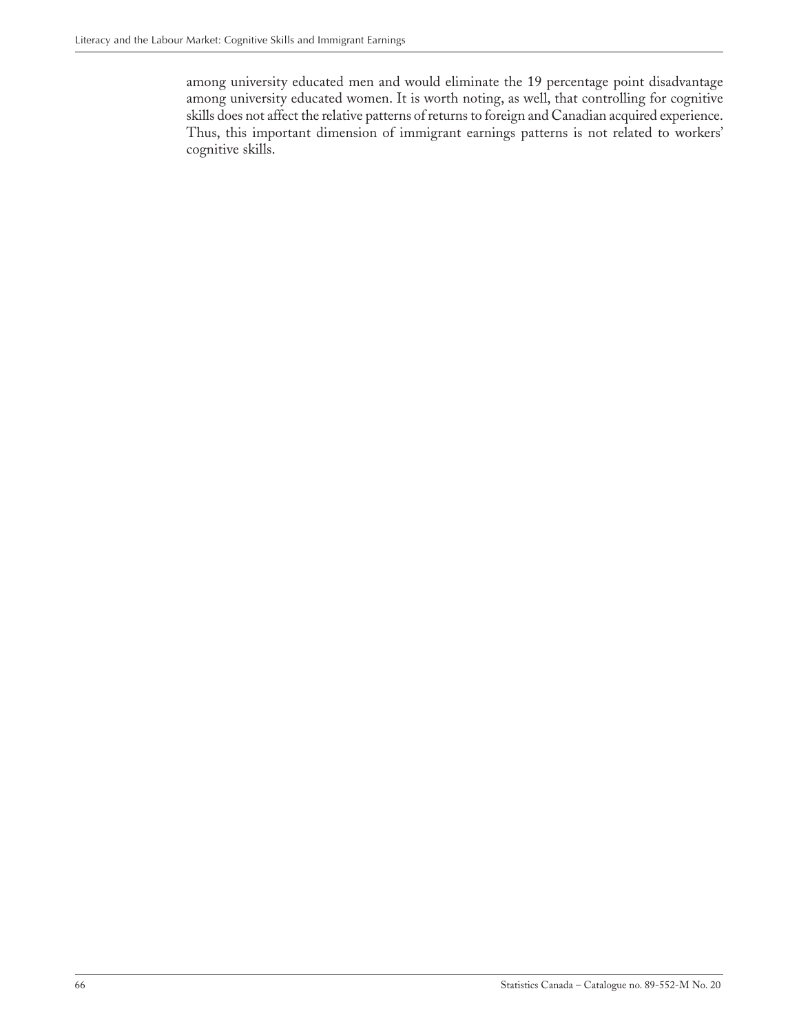among university educated men and would eliminate the 19 percentage point disadvantage among university educated women. It is worth noting, as well, that controlling for cognitive skills does not affect the relative patterns of returns to foreign and Canadian acquired experience. Thus, this important dimension of immigrant earnings patterns is not related to workers' cognitive skills.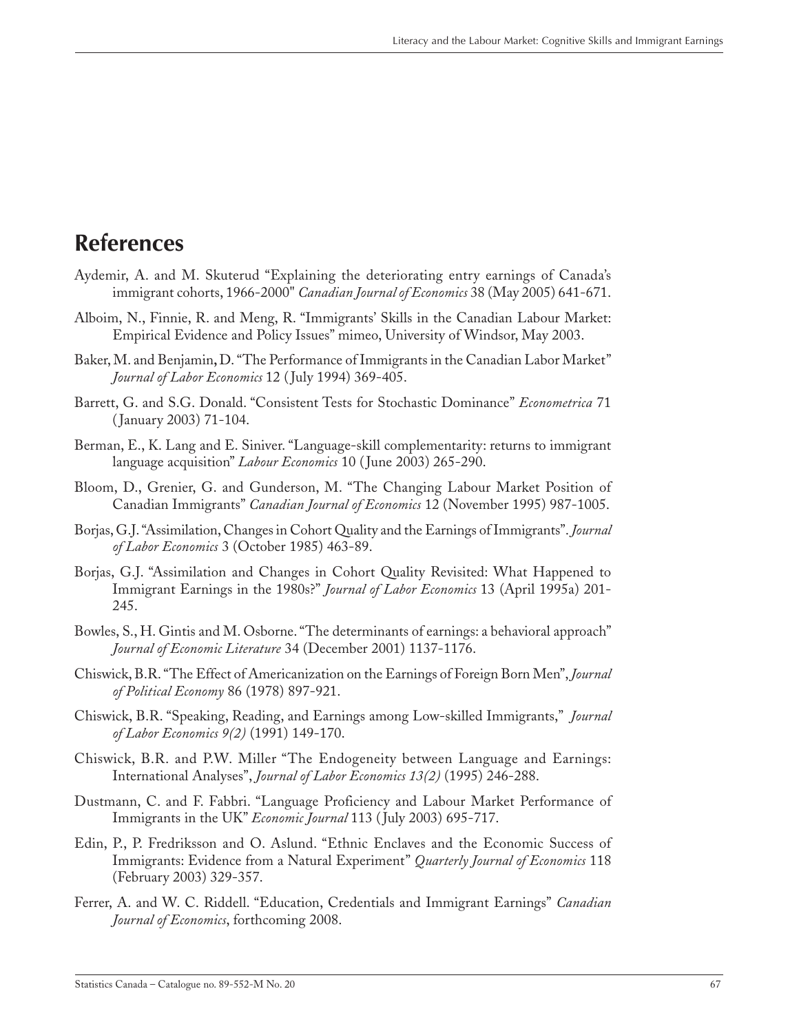## <span id="page-66-0"></span>**References**

- Aydemir, A. and M. Skuterud "Explaining the deteriorating entry earnings of Canada's immigrant cohorts, 1966-2000" *Canadian Journal of Economics* 38 (May 2005) 641-671.
- Alboim, N., Finnie, R. and Meng, R. "Immigrants' Skills in the Canadian Labour Market: Empirical Evidence and Policy Issues" mimeo, University of Windsor, May 2003.
- Baker, M. and Benjamin**,** D."The Performance of Immigrants in the Canadian Labor Market" *Journal of Labor Economics* 12 ( July 1994) 369-405.
- Barrett, G. and S.G. Donald. "Consistent Tests for Stochastic Dominance" *Econometrica* 71 ( January 2003) 71-104.
- Berman, E., K. Lang and E. Siniver. "Language-skill complementarity: returns to immigrant language acquisition" *Labour Economics* 10 ( June 2003) 265-290.
- Bloom, D., Grenier, G. and Gunderson, M. "The Changing Labour Market Position of Canadian Immigrants" *Canadian Journal of Economics* 12 (November 1995) 987-1005.
- Borjas, G.J."Assimilation, Changes in Cohort Quality and the Earnings of Immigrants". *Journal of Labor Economics* 3 (October 1985) 463-89.
- Borjas, G.J. "Assimilation and Changes in Cohort Quality Revisited: What Happened to Immigrant Earnings in the 1980s?" *Journal of Labor Economics* 13 (April 1995a) 201- 245.
- Bowles, S., H. Gintis and M. Osborne. "The determinants of earnings: a behavioral approach" *Journal of Economic Literature* 34 (December 2001) 1137-1176.
- Chiswick, B.R."The Effect of Americanization on the Earnings of Foreign Born Men", *Journal of Political Economy* 86 (1978) 897-921.
- Chiswick, B.R. "Speaking, Reading, and Earnings among Low-skilled Immigrants," *Journal of Labor Economics 9(2)* (1991) 149-170.
- Chiswick, B.R. and P.W. Miller "The Endogeneity between Language and Earnings: International Analyses", *Journal of Labor Economics 13(2)* (1995) 246-288.
- Dustmann, C. and F. Fabbri. "Language Proficiency and Labour Market Performance of Immigrants in the UK" *Economic Journal* 113 ( July 2003) 695-717.
- Edin, P., P. Fredriksson and O. Aslund. "Ethnic Enclaves and the Economic Success of Immigrants: Evidence from a Natural Experiment" *Quarterly Journal of Economics* 118 (February 2003) 329-357.
- Ferrer, A. and W. C. Riddell. "Education, Credentials and Immigrant Earnings" *Canadian Journal of Economics*, forthcoming 2008.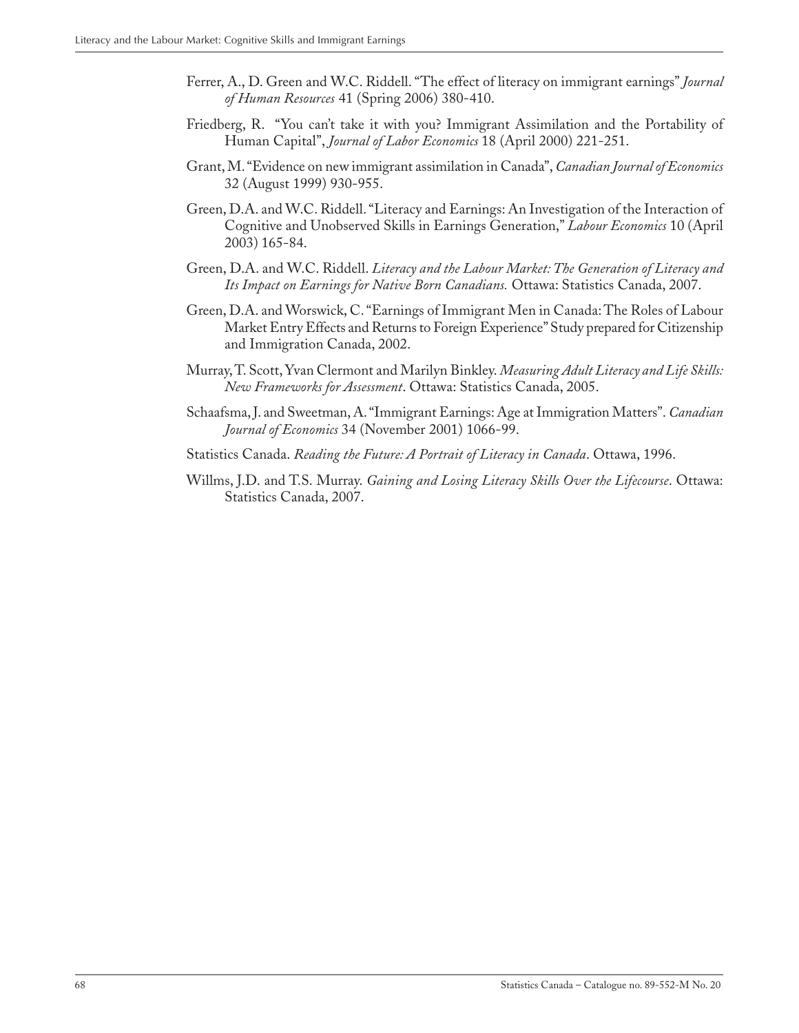- Ferrer, A., D. Green and W.C. Riddell. "The effect of literacy on immigrant earnings" *Journal of Human Resources* 41 (Spring 2006) 380-410.
- Friedberg, R. "You can't take it with you? Immigrant Assimilation and the Portability of Human Capital", *Journal of Labor Economics* 18 (April 2000) 221-251.
- Grant, M. "Evidence on new immigrant assimilation in Canada", *Canadian Journal of Economics* 32 (August 1999) 930-955.
- Green, D.A. and W.C. Riddell. "Literacy and Earnings: An Investigation of the Interaction of Cognitive and Unobserved Skills in Earnings Generation," *Labour Economics* 10 (April 2003) 165-84.
- Green, D.A. and W.C. Riddell. *Literacy and the Labour Market: The Generation of Literacy and Its Impact on Earnings for Native Born Canadians.* Ottawa: Statistics Canada, 2007.
- Green, D.A. and Worswick, C. "Earnings of Immigrant Men in Canada: The Roles of Labour Market Entry Effects and Returns to Foreign Experience" Study prepared for Citizenship and Immigration Canada, 2002.
- Murray, T. Scott, Yvan Clermont and Marilyn Binkley. *Measuring Adult Literacy and Life Skills: New Frameworks for Assessment*. Ottawa: Statistics Canada, 2005.
- Schaafsma, J. and Sweetman, A. "Immigrant Earnings: Age at Immigration Matters". *Canadian Journal of Economics* 34 (November 2001) 1066-99.
- Statistics Canada. *Reading the Future: A Portrait of Literacy in Canada*. Ottawa, 1996.
- Willms, J.D. and T.S. Murray. *Gaining and Losing Literacy Skills Over the Lifecourse*. Ottawa: Statistics Canada, 2007.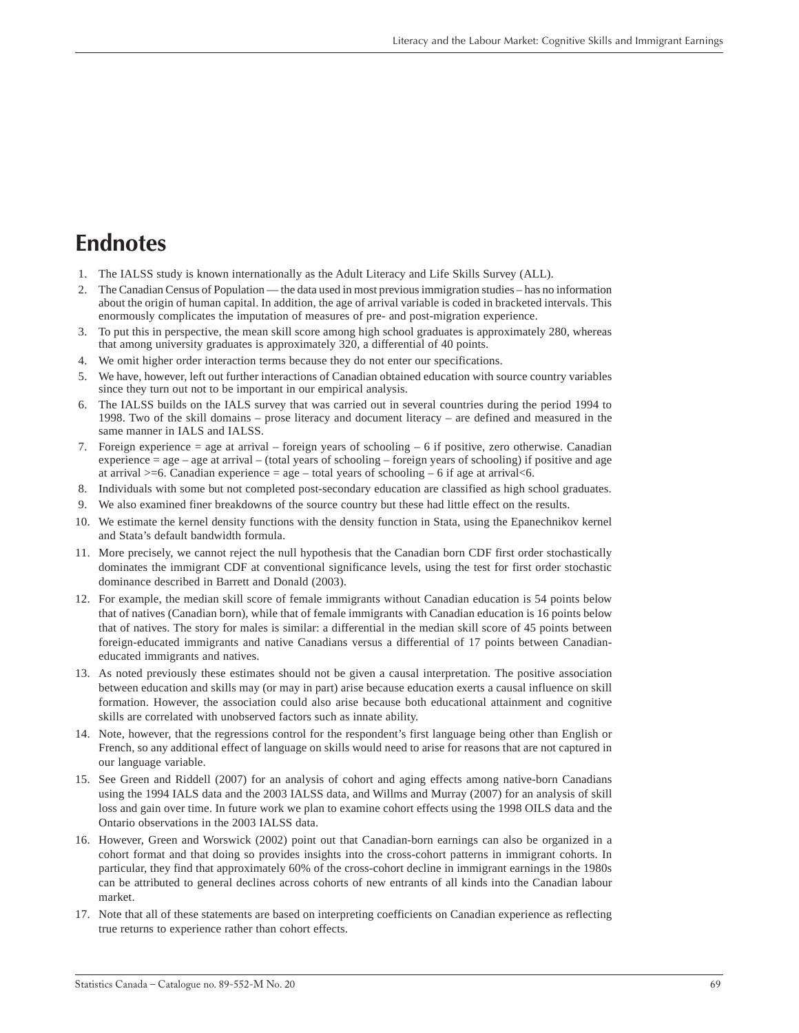# <span id="page-68-0"></span>**Endnotes**

- 1. The IALSS study is known internationally as the Adult Literacy and Life Skills Survey (ALL).
- 2. The Canadian Census of Population the data used in most previous immigration studies has no information about the origin of human capital. In addition, the age of arrival variable is coded in bracketed intervals. This enormously complicates the imputation of measures of pre- and post-migration experience.
- 3. To put this in perspective, the mean skill score among high school graduates is approximately 280, whereas that among university graduates is approximately 320, a differential of 40 points.
- 4. We omit higher order interaction terms because they do not enter our specifications.
- 5. We have, however, left out further interactions of Canadian obtained education with source country variables since they turn out not to be important in our empirical analysis.
- 6. The IALSS builds on the IALS survey that was carried out in several countries during the period 1994 to 1998. Two of the skill domains – prose literacy and document literacy – are defined and measured in the same manner in IALS and IALSS.
- 7. Foreign experience = age at arrival foreign years of schooling 6 if positive, zero otherwise. Canadian experience  $=$  age  $-$  age at arrival  $-$  (total years of schooling – foreign years of schooling) if positive and age at arrival  $>=6$ . Canadian experience  $=$  age – total years of schooling – 6 if age at arrival  $<6$ .
- 8. Individuals with some but not completed post-secondary education are classified as high school graduates.
- 9. We also examined finer breakdowns of the source country but these had little effect on the results.
- 10. We estimate the kernel density functions with the density function in Stata, using the Epanechnikov kernel and Stata's default bandwidth formula.
- 11. More precisely, we cannot reject the null hypothesis that the Canadian born CDF first order stochastically dominates the immigrant CDF at conventional significance levels, using the test for first order stochastic dominance described in Barrett and Donald (2003).
- 12. For example, the median skill score of female immigrants without Canadian education is 54 points below that of natives (Canadian born), while that of female immigrants with Canadian education is 16 points below that of natives. The story for males is similar: a differential in the median skill score of 45 points between foreign-educated immigrants and native Canadians versus a differential of 17 points between Canadianeducated immigrants and natives.
- 13. As noted previously these estimates should not be given a causal interpretation. The positive association between education and skills may (or may in part) arise because education exerts a causal influence on skill formation. However, the association could also arise because both educational attainment and cognitive skills are correlated with unobserved factors such as innate ability.
- 14. Note, however, that the regressions control for the respondent's first language being other than English or French, so any additional effect of language on skills would need to arise for reasons that are not captured in our language variable.
- 15. See Green and Riddell (2007) for an analysis of cohort and aging effects among native-born Canadians using the 1994 IALS data and the 2003 IALSS data, and Willms and Murray (2007) for an analysis of skill loss and gain over time. In future work we plan to examine cohort effects using the 1998 OILS data and the Ontario observations in the 2003 IALSS data.
- 16. However, Green and Worswick (2002) point out that Canadian-born earnings can also be organized in a cohort format and that doing so provides insights into the cross-cohort patterns in immigrant cohorts. In particular, they find that approximately 60% of the cross-cohort decline in immigrant earnings in the 1980s can be attributed to general declines across cohorts of new entrants of all kinds into the Canadian labour market.
- 17. Note that all of these statements are based on interpreting coefficients on Canadian experience as reflecting true returns to experience rather than cohort effects.